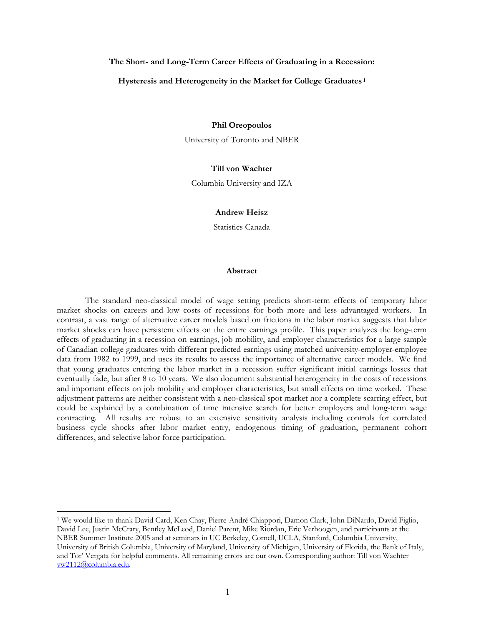## **The Short- and Long-Term Career Effects of Graduating in a Recession:**

#### **Hysteresis and Heterogeneity in the Market for College Graduates 1**

## **Phil Oreopoulos**

University of Toronto and NBER

# **Till von Wachter**

Columbia University and IZA

## **Andrew Heisz**

Statistics Canada

#### **Abstract**

The standard neo-classical model of wage setting predicts short-term effects of temporary labor market shocks on careers and low costs of recessions for both more and less advantaged workers. In contrast, a vast range of alternative career models based on frictions in the labor market suggests that labor market shocks can have persistent effects on the entire earnings profile. This paper analyzes the long-term effects of graduating in a recession on earnings, job mobility, and employer characteristics for a large sample of Canadian college graduates with different predicted earnings using matched university-employer-employee data from 1982 to 1999, and uses its results to assess the importance of alternative career models. We find that young graduates entering the labor market in a recession suffer significant initial earnings losses that eventually fade, but after 8 to 10 years. We also document substantial heterogeneity in the costs of recessions and important effects on job mobility and employer characteristics, but small effects on time worked. These adjustment patterns are neither consistent with a neo-classical spot market nor a complete scarring effect, but could be explained by a combination of time intensive search for better employers and long-term wage contracting. All results are robust to an extensive sensitivity analysis including controls for correlated business cycle shocks after labor market entry, endogenous timing of graduation, permanent cohort differences, and selective labor force participation.

<sup>1</sup> We would like to thank David Card, Ken Chay, Pierre-André Chiappori, Damon Clark, John DiNardo, David Figlio, David Lee, Justin McCrary, Bentley McLeod, Daniel Parent, Mike Riordan, Eric Verhoogen, and participants at the NBER Summer Institute 2005 and at seminars in UC Berkeley, Cornell, UCLA, Stanford, Columbia University, University of British Columbia, University of Maryland, University of Michigan, University of Florida, the Bank of Italy, and Tor' Vergata for helpful comments. All remaining errors are our own. Corresponding author: Till von Wachter vw2112@columbia.edu.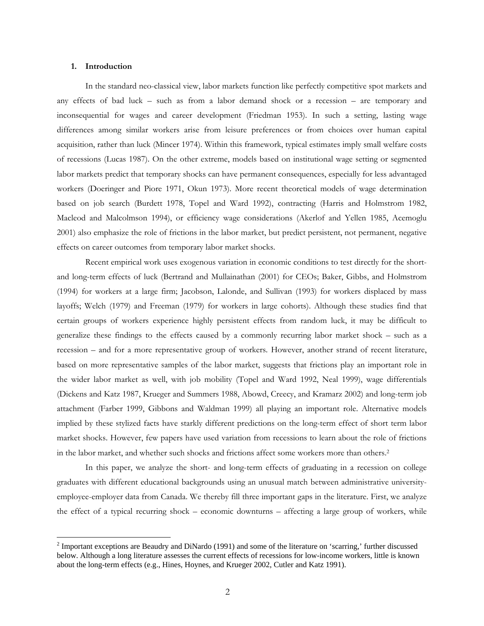#### **1. Introduction**

 $\overline{a}$ 

In the standard neo-classical view, labor markets function like perfectly competitive spot markets and any effects of bad luck – such as from a labor demand shock or a recession – are temporary and inconsequential for wages and career development (Friedman 1953). In such a setting, lasting wage differences among similar workers arise from leisure preferences or from choices over human capital acquisition, rather than luck (Mincer 1974). Within this framework, typical estimates imply small welfare costs of recessions (Lucas 1987). On the other extreme, models based on institutional wage setting or segmented labor markets predict that temporary shocks can have permanent consequences, especially for less advantaged workers (Doeringer and Piore 1971, Okun 1973). More recent theoretical models of wage determination based on job search (Burdett 1978, Topel and Ward 1992), contracting (Harris and Holmstrom 1982, Macleod and Malcolmson 1994), or efficiency wage considerations (Akerlof and Yellen 1985, Acemoglu 2001) also emphasize the role of frictions in the labor market, but predict persistent, not permanent, negative effects on career outcomes from temporary labor market shocks.

 Recent empirical work uses exogenous variation in economic conditions to test directly for the shortand long-term effects of luck (Bertrand and Mullainathan (2001) for CEOs; Baker, Gibbs, and Holmstrom (1994) for workers at a large firm; Jacobson, Lalonde, and Sullivan (1993) for workers displaced by mass layoffs; Welch (1979) and Freeman (1979) for workers in large cohorts). Although these studies find that certain groups of workers experience highly persistent effects from random luck, it may be difficult to generalize these findings to the effects caused by a commonly recurring labor market shock – such as a recession – and for a more representative group of workers. However, another strand of recent literature, based on more representative samples of the labor market, suggests that frictions play an important role in the wider labor market as well, with job mobility (Topel and Ward 1992, Neal 1999), wage differentials (Dickens and Katz 1987, Krueger and Summers 1988, Abowd, Creecy, and Kramarz 2002) and long-term job attachment (Farber 1999, Gibbons and Waldman 1999) all playing an important role. Alternative models implied by these stylized facts have starkly different predictions on the long-term effect of short term labor market shocks. However, few papers have used variation from recessions to learn about the role of frictions in the labor market, and whether such shocks and frictions affect some workers more than others.2

 In this paper, we analyze the short- and long-term effects of graduating in a recession on college graduates with different educational backgrounds using an unusual match between administrative universityemployee-employer data from Canada. We thereby fill three important gaps in the literature. First, we analyze the effect of a typical recurring shock – economic downturns – affecting a large group of workers, while

<sup>&</sup>lt;sup>2</sup> Important exceptions are Beaudry and DiNardo (1991) and some of the literature on 'scarring,' further discussed below. Although a long literature assesses the current effects of recessions for low-income workers, little is known about the long-term effects (e.g., Hines, Hoynes, and Krueger 2002, Cutler and Katz 1991).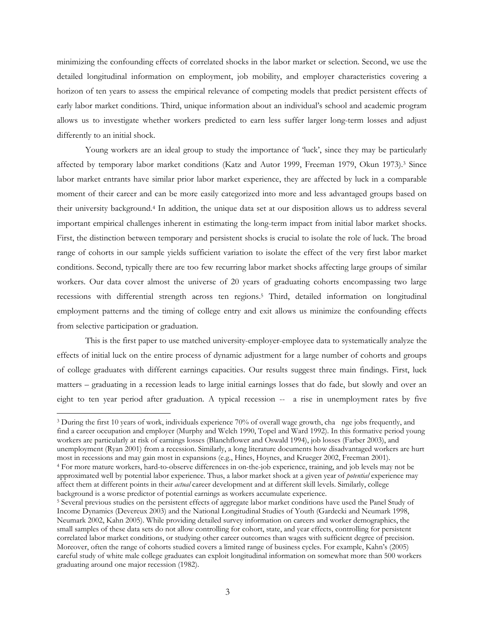minimizing the confounding effects of correlated shocks in the labor market or selection. Second, we use the detailed longitudinal information on employment, job mobility, and employer characteristics covering a horizon of ten years to assess the empirical relevance of competing models that predict persistent effects of early labor market conditions. Third, unique information about an individual's school and academic program allows us to investigate whether workers predicted to earn less suffer larger long-term losses and adjust differently to an initial shock.

Young workers are an ideal group to study the importance of 'luck', since they may be particularly affected by temporary labor market conditions (Katz and Autor 1999, Freeman 1979, Okun 1973).<sup>3</sup> Since labor market entrants have similar prior labor market experience, they are affected by luck in a comparable moment of their career and can be more easily categorized into more and less advantaged groups based on their university background.4 In addition, the unique data set at our disposition allows us to address several important empirical challenges inherent in estimating the long-term impact from initial labor market shocks. First, the distinction between temporary and persistent shocks is crucial to isolate the role of luck. The broad range of cohorts in our sample yields sufficient variation to isolate the effect of the very first labor market conditions. Second, typically there are too few recurring labor market shocks affecting large groups of similar workers. Our data cover almost the universe of 20 years of graduating cohorts encompassing two large recessions with differential strength across ten regions.5 Third, detailed information on longitudinal employment patterns and the timing of college entry and exit allows us minimize the confounding effects from selective participation or graduation.

This is the first paper to use matched university-employer-employee data to systematically analyze the effects of initial luck on the entire process of dynamic adjustment for a large number of cohorts and groups of college graduates with different earnings capacities. Our results suggest three main findings. First, luck matters – graduating in a recession leads to large initial earnings losses that do fade, but slowly and over an eight to ten year period after graduation. A typical recession -- a rise in unemployment rates by five

<sup>3</sup> During the first 10 years of work, individuals experience 70% of overall wage growth, cha nge jobs frequently, and find a career occupation and employer (Murphy and Welch 1990, Topel and Ward 1992). In this formative period young workers are particularly at risk of earnings losses (Blanchflower and Oswald 1994), job losses (Farber 2003), and unemployment (Ryan 2001) from a recession. Similarly, a long literature documents how disadvantaged workers are hurt<br>most in recessions and may gain most in expansions (e.g., Hines, Hoynes, and Krueger 2002, Freeman 2001). <sup>4</sup> For more mature workers, hard-to-observe differences in on-the-job experience, training, and job levels may not be approximated well by potential labor experience. Thus, a labor market shock at a given year of *potential* experience may affect them at different points in their *actual* career development and at different skill levels. Similarly, college background is a worse predictor of potential earnings as workers accumulate experience.

<sup>&</sup>lt;sup>5</sup> Several previous studies on the persistent effects of aggregate labor market conditions have used the Panel Study of Income Dynamics (Devereux 2003) and the National Longitudinal Studies of Youth (Gardecki and Neumark 1998, Neumark 2002, Kahn 2005). While providing detailed survey information on careers and worker demographics, the small samples of these data sets do not allow controlling for cohort, state, and year effects, controlling for persistent correlated labor market conditions, or studying other career outcomes than wages with sufficient degree of precision. Moreover, often the range of cohorts studied covers a limited range of business cycles. For example, Kahn's (2005) careful study of white male college graduates can exploit longitudinal information on somewhat more than 500 workers graduating around one major recession (1982).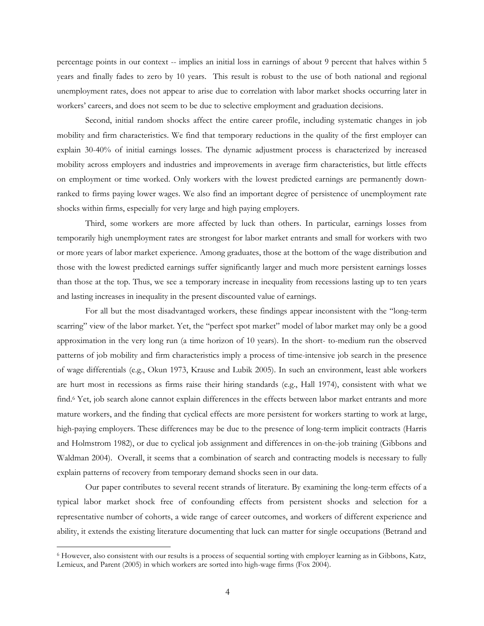percentage points in our context -- implies an initial loss in earnings of about 9 percent that halves within 5 years and finally fades to zero by 10 years. This result is robust to the use of both national and regional unemployment rates, does not appear to arise due to correlation with labor market shocks occurring later in workers' careers, and does not seem to be due to selective employment and graduation decisions.

Second, initial random shocks affect the entire career profile, including systematic changes in job mobility and firm characteristics. We find that temporary reductions in the quality of the first employer can explain 30-40% of initial earnings losses. The dynamic adjustment process is characterized by increased mobility across employers and industries and improvements in average firm characteristics, but little effects on employment or time worked. Only workers with the lowest predicted earnings are permanently downranked to firms paying lower wages. We also find an important degree of persistence of unemployment rate shocks within firms, especially for very large and high paying employers.

Third, some workers are more affected by luck than others. In particular, earnings losses from temporarily high unemployment rates are strongest for labor market entrants and small for workers with two or more years of labor market experience. Among graduates, those at the bottom of the wage distribution and those with the lowest predicted earnings suffer significantly larger and much more persistent earnings losses than those at the top. Thus, we see a temporary increase in inequality from recessions lasting up to ten years and lasting increases in inequality in the present discounted value of earnings.

For all but the most disadvantaged workers, these findings appear inconsistent with the "long-term scarring" view of the labor market. Yet, the "perfect spot market" model of labor market may only be a good approximation in the very long run (a time horizon of 10 years). In the short- to-medium run the observed patterns of job mobility and firm characteristics imply a process of time-intensive job search in the presence of wage differentials (e.g., Okun 1973, Krause and Lubik 2005). In such an environment, least able workers are hurt most in recessions as firms raise their hiring standards (e.g., Hall 1974), consistent with what we find.6 Yet, job search alone cannot explain differences in the effects between labor market entrants and more mature workers, and the finding that cyclical effects are more persistent for workers starting to work at large, high-paying employers. These differences may be due to the presence of long-term implicit contracts (Harris and Holmstrom 1982), or due to cyclical job assignment and differences in on-the-job training (Gibbons and Waldman 2004). Overall, it seems that a combination of search and contracting models is necessary to fully explain patterns of recovery from temporary demand shocks seen in our data.

Our paper contributes to several recent strands of literature. By examining the long-term effects of a typical labor market shock free of confounding effects from persistent shocks and selection for a representative number of cohorts, a wide range of career outcomes, and workers of different experience and ability, it extends the existing literature documenting that luck can matter for single occupations (Betrand and

<sup>6</sup> However, also consistent with our results is a process of sequential sorting with employer learning as in Gibbons, Katz, Lemieux, and Parent (2005) in which workers are sorted into high-wage firms (Fox 2004).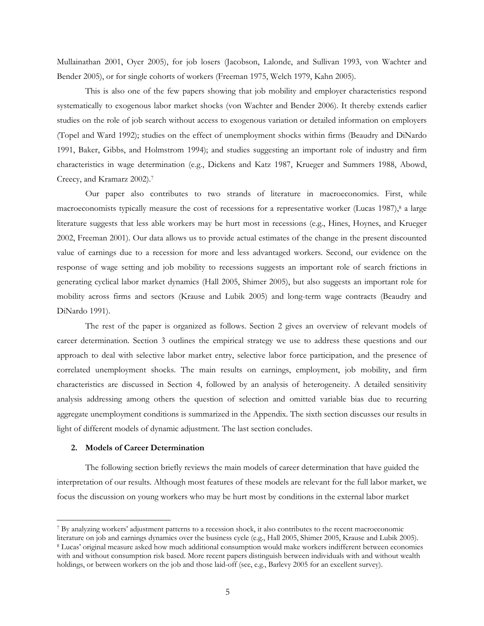Mullainathan 2001, Oyer 2005), for job losers (Jacobson, Lalonde, and Sullivan 1993, von Wachter and Bender 2005), or for single cohorts of workers (Freeman 1975, Welch 1979, Kahn 2005).

This is also one of the few papers showing that job mobility and employer characteristics respond systematically to exogenous labor market shocks (von Wachter and Bender 2006). It thereby extends earlier studies on the role of job search without access to exogenous variation or detailed information on employers (Topel and Ward 1992); studies on the effect of unemployment shocks within firms (Beaudry and DiNardo 1991, Baker, Gibbs, and Holmstrom 1994); and studies suggesting an important role of industry and firm characteristics in wage determination (e.g., Dickens and Katz 1987, Krueger and Summers 1988, Abowd, Creecy, and Kramarz 2002).7

Our paper also contributes to two strands of literature in macroeconomics. First, while macroeconomists typically measure the cost of recessions for a representative worker (Lucas 1987),<sup>8</sup> a large literature suggests that less able workers may be hurt most in recessions (e.g., Hines, Hoynes, and Krueger 2002, Freeman 2001). Our data allows us to provide actual estimates of the change in the present discounted value of earnings due to a recession for more and less advantaged workers. Second, our evidence on the response of wage setting and job mobility to recessions suggests an important role of search frictions in generating cyclical labor market dynamics (Hall 2005, Shimer 2005), but also suggests an important role for mobility across firms and sectors (Krause and Lubik 2005) and long-term wage contracts (Beaudry and DiNardo 1991).

The rest of the paper is organized as follows. Section 2 gives an overview of relevant models of career determination. Section 3 outlines the empirical strategy we use to address these questions and our approach to deal with selective labor market entry, selective labor force participation, and the presence of correlated unemployment shocks. The main results on earnings, employment, job mobility, and firm characteristics are discussed in Section 4, followed by an analysis of heterogeneity. A detailed sensitivity analysis addressing among others the question of selection and omitted variable bias due to recurring aggregate unemployment conditions is summarized in the Appendix. The sixth section discusses our results in light of different models of dynamic adjustment. The last section concludes.

## **2. Models of Career Determination**

 $\overline{a}$ 

The following section briefly reviews the main models of career determination that have guided the interpretation of our results. Although most features of these models are relevant for the full labor market, we focus the discussion on young workers who may be hurt most by conditions in the external labor market

<sup>&</sup>lt;sup>7</sup> By analyzing workers' adjustment patterns to a recession shock, it also contributes to the recent macroeconomic literature on job and earnings dynamics over the business cycle (e.g., Hall 2005, Shimer 2005, Krause and <sup>8</sup> Lucas' original measure asked how much additional consumption would make workers indifferent between economies

with and without consumption risk based. More recent papers distinguish between individuals with and without wealth holdings, or between workers on the job and those laid-off (see, e.g., Barlevy 2005 for an excellent survey).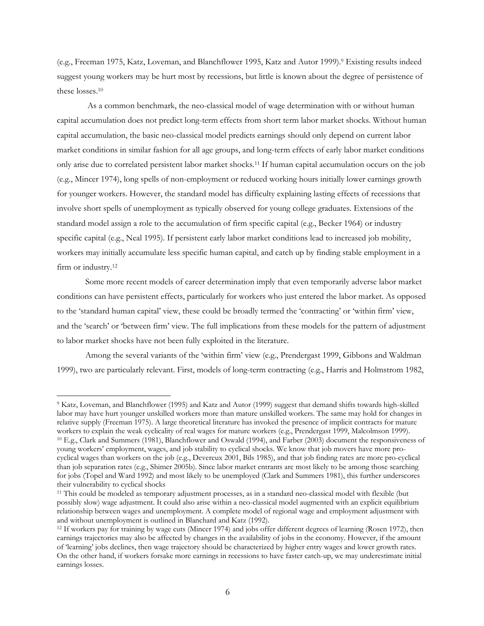(e.g., Freeman 1975, Katz, Loveman, and Blanchflower 1995, Katz and Autor 1999).9 Existing results indeed suggest young workers may be hurt most by recessions, but little is known about the degree of persistence of these losses.10

 As a common benchmark, the neo-classical model of wage determination with or without human capital accumulation does not predict long-term effects from short term labor market shocks. Without human capital accumulation, the basic neo-classical model predicts earnings should only depend on current labor market conditions in similar fashion for all age groups, and long-term effects of early labor market conditions only arise due to correlated persistent labor market shocks.11 If human capital accumulation occurs on the job (e.g., Mincer 1974), long spells of non-employment or reduced working hours initially lower earnings growth for younger workers. However, the standard model has difficulty explaining lasting effects of recessions that involve short spells of unemployment as typically observed for young college graduates. Extensions of the standard model assign a role to the accumulation of firm specific capital (e.g., Becker 1964) or industry specific capital (e.g., Neal 1995). If persistent early labor market conditions lead to increased job mobility, workers may initially accumulate less specific human capital, and catch up by finding stable employment in a firm or industry.<sup>12</sup>

Some more recent models of career determination imply that even temporarily adverse labor market conditions can have persistent effects, particularly for workers who just entered the labor market. As opposed to the 'standard human capital' view, these could be broadly termed the 'contracting' or 'within firm' view, and the 'search' or 'between firm' view. The full implications from these models for the pattern of adjustment to labor market shocks have not been fully exploited in the literature.

Among the several variants of the 'within firm' view (e.g., Prendergast 1999, Gibbons and Waldman 1999), two are particularly relevant. First, models of long-term contracting (e.g., Harris and Holmstrom 1982,

<sup>9</sup> Katz, Loveman, and Blanchflower (1995) and Katz and Autor (1999) suggest that demand shifts towards high-skilled labor may have hurt younger unskilled workers more than mature unskilled workers. The same may hold for changes in relative supply (Freeman 1975). A large theoretical literature has invoked the presence of implicit contracts for mature workers to explain the weak cyclicality of real wages for mature workers (e.g., Prendergast 1999, Mal <sup>10</sup> E.g., Clark and Summers (1981), Blanchflower and Oswald (1994), and Farber (2003) document the responsiveness of young workers' employment, wages, and job stability to cyclical shocks. We know that job movers have more procyclical wages than workers on the job (e.g., Devereux 2001, Bils 1985), and that job finding rates are more pro-cyclical than job separation rates (e.g., Shimer 2005b). Since labor market entrants are most likely to be among those searching for jobs (Topel and Ward 1992) and most likely to be unemployed (Clark and Summers 1981), this further underscores their vulnerability to cyclical shocks

<sup>11</sup> This could be modeled as temporary adjustment processes, as in a standard neo-classical model with flexible (but possibly slow) wage adjustment. It could also arise within a neo-classical model augmented with an explicit equilibrium relationship between wages and unemployment. A complete model of regional wage and employment adjustment with and without unemployment is outlined in Blanchard and Katz (1992).<br><sup>12</sup> If workers pay for training by wage cuts (Mincer 1974) and jobs offer different degrees of learning (Rosen 1972), then

earnings trajectories may also be affected by changes in the availability of jobs in the economy. However, if the amount of 'learning' jobs declines, then wage trajectory should be characterized by higher entry wages and lower growth rates. On the other hand, if workers forsake more earnings in recessions to have faster catch-up, we may underestimate initial earnings losses.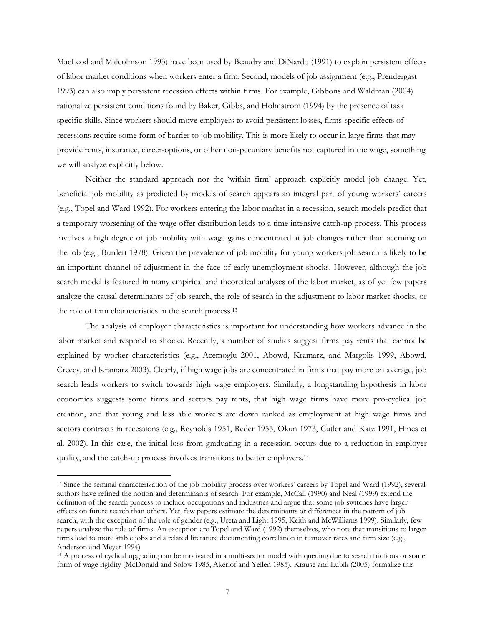MacLeod and Malcolmson 1993) have been used by Beaudry and DiNardo (1991) to explain persistent effects of labor market conditions when workers enter a firm. Second, models of job assignment (e.g., Prendergast 1993) can also imply persistent recession effects within firms. For example, Gibbons and Waldman (2004) rationalize persistent conditions found by Baker, Gibbs, and Holmstrom (1994) by the presence of task specific skills. Since workers should move employers to avoid persistent losses, firms-specific effects of recessions require some form of barrier to job mobility. This is more likely to occur in large firms that may provide rents, insurance, career-options, or other non-pecuniary benefits not captured in the wage, something we will analyze explicitly below.

 Neither the standard approach nor the 'within firm' approach explicitly model job change. Yet, beneficial job mobility as predicted by models of search appears an integral part of young workers' careers (e.g., Topel and Ward 1992). For workers entering the labor market in a recession, search models predict that a temporary worsening of the wage offer distribution leads to a time intensive catch-up process. This process involves a high degree of job mobility with wage gains concentrated at job changes rather than accruing on the job (e.g., Burdett 1978). Given the prevalence of job mobility for young workers job search is likely to be an important channel of adjustment in the face of early unemployment shocks. However, although the job search model is featured in many empirical and theoretical analyses of the labor market, as of yet few papers analyze the causal determinants of job search, the role of search in the adjustment to labor market shocks, or the role of firm characteristics in the search process.13

The analysis of employer characteristics is important for understanding how workers advance in the labor market and respond to shocks. Recently, a number of studies suggest firms pay rents that cannot be explained by worker characteristics (e.g., Acemoglu 2001, Abowd, Kramarz, and Margolis 1999, Abowd, Creecy, and Kramarz 2003). Clearly, if high wage jobs are concentrated in firms that pay more on average, job search leads workers to switch towards high wage employers. Similarly, a longstanding hypothesis in labor economics suggests some firms and sectors pay rents, that high wage firms have more pro-cyclical job creation, and that young and less able workers are down ranked as employment at high wage firms and sectors contracts in recessions (e.g., Reynolds 1951, Reder 1955, Okun 1973, Cutler and Katz 1991, Hines et al. 2002). In this case, the initial loss from graduating in a recession occurs due to a reduction in employer quality, and the catch-up process involves transitions to better employers.14

<sup>13</sup> Since the seminal characterization of the job mobility process over workers' careers by Topel and Ward (1992), several authors have refined the notion and determinants of search. For example, McCall (1990) and Neal (1999) extend the definition of the search process to include occupations and industries and argue that some job switches have larger effects on future search than others. Yet, few papers estimate the determinants or differences in the pattern of job search, with the exception of the role of gender (e.g., Ureta and Light 1995, Keith and McWilliams 1999). Similarly, few papers analyze the role of firms. An exception are Topel and Ward (1992) themselves, who note that transitions to larger firms lead to more stable jobs and a related literature documenting correlation in turnover rates and firm size (e.g., Anderson and Meyer 1994)

<sup>&</sup>lt;sup>14</sup> A process of cyclical upgrading can be motivated in a multi-sector model with queuing due to search frictions or some form of wage rigidity (McDonald and Solow 1985, Akerlof and Yellen 1985). Krause and Lubik (2005) formalize this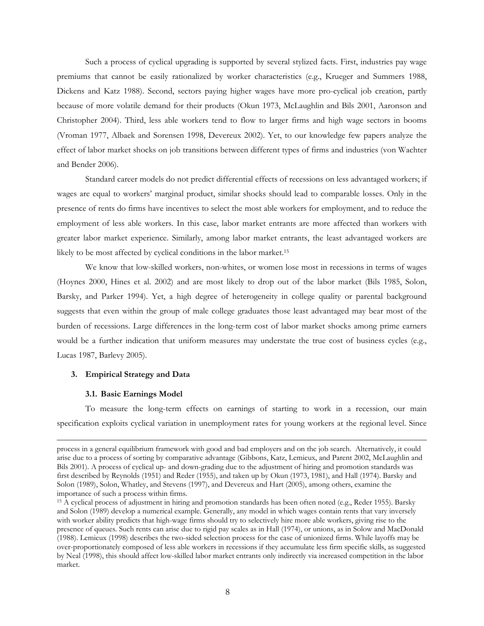Such a process of cyclical upgrading is supported by several stylized facts. First, industries pay wage premiums that cannot be easily rationalized by worker characteristics (e.g., Krueger and Summers 1988, Dickens and Katz 1988). Second, sectors paying higher wages have more pro-cyclical job creation, partly because of more volatile demand for their products (Okun 1973, McLaughlin and Bils 2001, Aaronson and Christopher 2004). Third, less able workers tend to flow to larger firms and high wage sectors in booms (Vroman 1977, Albaek and Sorensen 1998, Devereux 2002). Yet, to our knowledge few papers analyze the effect of labor market shocks on job transitions between different types of firms and industries (von Wachter and Bender 2006).

Standard career models do not predict differential effects of recessions on less advantaged workers; if wages are equal to workers' marginal product, similar shocks should lead to comparable losses. Only in the presence of rents do firms have incentives to select the most able workers for employment, and to reduce the employment of less able workers. In this case, labor market entrants are more affected than workers with greater labor market experience. Similarly, among labor market entrants, the least advantaged workers are likely to be most affected by cyclical conditions in the labor market.15

We know that low-skilled workers, non-whites, or women lose most in recessions in terms of wages (Hoynes 2000, Hines et al. 2002) and are most likely to drop out of the labor market (Bils 1985, Solon, Barsky, and Parker 1994). Yet, a high degree of heterogeneity in college quality or parental background suggests that even within the group of male college graduates those least advantaged may bear most of the burden of recessions. Large differences in the long-term cost of labor market shocks among prime earners would be a further indication that uniform measures may understate the true cost of business cycles (e.g., Lucas 1987, Barlevy 2005).

# **3. Empirical Strategy and Data**

#### **3.1. Basic Earnings Model**

 $\overline{a}$ 

To measure the long-term effects on earnings of starting to work in a recession, our main specification exploits cyclical variation in unemployment rates for young workers at the regional level. Since

process in a general equilibrium framework with good and bad employers and on the job search. Alternatively, it could arise due to a process of sorting by comparative advantage (Gibbons, Katz, Lemieux, and Parent 2002, McLaughlin and Bils 2001). A process of cyclical up- and down-grading due to the adjustment of hiring and promotion standards was first described by Reynolds (1951) and Reder (1955), and taken up by Okun (1973, 1981), and Hall (1974). Barsky and Solon (1989), Solon, Whatley, and Stevens (1997), and Devereux and Hart (2005), among others, examine the importance of such a process within firms.

<sup>&</sup>lt;sup>15</sup> A cyclical process of adjustment in hiring and promotion standards has been often noted (e.g., Reder 1955). Barsky and Solon (1989) develop a numerical example. Generally, any model in which wages contain rents that vary inversely with worker ability predicts that high-wage firms should try to selectively hire more able workers, giving rise to the presence of queues. Such rents can arise due to rigid pay scales as in Hall (1974), or unions, as in Solow and MacDonald (1988). Lemieux (1998) describes the two-sided selection process for the case of unionized firms. While layoffs may be over-proportionately composed of less able workers in recessions if they accumulate less firm specific skills, as suggested by Neal (1998), this should affect low-skilled labor market entrants only indirectly via increased competition in the labor market.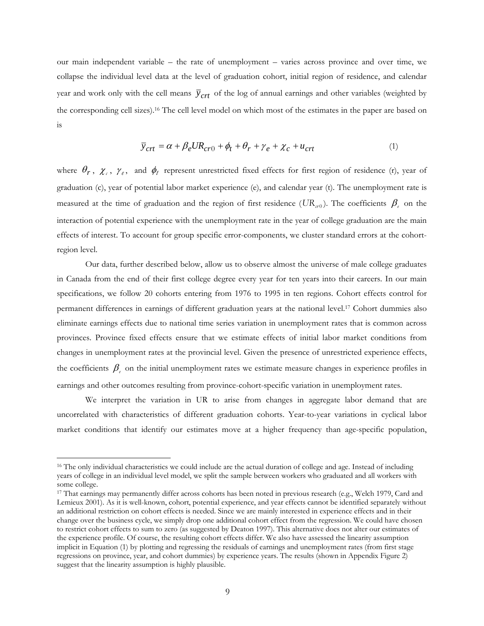our main independent variable – the rate of unemployment – varies across province and over time, we collapse the individual level data at the level of graduation cohort, initial region of residence, and calendar year and work only with the cell means  $\bar{y}_{crt}$  of the log of annual earnings and other variables (weighted by the corresponding cell sizes).16 The cell level model on which most of the estimates in the paper are based on is

$$
\overline{y}_{crt} = \alpha + \beta_e U R_{cr0} + \phi_t + \theta_r + \gamma_e + \chi_c + u_{crt}
$$
\n(1)

where  $\theta_r$ ,  $\chi_c$ ,  $\gamma_e$ , and  $\phi_t$  represent unrestricted fixed effects for first region of residence (r), year of graduation (c), year of potential labor market experience (e), and calendar year (t). The unemployment rate is measured at the time of graduation and the region of first residence ( $UR_{\alpha 0}$ ). The coefficients  $\beta_e$  on the interaction of potential experience with the unemployment rate in the year of college graduation are the main effects of interest. To account for group specific error-components, we cluster standard errors at the cohortregion level.

Our data, further described below, allow us to observe almost the universe of male college graduates in Canada from the end of their first college degree every year for ten years into their careers. In our main specifications, we follow 20 cohorts entering from 1976 to 1995 in ten regions. Cohort effects control for permanent differences in earnings of different graduation years at the national level.17 Cohort dummies also eliminate earnings effects due to national time series variation in unemployment rates that is common across provinces. Province fixed effects ensure that we estimate effects of initial labor market conditions from changes in unemployment rates at the provincial level. Given the presence of unrestricted experience effects, the coefficients  $β_ε$  on the initial unemployment rates we estimate measure changes in experience profiles in earnings and other outcomes resulting from province-cohort-specific variation in unemployment rates.

We interpret the variation in UR to arise from changes in aggregate labor demand that are uncorrelated with characteristics of different graduation cohorts. Year-to-year variations in cyclical labor market conditions that identify our estimates move at a higher frequency than age-specific population,

<sup>&</sup>lt;sup>16</sup> The only individual characteristics we could include are the actual duration of college and age. Instead of including years of college in an individual level model, we split the sample between workers who graduated and all workers with some college.

<sup>17</sup> That earnings may permanently differ across cohorts has been noted in previous research (e.g., Welch 1979, Card and Lemieux 2001). As it is well-known, cohort, potential experience, and year effects cannot be identified separately without an additional restriction on cohort effects is needed. Since we are mainly interested in experience effects and in their change over the business cycle, we simply drop one additional cohort effect from the regression. We could have chosen to restrict cohort effects to sum to zero (as suggested by Deaton 1997). This alternative does not alter our estimates of the experience profile. Of course, the resulting cohort effects differ. We also have assessed the linearity assumption implicit in Equation (1) by plotting and regressing the residuals of earnings and unemployment rates (from first stage regressions on province, year, and cohort dummies) by experience years. The results (shown in Appendix Figure 2) suggest that the linearity assumption is highly plausible.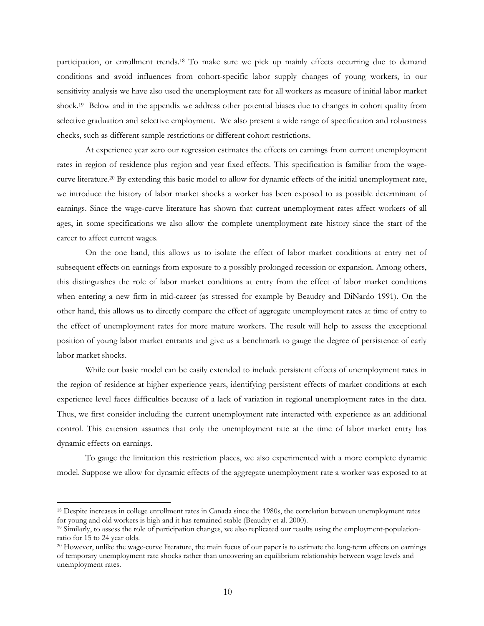participation, or enrollment trends.18 To make sure we pick up mainly effects occurring due to demand conditions and avoid influences from cohort-specific labor supply changes of young workers, in our sensitivity analysis we have also used the unemployment rate for all workers as measure of initial labor market shock.19 Below and in the appendix we address other potential biases due to changes in cohort quality from selective graduation and selective employment. We also present a wide range of specification and robustness checks, such as different sample restrictions or different cohort restrictions.

At experience year zero our regression estimates the effects on earnings from current unemployment rates in region of residence plus region and year fixed effects. This specification is familiar from the wagecurve literature.20 By extending this basic model to allow for dynamic effects of the initial unemployment rate, we introduce the history of labor market shocks a worker has been exposed to as possible determinant of earnings. Since the wage-curve literature has shown that current unemployment rates affect workers of all ages, in some specifications we also allow the complete unemployment rate history since the start of the career to affect current wages.

On the one hand, this allows us to isolate the effect of labor market conditions at entry net of subsequent effects on earnings from exposure to a possibly prolonged recession or expansion. Among others, this distinguishes the role of labor market conditions at entry from the effect of labor market conditions when entering a new firm in mid-career (as stressed for example by Beaudry and DiNardo 1991). On the other hand, this allows us to directly compare the effect of aggregate unemployment rates at time of entry to the effect of unemployment rates for more mature workers. The result will help to assess the exceptional position of young labor market entrants and give us a benchmark to gauge the degree of persistence of early labor market shocks.

While our basic model can be easily extended to include persistent effects of unemployment rates in the region of residence at higher experience years, identifying persistent effects of market conditions at each experience level faces difficulties because of a lack of variation in regional unemployment rates in the data. Thus, we first consider including the current unemployment rate interacted with experience as an additional control. This extension assumes that only the unemployment rate at the time of labor market entry has dynamic effects on earnings.

To gauge the limitation this restriction places, we also experimented with a more complete dynamic model. Suppose we allow for dynamic effects of the aggregate unemployment rate a worker was exposed to at

<sup>&</sup>lt;sup>18</sup> Despite increases in college enrollment rates in Canada since the 1980s, the correlation between unemployment rates for young and old workers is high and it has remained stable (Beaudry et al. 2000).<br><sup>19</sup> Similarly, to assess the role of participation changes, we also replicated our results using the employment-population-

ratio for 15 to 24 year olds.

<sup>&</sup>lt;sup>20</sup> However, unlike the wage-curve literature, the main focus of our paper is to estimate the long-term effects on earnings of temporary unemployment rate shocks rather than uncovering an equilibrium relationship between wage levels and unemployment rates.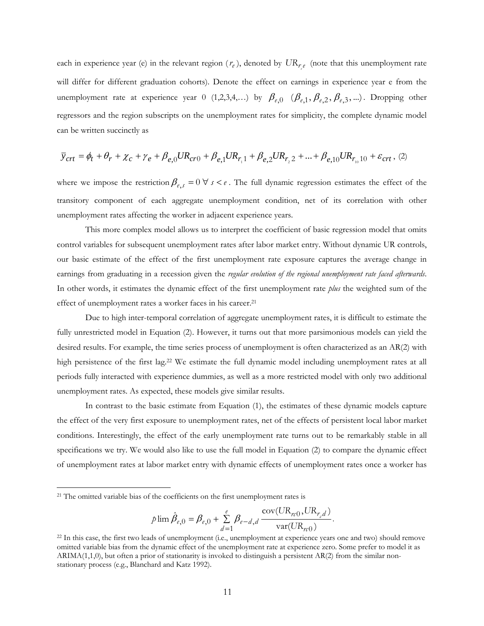each in experience year (e) in the relevant region  $(r_e)$ , denoted by  $UR_{r_e e}$  (note that this unemployment rate will differ for different graduation cohorts). Denote the effect on earnings in experience year e from the unemployment rate at experience year 0 (1,2,3,4,...) by  $\beta_{e,0}$  ( $\beta_{e,1}, \beta_{e,2}, \beta_{e,3}$ ,...). Dropping other regressors and the region subscripts on the unemployment rates for simplicity, the complete dynamic model can be written succinctly as

$$
\overline{y}_{crt} = \phi_t + \theta_r + \chi_c + \gamma_e + \beta_{e,0}UR_{cr0} + \beta_{e,1}UR_{r,1} + \beta_{e,2}UR_{r,2} + \dots + \beta_{e,10}UR_{r_{10}10} + \varepsilon_{crt} \tag{2}
$$

where we impose the restriction  $\beta_{e,s} = 0 \ \forall s < e$ . The full dynamic regression estimates the effect of the transitory component of each aggregate unemployment condition, net of its correlation with other unemployment rates affecting the worker in adjacent experience years.

This more complex model allows us to interpret the coefficient of basic regression model that omits control variables for subsequent unemployment rates after labor market entry. Without dynamic UR controls, our basic estimate of the effect of the first unemployment rate exposure captures the average change in earnings from graduating in a recession given the *regular evolution of the regional unemployment rate faced afterwards*. In other words, it estimates the dynamic effect of the first unemployment rate *plus* the weighted sum of the effect of unemployment rates a worker faces in his career.<sup>21</sup>

 Due to high inter-temporal correlation of aggregate unemployment rates, it is difficult to estimate the fully unrestricted model in Equation (2). However, it turns out that more parsimonious models can yield the desired results. For example, the time series process of unemployment is often characterized as an AR(2) with high persistence of the first lag.<sup>22</sup> We estimate the full dynamic model including unemployment rates at all periods fully interacted with experience dummies, as well as a more restricted model with only two additional unemployment rates. As expected, these models give similar results.

In contrast to the basic estimate from Equation (1), the estimates of these dynamic models capture the effect of the very first exposure to unemployment rates, net of the effects of persistent local labor market conditions. Interestingly, the effect of the early unemployment rate turns out to be remarkably stable in all specifications we try. We would also like to use the full model in Equation (2) to compare the dynamic effect of unemployment rates at labor market entry with dynamic effects of unemployment rates once a worker has

$$
p\lim \hat{\beta}_{e,0} = \beta_{e,0} + \sum_{d=1}^{e} \beta_{e-d,d} \frac{\text{cov}(UR_{\kappa 0},UR_{r_d})}{\text{var}(UR_{\kappa 0})}.
$$

<sup>&</sup>lt;sup>21</sup> The omitted variable bias of the coefficients on the first unemployment rates is

<sup>&</sup>lt;sup>22</sup> In this case, the first two leads of unemployment (i.e., unemployment at experience years one and two) should remove omitted variable bias from the dynamic effect of the unemployment rate at experience zero. Some prefer to model it as ARIMA(1,1,0), but often a prior of stationarity is invoked to distinguish a persistent AR(2) from the similar nonstationary process (e.g., Blanchard and Katz 1992).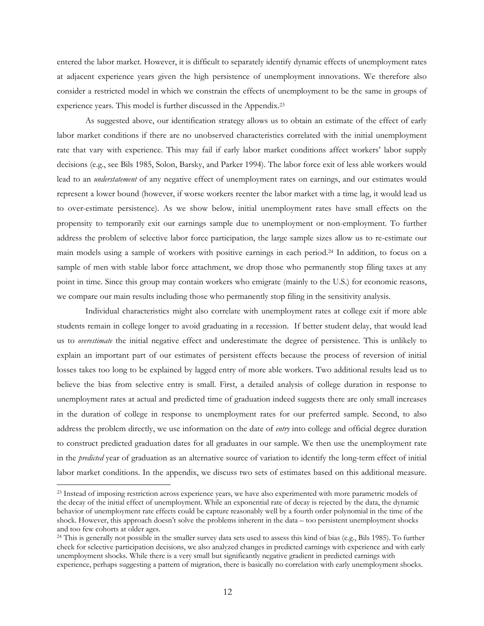entered the labor market. However, it is difficult to separately identify dynamic effects of unemployment rates at adjacent experience years given the high persistence of unemployment innovations. We therefore also consider a restricted model in which we constrain the effects of unemployment to be the same in groups of experience years. This model is further discussed in the Appendix.23

 As suggested above, our identification strategy allows us to obtain an estimate of the effect of early labor market conditions if there are no unobserved characteristics correlated with the initial unemployment rate that vary with experience. This may fail if early labor market conditions affect workers' labor supply decisions (e.g., see Bils 1985, Solon, Barsky, and Parker 1994). The labor force exit of less able workers would lead to an *understatement* of any negative effect of unemployment rates on earnings, and our estimates would represent a lower bound (however, if worse workers reenter the labor market with a time lag, it would lead us to over-estimate persistence). As we show below, initial unemployment rates have small effects on the propensity to temporarily exit our earnings sample due to unemployment or non-employment. To further address the problem of selective labor force participation, the large sample sizes allow us to re-estimate our main models using a sample of workers with positive earnings in each period.24 In addition, to focus on a sample of men with stable labor force attachment, we drop those who permanently stop filing taxes at any point in time. Since this group may contain workers who emigrate (mainly to the U.S.) for economic reasons, we compare our main results including those who permanently stop filing in the sensitivity analysis.

Individual characteristics might also correlate with unemployment rates at college exit if more able students remain in college longer to avoid graduating in a recession. If better student delay, that would lead us to *overestimate* the initial negative effect and underestimate the degree of persistence. This is unlikely to explain an important part of our estimates of persistent effects because the process of reversion of initial losses takes too long to be explained by lagged entry of more able workers. Two additional results lead us to believe the bias from selective entry is small. First, a detailed analysis of college duration in response to unemployment rates at actual and predicted time of graduation indeed suggests there are only small increases in the duration of college in response to unemployment rates for our preferred sample. Second, to also address the problem directly, we use information on the date of *entry* into college and official degree duration to construct predicted graduation dates for all graduates in our sample. We then use the unemployment rate in the *predicted* year of graduation as an alternative source of variation to identify the long-term effect of initial labor market conditions. In the appendix, we discuss two sets of estimates based on this additional measure.

<sup>&</sup>lt;sup>23</sup> Instead of imposing restriction across experience years, we have also experimented with more parametric models of the decay of the initial effect of unemployment. While an exponential rate of decay is rejected by the data, the dynamic behavior of unemployment rate effects could be capture reasonably well by a fourth order polynomial in the time of the shock. However, this approach doesn't solve the problems inherent in the data – too persistent unemployment shocks and too few cohorts at older ages.

<sup>24</sup> This is generally not possible in the smaller survey data sets used to assess this kind of bias (e.g., Bils 1985). To further check for selective participation decisions, we also analyzed changes in predicted earnings with experience and with early unemployment shocks. While there is a very small but significantly negative gradient in predicted earnings with experience, perhaps suggesting a pattern of migration, there is basically no correlation with early unemployment shocks.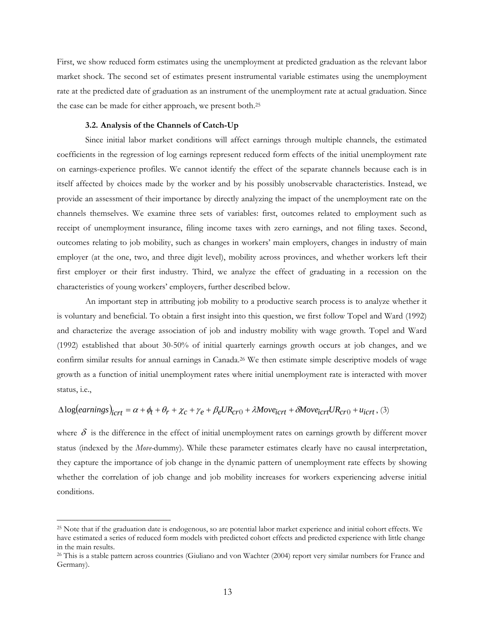First, we show reduced form estimates using the unemployment at predicted graduation as the relevant labor market shock. The second set of estimates present instrumental variable estimates using the unemployment rate at the predicted date of graduation as an instrument of the unemployment rate at actual graduation. Since the case can be made for either approach, we present both.25

## **3.2. Analysis of the Channels of Catch-Up**

 $\overline{a}$ 

Since initial labor market conditions will affect earnings through multiple channels, the estimated coefficients in the regression of log earnings represent reduced form effects of the initial unemployment rate on earnings-experience profiles. We cannot identify the effect of the separate channels because each is in itself affected by choices made by the worker and by his possibly unobservable characteristics. Instead, we provide an assessment of their importance by directly analyzing the impact of the unemployment rate on the channels themselves. We examine three sets of variables: first, outcomes related to employment such as receipt of unemployment insurance, filing income taxes with zero earnings, and not filing taxes. Second, outcomes relating to job mobility, such as changes in workers' main employers, changes in industry of main employer (at the one, two, and three digit level), mobility across provinces, and whether workers left their first employer or their first industry. Third, we analyze the effect of graduating in a recession on the characteristics of young workers' employers, further described below.

An important step in attributing job mobility to a productive search process is to analyze whether it is voluntary and beneficial. To obtain a first insight into this question, we first follow Topel and Ward (1992) and characterize the average association of job and industry mobility with wage growth. Topel and Ward (1992) established that about 30-50% of initial quarterly earnings growth occurs at job changes, and we confirm similar results for annual earnings in Canada.<sup>26</sup> We then estimate simple descriptive models of wage growth as a function of initial unemployment rates where initial unemployment rate is interacted with mover status, i.e.,

# $\Delta log(earnings)_{icrt} = \alpha + \phi_t + \theta_r + \chi_c + \gamma_e + \beta_e U R_{cr0} + \lambda Move_{icrt} + \delta Move_{icrt} UR_{cr0} + u_{icrt}$ , (3)

where  $\delta$  is the difference in the effect of initial unemployment rates on earnings growth by different mover status (indexed by the *Move-*dummy). While these parameter estimates clearly have no causal interpretation, they capture the importance of job change in the dynamic pattern of unemployment rate effects by showing whether the correlation of job change and job mobility increases for workers experiencing adverse initial conditions.

<sup>25</sup> Note that if the graduation date is endogenous, so are potential labor market experience and initial cohort effects. We have estimated a series of reduced form models with predicted cohort effects and predicted experience with little change in the main results.

<sup>&</sup>lt;sup>26</sup> This is a stable pattern across countries (Giuliano and von Wachter (2004) report very similar numbers for France and Germany).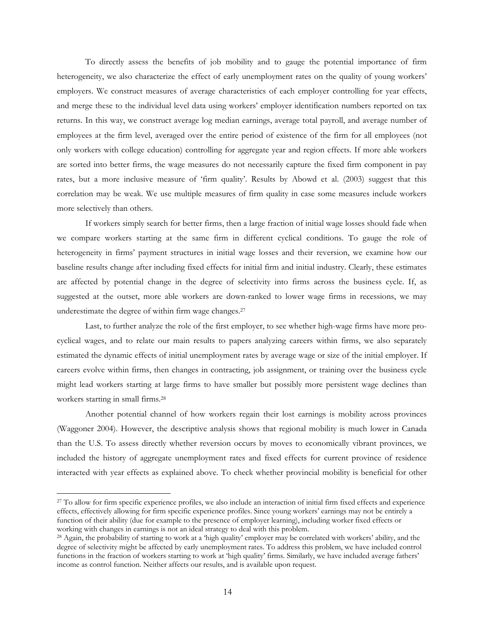To directly assess the benefits of job mobility and to gauge the potential importance of firm heterogeneity, we also characterize the effect of early unemployment rates on the quality of young workers' employers. We construct measures of average characteristics of each employer controlling for year effects, and merge these to the individual level data using workers' employer identification numbers reported on tax returns. In this way, we construct average log median earnings, average total payroll, and average number of employees at the firm level, averaged over the entire period of existence of the firm for all employees (not only workers with college education) controlling for aggregate year and region effects. If more able workers are sorted into better firms, the wage measures do not necessarily capture the fixed firm component in pay rates, but a more inclusive measure of 'firm quality'. Results by Abowd et al. (2003) suggest that this correlation may be weak. We use multiple measures of firm quality in case some measures include workers more selectively than others.

If workers simply search for better firms, then a large fraction of initial wage losses should fade when we compare workers starting at the same firm in different cyclical conditions. To gauge the role of heterogeneity in firms' payment structures in initial wage losses and their reversion, we examine how our baseline results change after including fixed effects for initial firm and initial industry. Clearly, these estimates are affected by potential change in the degree of selectivity into firms across the business cycle. If, as suggested at the outset, more able workers are down-ranked to lower wage firms in recessions, we may underestimate the degree of within firm wage changes.27

Last, to further analyze the role of the first employer, to see whether high-wage firms have more procyclical wages, and to relate our main results to papers analyzing careers within firms, we also separately estimated the dynamic effects of initial unemployment rates by average wage or size of the initial employer. If careers evolve within firms, then changes in contracting, job assignment, or training over the business cycle might lead workers starting at large firms to have smaller but possibly more persistent wage declines than workers starting in small firms.28

Another potential channel of how workers regain their lost earnings is mobility across provinces (Waggoner 2004). However, the descriptive analysis shows that regional mobility is much lower in Canada than the U.S. To assess directly whether reversion occurs by moves to economically vibrant provinces, we included the history of aggregate unemployment rates and fixed effects for current province of residence interacted with year effects as explained above. To check whether provincial mobility is beneficial for other

<sup>&</sup>lt;sup>27</sup> To allow for firm specific experience profiles, we also include an interaction of initial firm fixed effects and experience effects, effectively allowing for firm specific experience profiles. Since young workers' earnings may not be entirely a function of their ability (due for example to the presence of employer learning), including worker fixed effects or working with changes in earnings is not an ideal strategy to deal with this problem.

<sup>&</sup>lt;sup>28</sup> Again, the probability of starting to work at a 'high quality' employer may be correlated with workers' ability, and the degree of selectivity might be affected by early unemployment rates. To address this problem, we have included control functions in the fraction of workers starting to work at 'high quality' firms. Similarly, we have included average fathers' income as control function. Neither affects our results, and is available upon request.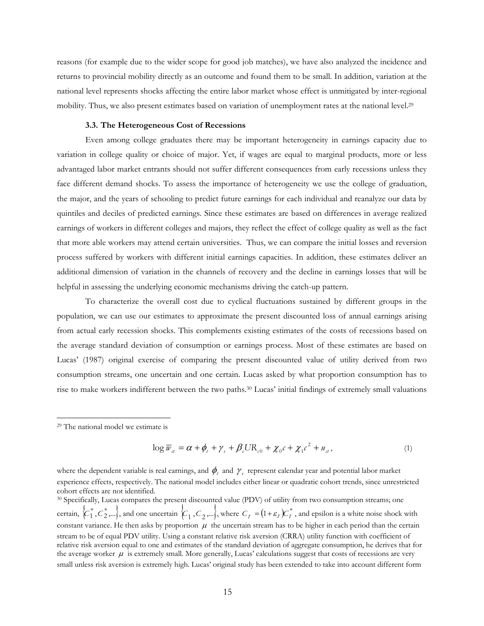reasons (for example due to the wider scope for good job matches), we have also analyzed the incidence and returns to provincial mobility directly as an outcome and found them to be small. In addition, variation at the national level represents shocks affecting the entire labor market whose effect is unmitigated by inter-regional mobility. Thus, we also present estimates based on variation of unemployment rates at the national level.<sup>29</sup>

## **3.3. The Heterogeneous Cost of Recessions**

Even among college graduates there may be important heterogeneity in earnings capacity due to variation in college quality or choice of major. Yet, if wages are equal to marginal products, more or less advantaged labor market entrants should not suffer different consequences from early recessions unless they face different demand shocks. To assess the importance of heterogeneity we use the college of graduation, the major, and the years of schooling to predict future earnings for each individual and reanalyze our data by quintiles and deciles of predicted earnings. Since these estimates are based on differences in average realized earnings of workers in different colleges and majors, they reflect the effect of college quality as well as the fact that more able workers may attend certain universities. Thus, we can compare the initial losses and reversion process suffered by workers with different initial earnings capacities. In addition, these estimates deliver an additional dimension of variation in the channels of recovery and the decline in earnings losses that will be helpful in assessing the underlying economic mechanisms driving the catch-up pattern.

To characterize the overall cost due to cyclical fluctuations sustained by different groups in the population, we can use our estimates to approximate the present discounted loss of annual earnings arising from actual early recession shocks. This complements existing estimates of the costs of recessions based on the average standard deviation of consumption or earnings process. Most of these estimates are based on Lucas' (1987) original exercise of comparing the present discounted value of utility derived from two consumption streams, one uncertain and one certain. Lucas asked by what proportion consumption has to rise to make workers indifferent between the two paths.30 Lucas' initial findings of extremely small valuations

 $\overline{a}$ 

$$
\log \overline{w}_a = \alpha + \phi_t + \gamma_e + \beta_e U R_{c0} + \chi_0 c + \chi_1 c^2 + u_a, \qquad (1)
$$

where the dependent variable is real earnings, and  $\phi_i$  and  $\gamma$ <sub>e</sub> represent calendar year and potential labor market experience effects, respectively. The national model includes either linear or quadratic cohort trends, since unrestricted cohort effects are not identified.

30 Specifically, Lucas compares the present discounted value (PDV) of utility from two consumption streams; one certain,  $\langle C_1^*, C_2^*,...\rangle$ , and one uncertain  $\langle C_1, C_2,...\rangle$ , where  $C_t = (1+\varepsilon_t)C_t^*$ , and epsilon is a white noise shock with constant variance. He then asks by proportion  $\mu$  the uncertain stream has to be higher in each period than the certain stream to be of equal PDV utility. Using a constant relative risk aversion (CRRA) utility function with coefficient of relative risk aversion equal to one and estimates of the standard deviation of aggregate consumption, he derives that for the average worker  $\mu$  is extremely small. More generally, Lucas' calculations suggest that costs of recessions are very small unless risk aversion is extremely high. Lucas' original study has been extended to take into account different form

<sup>29</sup> The national model we estimate is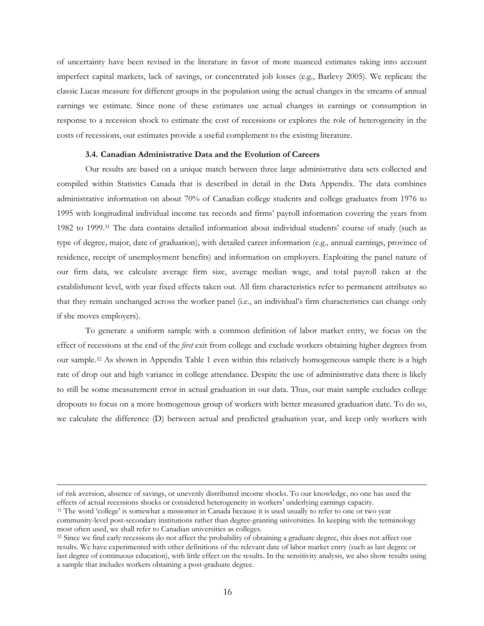of uncertainty have been revised in the literature in favor of more nuanced estimates taking into account imperfect capital markets, lack of savings, or concentrated job losses (e.g., Barlevy 2005). We replicate the classic Lucas measure for different groups in the population using the actual changes in the streams of annual earnings we estimate. Since none of these estimates use actual changes in earnings or consumption in response to a recession shock to estimate the cost of recessions or explores the role of heterogeneity in the costs of recessions, our estimates provide a useful complement to the existing literature.

#### **3.4. Canadian Administrative Data and the Evolution of Careers**

Our results are based on a unique match between three large administrative data sets collected and compiled within Statistics Canada that is described in detail in the Data Appendix. The data combines administrative information on about 70% of Canadian college students and college graduates from 1976 to 1995 with longitudinal individual income tax records and firms' payroll information covering the years from 1982 to 1999.31 The data contains detailed information about individual students' course of study (such as type of degree, major, date of graduation), with detailed career information (e.g., annual earnings, province of residence, receipt of unemployment benefits) and information on employers. Exploiting the panel nature of our firm data, we calculate average firm size, average median wage, and total payroll taken at the establishment level, with year fixed effects taken out. All firm characteristics refer to permanent attributes so that they remain unchanged across the worker panel (i.e., an individual's firm characteristics can change only if she moves employers).

To generate a uniform sample with a common definition of labor market entry, we focus on the effect of recessions at the end of the *first* exit from college and exclude workers obtaining higher degrees from our sample.32 As shown in Appendix Table 1 even within this relatively homogeneous sample there is a high rate of drop out and high variance in college attendance. Despite the use of administrative data there is likely to still be some measurement error in actual graduation in our data. Thus, our main sample excludes college dropouts to focus on a more homogenous group of workers with better measured graduation date. To do so, we calculate the difference (D) between actual and predicted graduation year, and keep only workers with

of risk aversion, absence of savings, or unevenly distributed income shocks. To our knowledge, no one has used the effects of actual recessions shocks or considered heterogeneity in workers' underlying earnings capacity. 31 The word 'college' is somewhat a misnomer in Canada because it is used usually to refer to one or two year

community-level post-secondary institutions rather than degree-granting universities. In keeping with the terminology most often used, we shall refer to Canadian universities as colleges.<br><sup>32</sup> Since we find early recessions do not affect the probability of obtaining a graduate degree, this does not affect our

results. We have experimented with other definitions of the relevant date of labor market entry (such as last degree or last degree of continuous education), with little effect on the results. In the sensitivity analysis, we also show results using a sample that includes workers obtaining a post-graduate degree.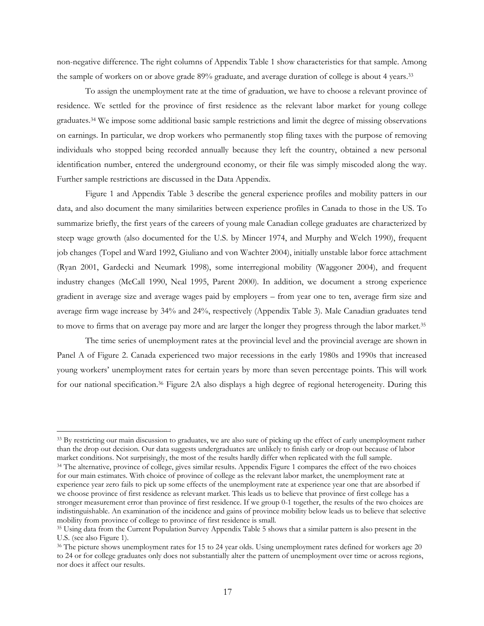non-negative difference. The right columns of Appendix Table 1 show characteristics for that sample. Among the sample of workers on or above grade 89% graduate, and average duration of college is about 4 years.33

 To assign the unemployment rate at the time of graduation, we have to choose a relevant province of residence. We settled for the province of first residence as the relevant labor market for young college graduates.34 We impose some additional basic sample restrictions and limit the degree of missing observations on earnings. In particular, we drop workers who permanently stop filing taxes with the purpose of removing individuals who stopped being recorded annually because they left the country, obtained a new personal identification number, entered the underground economy, or their file was simply miscoded along the way. Further sample restrictions are discussed in the Data Appendix.

Figure 1 and Appendix Table 3 describe the general experience profiles and mobility patters in our data, and also document the many similarities between experience profiles in Canada to those in the US. To summarize briefly, the first years of the careers of young male Canadian college graduates are characterized by steep wage growth (also documented for the U.S. by Mincer 1974, and Murphy and Welch 1990), frequent job changes (Topel and Ward 1992, Giuliano and von Wachter 2004), initially unstable labor force attachment (Ryan 2001, Gardecki and Neumark 1998), some interregional mobility (Waggoner 2004), and frequent industry changes (McCall 1990, Neal 1995, Parent 2000). In addition, we document a strong experience gradient in average size and average wages paid by employers – from year one to ten, average firm size and average firm wage increase by 34% and 24%, respectively (Appendix Table 3). Male Canadian graduates tend to move to firms that on average pay more and are larger the longer they progress through the labor market.35

The time series of unemployment rates at the provincial level and the provincial average are shown in Panel A of Figure 2. Canada experienced two major recessions in the early 1980s and 1990s that increased young workers' unemployment rates for certain years by more than seven percentage points. This will work for our national specification.36 Figure 2A also displays a high degree of regional heterogeneity. During this

<sup>&</sup>lt;sup>33</sup> By restricting our main discussion to graduates, we are also sure of picking up the effect of early unemployment rather than the drop out decision. Our data suggests undergraduates are unlikely to finish early or drop out because of labor<br>market conditions. Not surprisingly, the most of the results hardly differ when replicated with the ful <sup>34</sup> The alternative, province of college, gives similar results. Appendix Figure 1 compares the effect of the two choices for our main estimates. With choice of province of college as the relevant labor market, the unemployment rate at experience year zero fails to pick up some effects of the unemployment rate at experience year one that are absorbed if we choose province of first residence as relevant market. This leads us to believe that province of first college has a stronger measurement error than province of first residence. If we group 0-1 together, the results of the two choices are indistinguishable. An examination of the incidence and gains of province mobility below leads us to believe that selective

mobility from province of college to province of first residence is small.<br><sup>35</sup> Using data from the Current Population Survey Appendix Table 5 shows that a similar pattern is also present in the U.S. (see also Figure 1).

<sup>&</sup>lt;sup>36</sup> The picture shows unemployment rates for 15 to 24 year olds. Using unemployment rates defined for workers age 20 to 24 or for college graduates only does not substantially alter the pattern of unemployment over time or across regions, nor does it affect our results.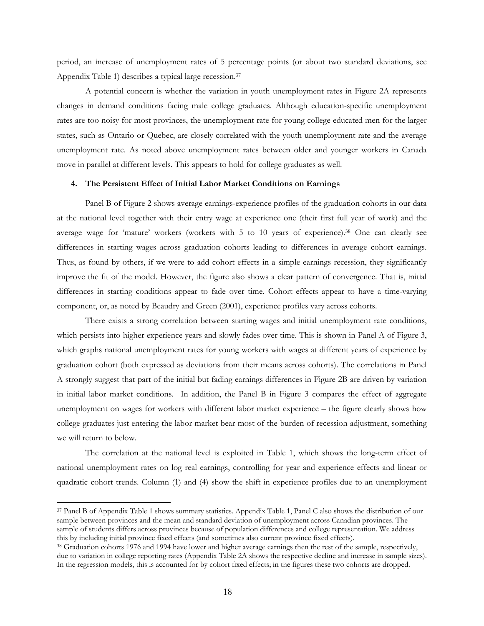period, an increase of unemployment rates of 5 percentage points (or about two standard deviations, see Appendix Table 1) describes a typical large recession.37

A potential concern is whether the variation in youth unemployment rates in Figure 2A represents changes in demand conditions facing male college graduates. Although education-specific unemployment rates are too noisy for most provinces, the unemployment rate for young college educated men for the larger states, such as Ontario or Quebec, are closely correlated with the youth unemployment rate and the average unemployment rate. As noted above unemployment rates between older and younger workers in Canada move in parallel at different levels. This appears to hold for college graduates as well.

# **4. The Persistent Effect of Initial Labor Market Conditions on Earnings**

Panel B of Figure 2 shows average earnings-experience profiles of the graduation cohorts in our data at the national level together with their entry wage at experience one (their first full year of work) and the average wage for 'mature' workers (workers with 5 to 10 years of experience).38 One can clearly see differences in starting wages across graduation cohorts leading to differences in average cohort earnings. Thus, as found by others, if we were to add cohort effects in a simple earnings recession, they significantly improve the fit of the model. However, the figure also shows a clear pattern of convergence. That is, initial differences in starting conditions appear to fade over time. Cohort effects appear to have a time-varying component, or, as noted by Beaudry and Green (2001), experience profiles vary across cohorts.

There exists a strong correlation between starting wages and initial unemployment rate conditions, which persists into higher experience years and slowly fades over time. This is shown in Panel A of Figure 3, which graphs national unemployment rates for young workers with wages at different years of experience by graduation cohort (both expressed as deviations from their means across cohorts). The correlations in Panel A strongly suggest that part of the initial but fading earnings differences in Figure 2B are driven by variation in initial labor market conditions. In addition, the Panel B in Figure 3 compares the effect of aggregate unemployment on wages for workers with different labor market experience – the figure clearly shows how college graduates just entering the labor market bear most of the burden of recession adjustment, something we will return to below.

The correlation at the national level is exploited in Table 1, which shows the long-term effect of national unemployment rates on log real earnings, controlling for year and experience effects and linear or quadratic cohort trends. Column (1) and (4) show the shift in experience profiles due to an unemployment

<sup>37</sup> Panel B of Appendix Table 1 shows summary statistics. Appendix Table 1, Panel C also shows the distribution of our sample between provinces and the mean and standard deviation of unemployment across Canadian provinces. The sample of students differs across provinces because of population differences and college representation. We address this by including initial province fixed effects (and sometimes also current province fixed effects).

 $38$  Graduation cohorts 1976 and 1994 have lower and higher average earnings then the rest of the sample, respectively, due to variation in college reporting rates (Appendix Table 2A shows the respective decline and increase in sample sizes). In the regression models, this is accounted for by cohort fixed effects; in the figures these two cohorts are dropped.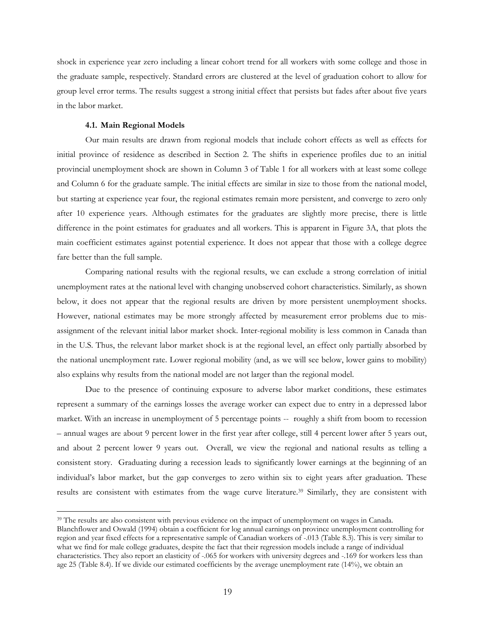shock in experience year zero including a linear cohort trend for all workers with some college and those in the graduate sample, respectively. Standard errors are clustered at the level of graduation cohort to allow for group level error terms. The results suggest a strong initial effect that persists but fades after about five years in the labor market.

# **4.1. Main Regional Models**

 $\overline{a}$ 

Our main results are drawn from regional models that include cohort effects as well as effects for initial province of residence as described in Section 2. The shifts in experience profiles due to an initial provincial unemployment shock are shown in Column 3 of Table 1 for all workers with at least some college and Column 6 for the graduate sample. The initial effects are similar in size to those from the national model, but starting at experience year four, the regional estimates remain more persistent, and converge to zero only after 10 experience years. Although estimates for the graduates are slightly more precise, there is little difference in the point estimates for graduates and all workers. This is apparent in Figure 3A, that plots the main coefficient estimates against potential experience. It does not appear that those with a college degree fare better than the full sample.

Comparing national results with the regional results, we can exclude a strong correlation of initial unemployment rates at the national level with changing unobserved cohort characteristics. Similarly, as shown below, it does not appear that the regional results are driven by more persistent unemployment shocks. However, national estimates may be more strongly affected by measurement error problems due to misassignment of the relevant initial labor market shock. Inter-regional mobility is less common in Canada than in the U.S. Thus, the relevant labor market shock is at the regional level, an effect only partially absorbed by the national unemployment rate. Lower regional mobility (and, as we will see below, lower gains to mobility) also explains why results from the national model are not larger than the regional model.

Due to the presence of continuing exposure to adverse labor market conditions, these estimates represent a summary of the earnings losses the average worker can expect due to entry in a depressed labor market. With an increase in unemployment of 5 percentage points -- roughly a shift from boom to recession – annual wages are about 9 percent lower in the first year after college, still 4 percent lower after 5 years out, and about 2 percent lower 9 years out. Overall, we view the regional and national results as telling a consistent story. Graduating during a recession leads to significantly lower earnings at the beginning of an individual's labor market, but the gap converges to zero within six to eight years after graduation. These results are consistent with estimates from the wage curve literature.39 Similarly, they are consistent with

<sup>&</sup>lt;sup>39</sup> The results are also consistent with previous evidence on the impact of unemployment on wages in Canada. Blanchflower and Oswald (1994) obtain a coefficient for log annual earnings on province unemployment controlling for region and year fixed effects for a representative sample of Canadian workers of -.013 (Table 8.3). This is very similar to what we find for male college graduates, despite the fact that their regression models include a range of individual characteristics. They also report an elasticity of -.065 for workers with university degrees and -.169 for workers less than age 25 (Table 8.4). If we divide our estimated coefficients by the average unemployment rate (14%), we obtain an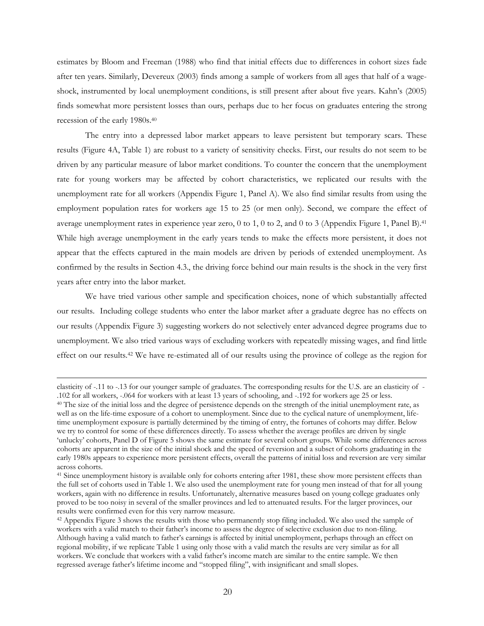estimates by Bloom and Freeman (1988) who find that initial effects due to differences in cohort sizes fade after ten years. Similarly, Devereux (2003) finds among a sample of workers from all ages that half of a wageshock, instrumented by local unemployment conditions, is still present after about five years. Kahn's (2005) finds somewhat more persistent losses than ours, perhaps due to her focus on graduates entering the strong recession of the early 1980s.40

The entry into a depressed labor market appears to leave persistent but temporary scars. These results (Figure 4A, Table 1) are robust to a variety of sensitivity checks. First, our results do not seem to be driven by any particular measure of labor market conditions. To counter the concern that the unemployment rate for young workers may be affected by cohort characteristics, we replicated our results with the unemployment rate for all workers (Appendix Figure 1, Panel A). We also find similar results from using the employment population rates for workers age 15 to 25 (or men only). Second, we compare the effect of average unemployment rates in experience year zero, 0 to 1, 0 to 2, and 0 to 3 (Appendix Figure 1, Panel B).41 While high average unemployment in the early years tends to make the effects more persistent, it does not appear that the effects captured in the main models are driven by periods of extended unemployment. As confirmed by the results in Section 4.3., the driving force behind our main results is the shock in the very first years after entry into the labor market.

We have tried various other sample and specification choices, none of which substantially affected our results. Including college students who enter the labor market after a graduate degree has no effects on our results (Appendix Figure 3) suggesting workers do not selectively enter advanced degree programs due to unemployment. We also tried various ways of excluding workers with repeatedly missing wages, and find little effect on our results.42 We have re-estimated all of our results using the province of college as the region for

elasticity of -.11 to -.13 for our younger sample of graduates. The corresponding results for the U.S. are an elasticity of -.102 for all workers, -.064 for workers with at least 13 years of schooling, and -.192 for worker

<sup>&</sup>lt;sup>40</sup> The size of the initial loss and the degree of persistence depends on the strength of the initial unemployment rate, as well as on the life-time exposure of a cohort to unemployment. Since due to the cyclical nature of unemployment, lifetime unemployment exposure is partially determined by the timing of entry, the fortunes of cohorts may differ. Below we try to control for some of these differences directly. To assess whether the average profiles are driven by single 'unlucky' cohorts, Panel D of Figure 5 shows the same estimate for several cohort groups. While some differences across cohorts are apparent in the size of the initial shock and the speed of reversion and a subset of cohorts graduating in the early 1980s appears to experience more persistent effects, overall the patterns of initial loss and reversion are very similar across cohorts.

<sup>&</sup>lt;sup>41</sup> Since unemployment history is available only for cohorts entering after 1981, these show more persistent effects than the full set of cohorts used in Table 1. We also used the unemployment rate for young men instead of that for all young workers, again with no difference in results. Unfortunately, alternative measures based on young college graduates only proved to be too noisy in several of the smaller provinces and led to attenuated results. For the larger provinces, our results were confirmed even for this very narrow measure.

<sup>&</sup>lt;sup>42</sup> Appendix Figure 3 shows the results with those who permanently stop filing included. We also used the sample of workers with a valid match to their father's income to assess the degree of selective exclusion due to non-filing. Although having a valid match to father's earnings is affected by initial unemployment, perhaps through an effect on regional mobility, if we replicate Table 1 using only those with a valid match the results are very similar as for all workers. We conclude that workers with a valid father's income match are similar to the entire sample. We then regressed average father's lifetime income and "stopped filing", with insignificant and small slopes.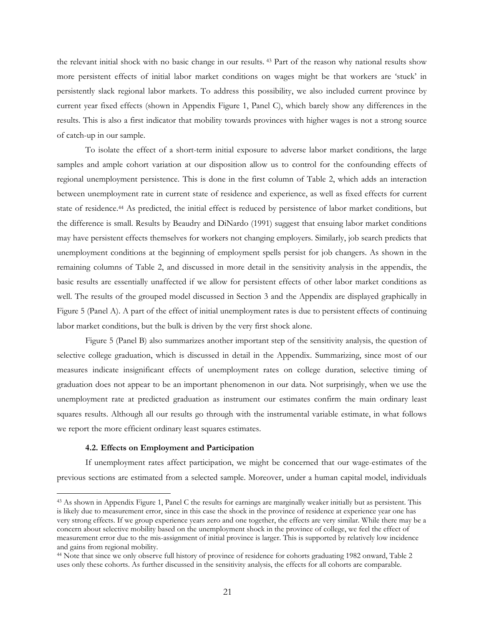the relevant initial shock with no basic change in our results. 43 Part of the reason why national results show more persistent effects of initial labor market conditions on wages might be that workers are 'stuck' in persistently slack regional labor markets. To address this possibility, we also included current province by current year fixed effects (shown in Appendix Figure 1, Panel C), which barely show any differences in the results. This is also a first indicator that mobility towards provinces with higher wages is not a strong source of catch-up in our sample.

To isolate the effect of a short-term initial exposure to adverse labor market conditions, the large samples and ample cohort variation at our disposition allow us to control for the confounding effects of regional unemployment persistence. This is done in the first column of Table 2, which adds an interaction between unemployment rate in current state of residence and experience, as well as fixed effects for current state of residence.44 As predicted, the initial effect is reduced by persistence of labor market conditions, but the difference is small. Results by Beaudry and DiNardo (1991) suggest that ensuing labor market conditions may have persistent effects themselves for workers not changing employers. Similarly, job search predicts that unemployment conditions at the beginning of employment spells persist for job changers. As shown in the remaining columns of Table 2, and discussed in more detail in the sensitivity analysis in the appendix, the basic results are essentially unaffected if we allow for persistent effects of other labor market conditions as well. The results of the grouped model discussed in Section 3 and the Appendix are displayed graphically in Figure 5 (Panel A). A part of the effect of initial unemployment rates is due to persistent effects of continuing labor market conditions, but the bulk is driven by the very first shock alone.

Figure 5 (Panel B) also summarizes another important step of the sensitivity analysis, the question of selective college graduation, which is discussed in detail in the Appendix. Summarizing, since most of our measures indicate insignificant effects of unemployment rates on college duration, selective timing of graduation does not appear to be an important phenomenon in our data. Not surprisingly, when we use the unemployment rate at predicted graduation as instrument our estimates confirm the main ordinary least squares results. Although all our results go through with the instrumental variable estimate, in what follows we report the more efficient ordinary least squares estimates.

#### **4.2. Effects on Employment and Participation**

 $\overline{a}$ 

If unemployment rates affect participation, we might be concerned that our wage-estimates of the previous sections are estimated from a selected sample. Moreover, under a human capital model, individuals

<sup>43</sup> As shown in Appendix Figure 1, Panel C the results for earnings are marginally weaker initially but as persistent. This is likely due to measurement error, since in this case the shock in the province of residence at experience year one has very strong effects. If we group experience years zero and one together, the effects are very similar. While there may be a concern about selective mobility based on the unemployment shock in the province of college, we feel the effect of measurement error due to the mis-assignment of initial province is larger. This is supported by relatively low incidence and gains from regional mobility.

<sup>44</sup> Note that since we only observe full history of province of residence for cohorts graduating 1982 onward, Table 2 uses only these cohorts. As further discussed in the sensitivity analysis, the effects for all cohorts are comparable.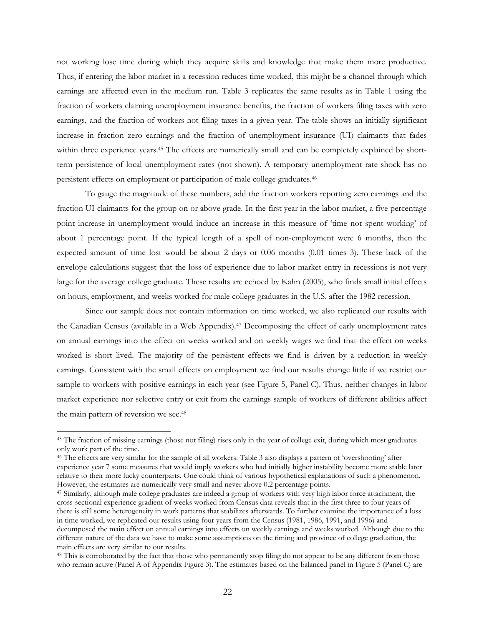not working lose time during which they acquire skills and knowledge that make them more productive. Thus, if entering the labor market in a recession reduces time worked, this might be a channel through which earnings are affected even in the medium run. Table 3 replicates the same results as in Table 1 using the fraction of workers claiming unemployment insurance benefits, the fraction of workers filing taxes with zero earnings, and the fraction of workers not filing taxes in a given year. The table shows an initially significant increase in fraction zero earnings and the fraction of unemployment insurance (UI) claimants that fades within three experience years.<sup>45</sup> The effects are numerically small and can be completely explained by shortterm persistence of local unemployment rates (not shown). A temporary unemployment rate shock has no persistent effects on employment or participation of male college graduates.46

To gauge the magnitude of these numbers, add the fraction workers reporting zero earnings and the fraction UI claimants for the group on or above grade. In the first year in the labor market, a five percentage point increase in unemployment would induce an increase in this measure of 'time not spent working' of about 1 percentage point. If the typical length of a spell of non-employment were 6 months, then the expected amount of time lost would be about 2 days or 0.06 months (0.01 times 3). These back of the envelope calculations suggest that the loss of experience due to labor market entry in recessions is not very large for the average college graduate. These results are echoed by Kahn (2005), who finds small initial effects on hours, employment, and weeks worked for male college graduates in the U.S. after the 1982 recession.

Since our sample does not contain information on time worked, we also replicated our results with the Canadian Census (available in a Web Appendix).<sup>47</sup> Decomposing the effect of early unemployment rates on annual earnings into the effect on weeks worked and on weekly wages we find that the effect on weeks worked is short lived. The majority of the persistent effects we find is driven by a reduction in weekly earnings. Consistent with the small effects on employment we find our results change little if we restrict our sample to workers with positive earnings in each year (see Figure 5, Panel C). Thus, neither changes in labor market experience nor selective entry or exit from the earnings sample of workers of different abilities affect the main pattern of reversion we see.48

<sup>45</sup> The fraction of missing earnings (those not filing) rises only in the year of college exit, during which most graduates only work part of the time.

<sup>&</sup>lt;sup>46</sup> The effects are very similar for the sample of all workers. Table 3 also displays a pattern of 'overshooting' after experience year 7 some measures that would imply workers who had initially higher instability become more stable later relative to their more lucky counterparts. One could think of various hypothetical explanations of such a phenomenon. However, the estimates are numerically very small and never above 0.2 percentage points. 47 Similarly, although male college graduates are indeed a group of workers with very high labor force attachment, the

cross-sectional experience gradient of weeks worked from Census data reveals that in the first three to four years of there is still some heterogeneity in work patterns that stabilizes afterwards. To further examine the importance of a loss in time worked, we replicated our results using four years from the Census (1981, 1986, 1991, and 1996) and decomposed the main effect on annual earnings into effects on weekly earnings and weeks worked. Although due to the different nature of the data we have to make some assumptions on the timing and province of college graduation, the main effects are very similar to our results.<br><sup>48</sup> This is corroborated by the fact that those who permanently stop filing do not appear to be any different from those

who remain active (Panel A of Appendix Figure 3). The estimates based on the balanced panel in Figure 5 (Panel C) are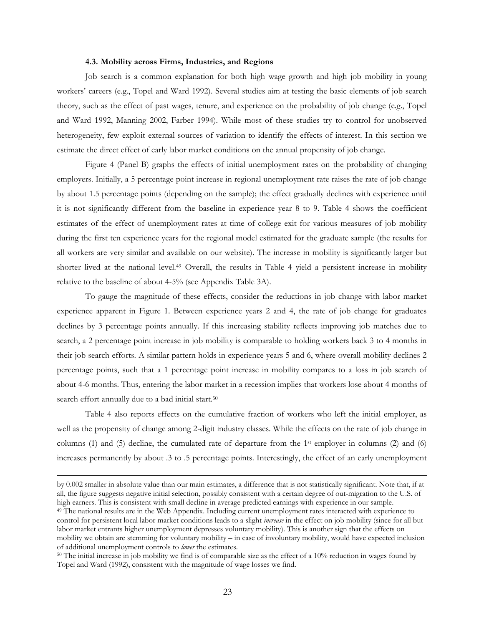#### **4.3. Mobility across Firms, Industries, and Regions**

Job search is a common explanation for both high wage growth and high job mobility in young workers' careers (e.g., Topel and Ward 1992). Several studies aim at testing the basic elements of job search theory, such as the effect of past wages, tenure, and experience on the probability of job change (e.g., Topel and Ward 1992, Manning 2002, Farber 1994). While most of these studies try to control for unobserved heterogeneity, few exploit external sources of variation to identify the effects of interest. In this section we estimate the direct effect of early labor market conditions on the annual propensity of job change.

Figure 4 (Panel B) graphs the effects of initial unemployment rates on the probability of changing employers. Initially, a 5 percentage point increase in regional unemployment rate raises the rate of job change by about 1.5 percentage points (depending on the sample); the effect gradually declines with experience until it is not significantly different from the baseline in experience year 8 to 9. Table 4 shows the coefficient estimates of the effect of unemployment rates at time of college exit for various measures of job mobility during the first ten experience years for the regional model estimated for the graduate sample (the results for all workers are very similar and available on our website). The increase in mobility is significantly larger but shorter lived at the national level.49 Overall, the results in Table 4 yield a persistent increase in mobility relative to the baseline of about 4-5% (see Appendix Table 3A).

To gauge the magnitude of these effects, consider the reductions in job change with labor market experience apparent in Figure 1. Between experience years 2 and 4, the rate of job change for graduates declines by 3 percentage points annually. If this increasing stability reflects improving job matches due to search, a 2 percentage point increase in job mobility is comparable to holding workers back 3 to 4 months in their job search efforts. A similar pattern holds in experience years 5 and 6, where overall mobility declines 2 percentage points, such that a 1 percentage point increase in mobility compares to a loss in job search of about 4-6 months. Thus, entering the labor market in a recession implies that workers lose about 4 months of search effort annually due to a bad initial start.<sup>50</sup>

Table 4 also reports effects on the cumulative fraction of workers who left the initial employer, as well as the propensity of change among 2-digit industry classes. While the effects on the rate of job change in columns (1) and (5) decline, the cumulated rate of departure from the 1st employer in columns (2) and (6) increases permanently by about .3 to .5 percentage points. Interestingly, the effect of an early unemployment

by 0.002 smaller in absolute value than our main estimates, a difference that is not statistically significant. Note that, if at all, the figure suggests negative initial selection, possibly consistent with a certain degree of out-migration to the U.S. of high earners. This is consistent with small decline in average predicted earnings with experience in our sample.<br><sup>49</sup> The national results are in the Web Appendix. Including current unemployment rates interacted with exper

control for persistent local labor market conditions leads to a slight *increase* in the effect on job mobility (since for all but labor market entrants higher unemployment depresses voluntary mobility). This is another sign that the effects on mobility we obtain are stemming for voluntary mobility – in case of involuntary mobility, would have expected inclusion of additional unemployment controls to *lower* the estimates. 50 The initial increase in job mobility we find is of comparable size as the effect of a 10% reduction in wages found by

Topel and Ward (1992), consistent with the magnitude of wage losses we find.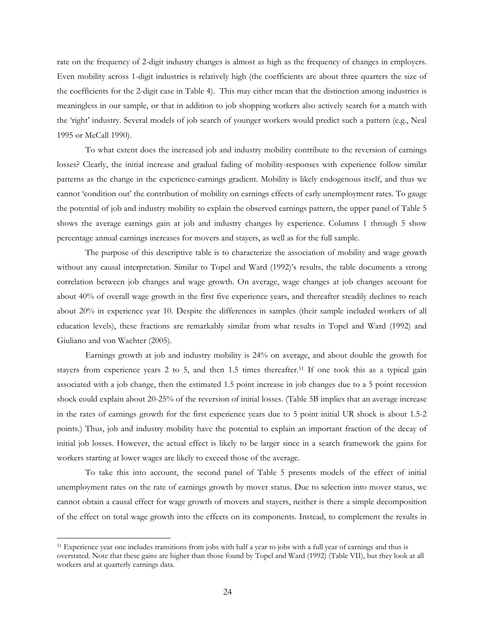rate on the frequency of 2-digit industry changes is almost as high as the frequency of changes in employers. Even mobility across 1-digit industries is relatively high (the coefficients are about three quarters the size of the coefficients for the 2-digit case in Table 4). This may either mean that the distinction among industries is meaningless in our sample, or that in addition to job shopping workers also actively search for a match with the 'right' industry. Several models of job search of younger workers would predict such a pattern (e.g., Neal 1995 or McCall 1990).

 To what extent does the increased job and industry mobility contribute to the reversion of earnings losses? Clearly, the initial increase and gradual fading of mobility-responses with experience follow similar patterns as the change in the experience-earnings gradient. Mobility is likely endogenous itself, and thus we cannot 'condition out' the contribution of mobility on earnings effects of early unemployment rates. To gauge the potential of job and industry mobility to explain the observed earnings pattern, the upper panel of Table 5 shows the average earnings gain at job and industry changes by experience. Columns 1 through 5 show percentage annual earnings increases for movers and stayers, as well as for the full sample.

The purpose of this descriptive table is to characterize the association of mobility and wage growth without any causal interpretation. Similar to Topel and Ward (1992)'s results, the table documents a strong correlation between job changes and wage growth. On average, wage changes at job changes account for about 40% of overall wage growth in the first five experience years, and thereafter steadily declines to reach about 20% in experience year 10. Despite the differences in samples (their sample included workers of all education levels), these fractions are remarkably similar from what results in Topel and Ward (1992) and Giuliano and von Wachter (2005).

Earnings growth at job and industry mobility is 24% on average, and about double the growth for stayers from experience years 2 to 5, and then 1.5 times thereafter.51 If one took this as a typical gain associated with a job change, then the estimated 1.5 point increase in job changes due to a 5 point recession shock could explain about 20-25% of the reversion of initial losses. (Table 5B implies that an average increase in the rates of earnings growth for the first experience years due to 5 point initial UR shock is about 1.5-2 points.) Thus, job and industry mobility have the potential to explain an important fraction of the decay of initial job losses. However, the actual effect is likely to be larger since in a search framework the gains for workers starting at lower wages are likely to exceed those of the average.

To take this into account, the second panel of Table 5 presents models of the effect of initial unemployment rates on the rate of earnings growth by mover status. Due to selection into mover status, we cannot obtain a causal effect for wage growth of movers and stayers, neither is there a simple decomposition of the effect on total wage growth into the effects on its components. Instead, to complement the results in

<sup>&</sup>lt;sup>51</sup> Experience year one includes transitions from jobs with half a year to jobs with a full year of earnings and thus is overstated. Note that these gains are higher than those found by Topel and Ward (1992) (Table VII), but they look at all workers and at quarterly earnings data.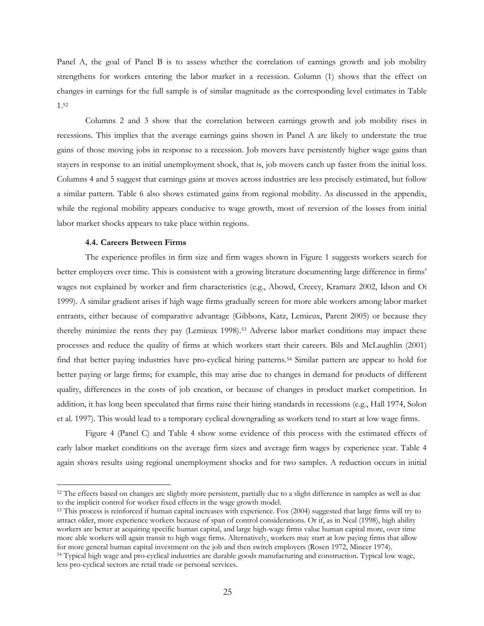Panel A, the goal of Panel B is to assess whether the correlation of earnings growth and job mobility strengthens for workers entering the labor market in a recession. Column (1) shows that the effect on changes in earnings for the full sample is of similar magnitude as the corresponding level estimates in Table 1.52

 Columns 2 and 3 show that the correlation between earnings growth and job mobility rises in recessions. This implies that the average earnings gains shown in Panel A are likely to understate the true gains of those moving jobs in response to a recession. Job movers have persistently higher wage gains than stayers in response to an initial unemployment shock, that is, job movers catch up faster from the initial loss. Columns 4 and 5 suggest that earnings gains at moves across industries are less precisely estimated, but follow a similar pattern. Table 6 also shows estimated gains from regional mobility. As discussed in the appendix, while the regional mobility appears conducive to wage growth, most of reversion of the losses from initial labor market shocks appears to take place within regions.

## **4.4. Careers Between Firms**

 $\overline{a}$ 

The experience profiles in firm size and firm wages shown in Figure 1 suggests workers search for better employers over time. This is consistent with a growing literature documenting large difference in firms' wages not explained by worker and firm characteristics (e.g., Abowd, Creecy, Kramarz 2002, Idson and Oi 1999). A similar gradient arises if high wage firms gradually screen for more able workers among labor market entrants, either because of comparative advantage (Gibbons, Katz, Lemieux, Parent 2005) or because they thereby minimize the rents they pay (Lemieux 1998).53 Adverse labor market conditions may impact these processes and reduce the quality of firms at which workers start their careers. Bils and McLaughlin (2001) find that better paying industries have pro-cyclical hiring patterns.54 Similar pattern are appear to hold for better paying or large firms; for example, this may arise due to changes in demand for products of different quality, differences in the costs of job creation, or because of changes in product market competition. In addition, it has long been speculated that firms raise their hiring standards in recessions (e.g., Hall 1974, Solon et al. 1997). This would lead to a temporary cyclical downgrading as workers tend to start at low wage firms.

Figure 4 (Panel C) and Table 4 show some evidence of this process with the estimated effects of early labor market conditions on the average firm sizes and average firm wages by experience year. Table 4 again shows results using regional unemployment shocks and for two samples. A reduction occurs in initial

<sup>&</sup>lt;sup>52</sup> The effects based on changes are slightly more persistent, partially due to a slight difference in samples as well as due to the implicit control for worker fixed effects in the wage growth model.

<sup>53</sup> This process is reinforced if human capital increases with experience. Fox (2004) suggested that large firms will try to attract older, more experience workers because of span of control considerations. Or if, as in Neal (1998), high ability workers are better at acquiring specific human capital, and large high-wage firms value human capital more, over time more able workers will again transit to high wage firms. Alternatively, workers may start at low paying firms that allow for more general human capital investment on the job and then switch employers (Rosen 1972, Mincer 1974). 54 Typical high wage and pro-cyclical industries are durable goods manufacturing and construction. Typical low wage,

less pro-cyclical sectors are retail trade or personal services.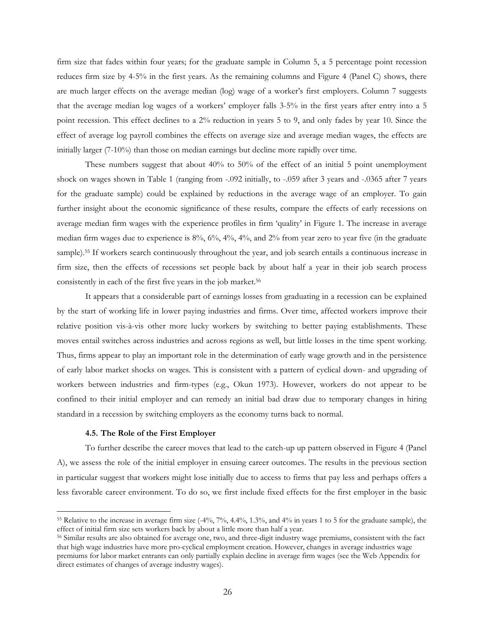firm size that fades within four years; for the graduate sample in Column 5, a 5 percentage point recession reduces firm size by 4-5% in the first years. As the remaining columns and Figure 4 (Panel C) shows, there are much larger effects on the average median (log) wage of a worker's first employers. Column 7 suggests that the average median log wages of a workers' employer falls 3-5% in the first years after entry into a 5 point recession. This effect declines to a 2% reduction in years 5 to 9, and only fades by year 10. Since the effect of average log payroll combines the effects on average size and average median wages, the effects are initially larger (7-10%) than those on median earnings but decline more rapidly over time.

These numbers suggest that about 40% to 50% of the effect of an initial 5 point unemployment shock on wages shown in Table 1 (ranging from -.092 initially, to -.059 after 3 years and -.0365 after 7 years for the graduate sample) could be explained by reductions in the average wage of an employer. To gain further insight about the economic significance of these results, compare the effects of early recessions on average median firm wages with the experience profiles in firm 'quality' in Figure 1. The increase in average median firm wages due to experience is 8%, 6%, 4%, 4%, and 2% from year zero to year five (in the graduate sample).55 If workers search continuously throughout the year, and job search entails a continuous increase in firm size, then the effects of recessions set people back by about half a year in their job search process consistently in each of the first five years in the job market.<sup>56</sup>

It appears that a considerable part of earnings losses from graduating in a recession can be explained by the start of working life in lower paying industries and firms. Over time, affected workers improve their relative position vis-à-vis other more lucky workers by switching to better paying establishments. These moves entail switches across industries and across regions as well, but little losses in the time spent working. Thus, firms appear to play an important role in the determination of early wage growth and in the persistence of early labor market shocks on wages. This is consistent with a pattern of cyclical down- and upgrading of workers between industries and firm-types (e.g., Okun 1973). However, workers do not appear to be confined to their initial employer and can remedy an initial bad draw due to temporary changes in hiring standard in a recession by switching employers as the economy turns back to normal.

#### **4.5. The Role of the First Employer**

 $\overline{a}$ 

To further describe the career moves that lead to the catch-up up pattern observed in Figure 4 (Panel A), we assess the role of the initial employer in ensuing career outcomes. The results in the previous section in particular suggest that workers might lose initially due to access to firms that pay less and perhaps offers a less favorable career environment. To do so, we first include fixed effects for the first employer in the basic

<sup>55</sup> Relative to the increase in average firm size (-4%, 7%, 4.4%, 1.3%, and 4% in years 1 to 5 for the graduate sample), the effect of initial firm size sets workers back by about a little more than half a year.

<sup>56</sup> Similar results are also obtained for average one, two, and three-digit industry wage premiums, consistent with the fact that high wage industries have more pro-cyclical employment creation. However, changes in average industries wage premiums for labor market entrants can only partially explain decline in average firm wages (see the Web Appendix for direct estimates of changes of average industry wages).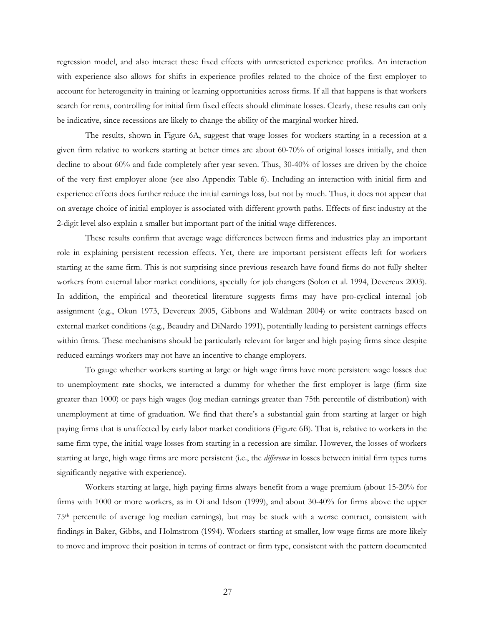regression model, and also interact these fixed effects with unrestricted experience profiles. An interaction with experience also allows for shifts in experience profiles related to the choice of the first employer to account for heterogeneity in training or learning opportunities across firms. If all that happens is that workers search for rents, controlling for initial firm fixed effects should eliminate losses. Clearly, these results can only be indicative, since recessions are likely to change the ability of the marginal worker hired.

The results, shown in Figure 6A, suggest that wage losses for workers starting in a recession at a given firm relative to workers starting at better times are about 60-70% of original losses initially, and then decline to about 60% and fade completely after year seven. Thus, 30-40% of losses are driven by the choice of the very first employer alone (see also Appendix Table 6). Including an interaction with initial firm and experience effects does further reduce the initial earnings loss, but not by much. Thus, it does not appear that on average choice of initial employer is associated with different growth paths. Effects of first industry at the 2-digit level also explain a smaller but important part of the initial wage differences.

These results confirm that average wage differences between firms and industries play an important role in explaining persistent recession effects. Yet, there are important persistent effects left for workers starting at the same firm. This is not surprising since previous research have found firms do not fully shelter workers from external labor market conditions, specially for job changers (Solon et al. 1994, Devereux 2003). In addition, the empirical and theoretical literature suggests firms may have pro-cyclical internal job assignment (e.g., Okun 1973, Devereux 2005, Gibbons and Waldman 2004) or write contracts based on external market conditions (e.g., Beaudry and DiNardo 1991), potentially leading to persistent earnings effects within firms. These mechanisms should be particularly relevant for larger and high paying firms since despite reduced earnings workers may not have an incentive to change employers.

To gauge whether workers starting at large or high wage firms have more persistent wage losses due to unemployment rate shocks, we interacted a dummy for whether the first employer is large (firm size greater than 1000) or pays high wages (log median earnings greater than 75th percentile of distribution) with unemployment at time of graduation. We find that there's a substantial gain from starting at larger or high paying firms that is unaffected by early labor market conditions (Figure 6B). That is, relative to workers in the same firm type, the initial wage losses from starting in a recession are similar. However, the losses of workers starting at large, high wage firms are more persistent (i.e., the *difference* in losses between initial firm types turns significantly negative with experience).

Workers starting at large, high paying firms always benefit from a wage premium (about 15-20% for firms with 1000 or more workers, as in Oi and Idson (1999), and about 30-40% for firms above the upper 75th percentile of average log median earnings), but may be stuck with a worse contract, consistent with findings in Baker, Gibbs, and Holmstrom (1994). Workers starting at smaller, low wage firms are more likely to move and improve their position in terms of contract or firm type, consistent with the pattern documented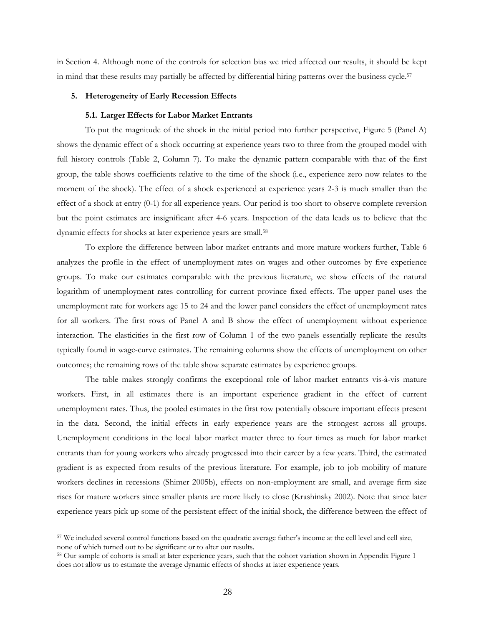in Section 4. Although none of the controls for selection bias we tried affected our results, it should be kept in mind that these results may partially be affected by differential hiring patterns over the business cycle.57

# **5. Heterogeneity of Early Recession Effects**

## **5.1. Larger Effects for Labor Market Entrants**

To put the magnitude of the shock in the initial period into further perspective, Figure 5 (Panel A) shows the dynamic effect of a shock occurring at experience years two to three from the grouped model with full history controls (Table 2, Column 7). To make the dynamic pattern comparable with that of the first group, the table shows coefficients relative to the time of the shock (i.e., experience zero now relates to the moment of the shock). The effect of a shock experienced at experience years 2-3 is much smaller than the effect of a shock at entry (0-1) for all experience years. Our period is too short to observe complete reversion but the point estimates are insignificant after 4-6 years. Inspection of the data leads us to believe that the dynamic effects for shocks at later experience years are small.58

To explore the difference between labor market entrants and more mature workers further, Table 6 analyzes the profile in the effect of unemployment rates on wages and other outcomes by five experience groups. To make our estimates comparable with the previous literature, we show effects of the natural logarithm of unemployment rates controlling for current province fixed effects. The upper panel uses the unemployment rate for workers age 15 to 24 and the lower panel considers the effect of unemployment rates for all workers. The first rows of Panel A and B show the effect of unemployment without experience interaction. The elasticities in the first row of Column 1 of the two panels essentially replicate the results typically found in wage-curve estimates. The remaining columns show the effects of unemployment on other outcomes; the remaining rows of the table show separate estimates by experience groups.

The table makes strongly confirms the exceptional role of labor market entrants vis-à-vis mature workers. First, in all estimates there is an important experience gradient in the effect of current unemployment rates. Thus, the pooled estimates in the first row potentially obscure important effects present in the data. Second, the initial effects in early experience years are the strongest across all groups. Unemployment conditions in the local labor market matter three to four times as much for labor market entrants than for young workers who already progressed into their career by a few years. Third, the estimated gradient is as expected from results of the previous literature. For example, job to job mobility of mature workers declines in recessions (Shimer 2005b), effects on non-employment are small, and average firm size rises for mature workers since smaller plants are more likely to close (Krashinsky 2002). Note that since later experience years pick up some of the persistent effect of the initial shock, the difference between the effect of

<sup>57</sup> We included several control functions based on the quadratic average father's income at the cell level and cell size, none of which turned out to be significant or to alter our results.<br><sup>58</sup> Our sample of cohorts is small at later experience years, such that the cohort variation shown in Appendix Figure 1

does not allow us to estimate the average dynamic effects of shocks at later experience years.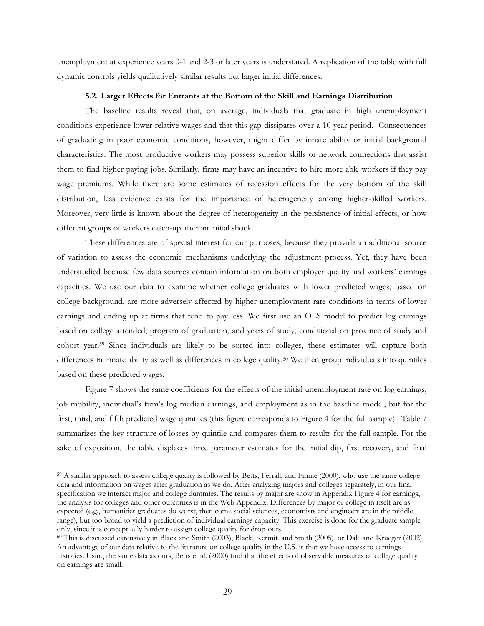unemployment at experience years 0-1 and 2-3 or later years is understated. A replication of the table with full dynamic controls yields qualitatively similar results but larger initial differences.

## **5.2. Larger Effects for Entrants at the Bottom of the Skill and Earnings Distribution**

The baseline results reveal that, on average, individuals that graduate in high unemployment conditions experience lower relative wages and that this gap dissipates over a 10 year period. Consequences of graduating in poor economic conditions, however, might differ by innate ability or initial background characteristics. The most productive workers may possess superior skills or network connections that assist them to find higher paying jobs. Similarly, firms may have an incentive to hire more able workers if they pay wage premiums. While there are some estimates of recession effects for the very bottom of the skill distribution, less evidence exists for the importance of heterogeneity among higher-skilled workers. Moreover, very little is known about the degree of heterogeneity in the persistence of initial effects, or how different groups of workers catch-up after an initial shock.

These differences are of special interest for our purposes, because they provide an additional source of variation to assess the economic mechanisms underlying the adjustment process. Yet, they have been understudied because few data sources contain information on both employer quality and workers' earnings capacities. We use our data to examine whether college graduates with lower predicted wages, based on college background, are more adversely affected by higher unemployment rate conditions in terms of lower earnings and ending up at firms that tend to pay less. We first use an OLS model to predict log earnings based on college attended, program of graduation, and years of study, conditional on province of study and cohort year.59 Since individuals are likely to be sorted into colleges, these estimates will capture both differences in innate ability as well as differences in college quality.60 We then group individuals into quintiles based on these predicted wages.

Figure 7 shows the same coefficients for the effects of the initial unemployment rate on log earnings, job mobility, individual's firm's log median earnings, and employment as in the baseline model, but for the first, third, and fifth predicted wage quintiles (this figure corresponds to Figure 4 for the full sample). Table 7 summarizes the key structure of losses by quintile and compares them to results for the full sample. For the sake of exposition, the table displaces three parameter estimates for the initial dip, first recovery, and final

<sup>59</sup> A similar approach to assess college quality is followed by Betts, Ferrall, and Finnie (2000), who use the same college data and information on wages after graduation as we do. After analyzing majors and colleges separately, in our final specification we interact major and college dummies. The results by major are show in Appendix Figure 4 for earnings, the analysis for colleges and other outcomes is in the Web Appendix. Differences by major or college in itself are as expected (e.g., humanities graduates do worst, then come social sciences, economists and engineers are in the middle range), but too broad to yield a prediction of individual earnings capacity. This exercise is done for the graduate sample only, since it is conceptually harder to assign college quality for drop-outs.

 $\textdegree$  This is discussed extensively in Black and Smith (2003), Black, Kermit, and Smith (2005), or Dale and Krueger (2002). An advantage of our data relative to the literature on college quality in the U.S. is that we have access to earnings histories. Using the same data as ours, Betts et al. (2000) find that the effects of observable measures of college quality on earnings are small.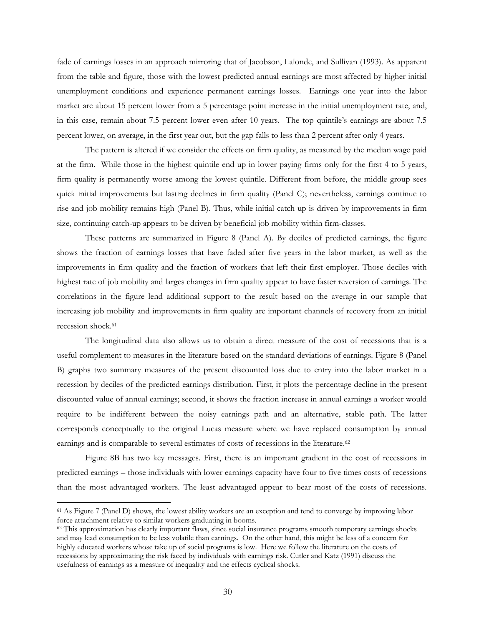fade of earnings losses in an approach mirroring that of Jacobson, Lalonde, and Sullivan (1993). As apparent from the table and figure, those with the lowest predicted annual earnings are most affected by higher initial unemployment conditions and experience permanent earnings losses. Earnings one year into the labor market are about 15 percent lower from a 5 percentage point increase in the initial unemployment rate, and, in this case, remain about 7.5 percent lower even after 10 years. The top quintile's earnings are about 7.5 percent lower, on average, in the first year out, but the gap falls to less than 2 percent after only 4 years.

The pattern is altered if we consider the effects on firm quality, as measured by the median wage paid at the firm. While those in the highest quintile end up in lower paying firms only for the first 4 to 5 years, firm quality is permanently worse among the lowest quintile. Different from before, the middle group sees quick initial improvements but lasting declines in firm quality (Panel C); nevertheless, earnings continue to rise and job mobility remains high (Panel B). Thus, while initial catch up is driven by improvements in firm size, continuing catch-up appears to be driven by beneficial job mobility within firm-classes.

These patterns are summarized in Figure 8 (Panel A). By deciles of predicted earnings, the figure shows the fraction of earnings losses that have faded after five years in the labor market, as well as the improvements in firm quality and the fraction of workers that left their first employer. Those deciles with highest rate of job mobility and larges changes in firm quality appear to have faster reversion of earnings. The correlations in the figure lend additional support to the result based on the average in our sample that increasing job mobility and improvements in firm quality are important channels of recovery from an initial recession shock.61

The longitudinal data also allows us to obtain a direct measure of the cost of recessions that is a useful complement to measures in the literature based on the standard deviations of earnings. Figure 8 (Panel B) graphs two summary measures of the present discounted loss due to entry into the labor market in a recession by deciles of the predicted earnings distribution. First, it plots the percentage decline in the present discounted value of annual earnings; second, it shows the fraction increase in annual earnings a worker would require to be indifferent between the noisy earnings path and an alternative, stable path. The latter corresponds conceptually to the original Lucas measure where we have replaced consumption by annual earnings and is comparable to several estimates of costs of recessions in the literature.<sup>62</sup>

Figure 8B has two key messages. First, there is an important gradient in the cost of recessions in predicted earnings – those individuals with lower earnings capacity have four to five times costs of recessions than the most advantaged workers. The least advantaged appear to bear most of the costs of recessions.

<sup>61</sup> As Figure 7 (Panel D) shows, the lowest ability workers are an exception and tend to converge by improving labor force attachment relative to similar workers graduating in booms.<br><sup>62</sup> This approximation has clearly important flaws, since social insurance programs smooth temporary earnings shocks

and may lead consumption to be less volatile than earnings. On the other hand, this might be less of a concern for highly educated workers whose take up of social programs is low. Here we follow the literature on the costs of recessions by approximating the risk faced by individuals with earnings risk. Cutler and Katz (1991) discuss the usefulness of earnings as a measure of inequality and the effects cyclical shocks.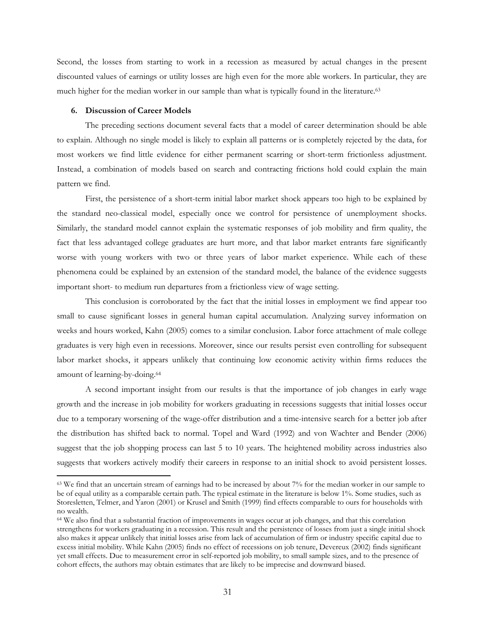Second, the losses from starting to work in a recession as measured by actual changes in the present discounted values of earnings or utility losses are high even for the more able workers. In particular, they are much higher for the median worker in our sample than what is typically found in the literature.63

#### **6. Discussion of Career Models**

 $\overline{a}$ 

The preceding sections document several facts that a model of career determination should be able to explain. Although no single model is likely to explain all patterns or is completely rejected by the data, for most workers we find little evidence for either permanent scarring or short-term frictionless adjustment. Instead, a combination of models based on search and contracting frictions hold could explain the main pattern we find.

First, the persistence of a short-term initial labor market shock appears too high to be explained by the standard neo-classical model, especially once we control for persistence of unemployment shocks. Similarly, the standard model cannot explain the systematic responses of job mobility and firm quality, the fact that less advantaged college graduates are hurt more, and that labor market entrants fare significantly worse with young workers with two or three years of labor market experience. While each of these phenomena could be explained by an extension of the standard model, the balance of the evidence suggests important short- to medium run departures from a frictionless view of wage setting.

This conclusion is corroborated by the fact that the initial losses in employment we find appear too small to cause significant losses in general human capital accumulation. Analyzing survey information on weeks and hours worked, Kahn (2005) comes to a similar conclusion. Labor force attachment of male college graduates is very high even in recessions. Moreover, since our results persist even controlling for subsequent labor market shocks, it appears unlikely that continuing low economic activity within firms reduces the amount of learning-by-doing.64

A second important insight from our results is that the importance of job changes in early wage growth and the increase in job mobility for workers graduating in recessions suggests that initial losses occur due to a temporary worsening of the wage-offer distribution and a time-intensive search for a better job after the distribution has shifted back to normal. Topel and Ward (1992) and von Wachter and Bender (2006) suggest that the job shopping process can last 5 to 10 years. The heightened mobility across industries also suggests that workers actively modify their careers in response to an initial shock to avoid persistent losses.

<sup>&</sup>lt;sup>63</sup> We find that an uncertain stream of earnings had to be increased by about 7% for the median worker in our sample to be of equal utility as a comparable certain path. The typical estimate in the literature is below 1%. Some studies, such as Storesletten, Telmer, and Yaron (2001) or Krusel and Smith (1999) find effects comparable to ours for households with no wealth.

<sup>64</sup> We also find that a substantial fraction of improvements in wages occur at job changes, and that this correlation strengthens for workers graduating in a recession. This result and the persistence of losses from just a single initial shock also makes it appear unlikely that initial losses arise from lack of accumulation of firm or industry specific capital due to excess initial mobility. While Kahn (2005) finds no effect of recessions on job tenure, Devereux (2002) finds significant yet small effects. Due to measurement error in self-reported job mobility, to small sample sizes, and to the presence of cohort effects, the authors may obtain estimates that are likely to be imprecise and downward biased.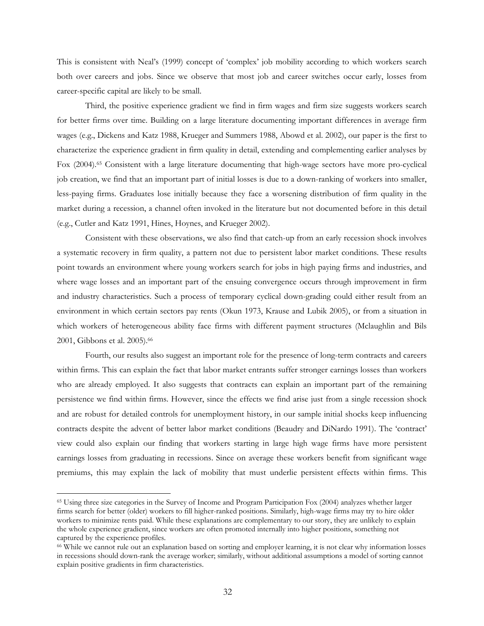This is consistent with Neal's (1999) concept of 'complex' job mobility according to which workers search both over careers and jobs. Since we observe that most job and career switches occur early, losses from career-specific capital are likely to be small.

Third, the positive experience gradient we find in firm wages and firm size suggests workers search for better firms over time. Building on a large literature documenting important differences in average firm wages (e.g., Dickens and Katz 1988, Krueger and Summers 1988, Abowd et al. 2002), our paper is the first to characterize the experience gradient in firm quality in detail, extending and complementing earlier analyses by Fox (2004).65 Consistent with a large literature documenting that high-wage sectors have more pro-cyclical job creation, we find that an important part of initial losses is due to a down-ranking of workers into smaller, less-paying firms. Graduates lose initially because they face a worsening distribution of firm quality in the market during a recession, a channel often invoked in the literature but not documented before in this detail (e.g., Cutler and Katz 1991, Hines, Hoynes, and Krueger 2002).

Consistent with these observations, we also find that catch-up from an early recession shock involves a systematic recovery in firm quality, a pattern not due to persistent labor market conditions. These results point towards an environment where young workers search for jobs in high paying firms and industries, and where wage losses and an important part of the ensuing convergence occurs through improvement in firm and industry characteristics. Such a process of temporary cyclical down-grading could either result from an environment in which certain sectors pay rents (Okun 1973, Krause and Lubik 2005), or from a situation in which workers of heterogeneous ability face firms with different payment structures (Mclaughlin and Bils 2001, Gibbons et al. 2005).66

Fourth, our results also suggest an important role for the presence of long-term contracts and careers within firms. This can explain the fact that labor market entrants suffer stronger earnings losses than workers who are already employed. It also suggests that contracts can explain an important part of the remaining persistence we find within firms. However, since the effects we find arise just from a single recession shock and are robust for detailed controls for unemployment history, in our sample initial shocks keep influencing contracts despite the advent of better labor market conditions (Beaudry and DiNardo 1991). The 'contract' view could also explain our finding that workers starting in large high wage firms have more persistent earnings losses from graduating in recessions. Since on average these workers benefit from significant wage premiums, this may explain the lack of mobility that must underlie persistent effects within firms. This

<sup>65</sup> Using three size categories in the Survey of Income and Program Participation Fox (2004) analyzes whether larger firms search for better (older) workers to fill higher-ranked positions. Similarly, high-wage firms may try to hire older workers to minimize rents paid. While these explanations are complementary to our story, they are unlikely to explain the whole experience gradient, since workers are often promoted internally into higher positions, something not captured by the experience profiles.

<sup>66</sup> While we cannot rule out an explanation based on sorting and employer learning, it is not clear why information losses in recessions should down-rank the average worker; similarly, without additional assumptions a model of sorting cannot explain positive gradients in firm characteristics.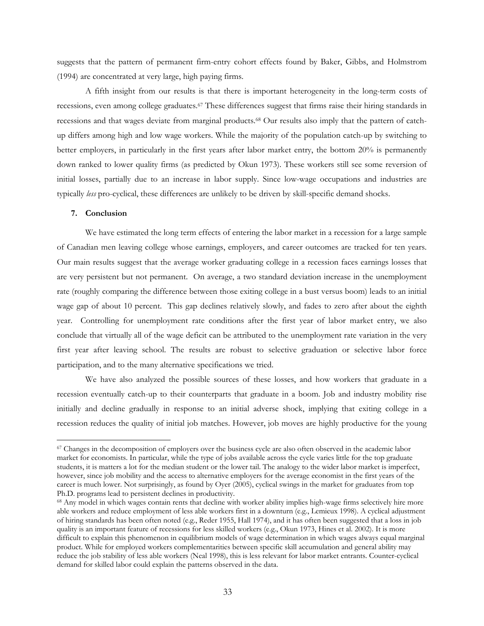suggests that the pattern of permanent firm-entry cohort effects found by Baker, Gibbs, and Holmstrom (1994) are concentrated at very large, high paying firms.

A fifth insight from our results is that there is important heterogeneity in the long-term costs of recessions, even among college graduates.67 These differences suggest that firms raise their hiring standards in recessions and that wages deviate from marginal products.68 Our results also imply that the pattern of catchup differs among high and low wage workers. While the majority of the population catch-up by switching to better employers, in particularly in the first years after labor market entry, the bottom 20% is permanently down ranked to lower quality firms (as predicted by Okun 1973). These workers still see some reversion of initial losses, partially due to an increase in labor supply. Since low-wage occupations and industries are typically *less* pro-cyclical, these differences are unlikely to be driven by skill-specific demand shocks.

# **7. Conclusion**

 $\overline{a}$ 

We have estimated the long term effects of entering the labor market in a recession for a large sample of Canadian men leaving college whose earnings, employers, and career outcomes are tracked for ten years. Our main results suggest that the average worker graduating college in a recession faces earnings losses that are very persistent but not permanent. On average, a two standard deviation increase in the unemployment rate (roughly comparing the difference between those exiting college in a bust versus boom) leads to an initial wage gap of about 10 percent. This gap declines relatively slowly, and fades to zero after about the eighth year. Controlling for unemployment rate conditions after the first year of labor market entry, we also conclude that virtually all of the wage deficit can be attributed to the unemployment rate variation in the very first year after leaving school. The results are robust to selective graduation or selective labor force participation, and to the many alternative specifications we tried.

We have also analyzed the possible sources of these losses, and how workers that graduate in a recession eventually catch-up to their counterparts that graduate in a boom. Job and industry mobility rise initially and decline gradually in response to an initial adverse shock, implying that exiting college in a recession reduces the quality of initial job matches. However, job moves are highly productive for the young

<sup>&</sup>lt;sup>67</sup> Changes in the decomposition of employers over the business cycle are also often observed in the academic labor market for economists. In particular, while the type of jobs available across the cycle varies little for the top graduate students, it is matters a lot for the median student or the lower tail. The analogy to the wider labor market is imperfect, however, since job mobility and the access to alternative employers for the average economist in the first years of the career is much lower. Not surprisingly, as found by Oyer (2005), cyclical swings in the market for graduates from top Ph.D. programs lead to persistent declines in productivity.<br><sup>68</sup> Any model in which wages contain rents that decline with worker ability implies high-wage firms selectively hire more

able workers and reduce employment of less able workers first in a downturn (e.g., Lemieux 1998). A cyclical adjustment of hiring standards has been often noted (e.g., Reder 1955, Hall 1974), and it has often been suggested that a loss in job quality is an important feature of recessions for less skilled workers (e.g., Okun 1973, Hines et al. 2002). It is more difficult to explain this phenomenon in equilibrium models of wage determination in which wages always equal marginal product. While for employed workers complementarities between specific skill accumulation and general ability may reduce the job stability of less able workers (Neal 1998), this is less relevant for labor market entrants. Counter-cyclical demand for skilled labor could explain the patterns observed in the data.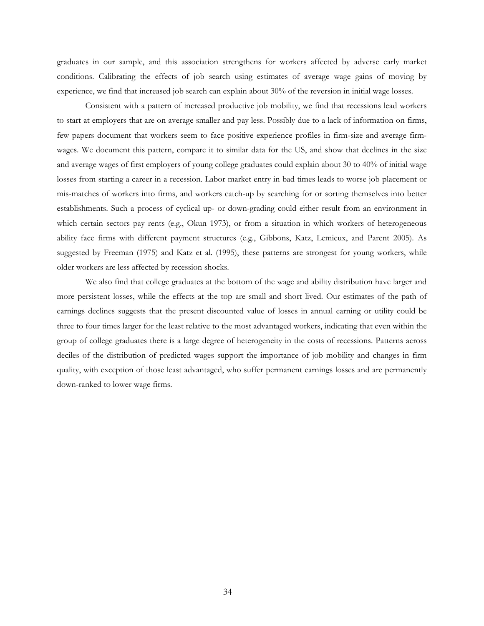graduates in our sample, and this association strengthens for workers affected by adverse early market conditions. Calibrating the effects of job search using estimates of average wage gains of moving by experience, we find that increased job search can explain about 30% of the reversion in initial wage losses.

Consistent with a pattern of increased productive job mobility, we find that recessions lead workers to start at employers that are on average smaller and pay less. Possibly due to a lack of information on firms, few papers document that workers seem to face positive experience profiles in firm-size and average firmwages. We document this pattern, compare it to similar data for the US, and show that declines in the size and average wages of first employers of young college graduates could explain about 30 to 40% of initial wage losses from starting a career in a recession. Labor market entry in bad times leads to worse job placement or mis-matches of workers into firms, and workers catch-up by searching for or sorting themselves into better establishments. Such a process of cyclical up- or down-grading could either result from an environment in which certain sectors pay rents (e.g., Okun 1973), or from a situation in which workers of heterogeneous ability face firms with different payment structures (e.g., Gibbons, Katz, Lemieux, and Parent 2005). As suggested by Freeman (1975) and Katz et al. (1995), these patterns are strongest for young workers, while older workers are less affected by recession shocks.

We also find that college graduates at the bottom of the wage and ability distribution have larger and more persistent losses, while the effects at the top are small and short lived. Our estimates of the path of earnings declines suggests that the present discounted value of losses in annual earning or utility could be three to four times larger for the least relative to the most advantaged workers, indicating that even within the group of college graduates there is a large degree of heterogeneity in the costs of recessions. Patterns across deciles of the distribution of predicted wages support the importance of job mobility and changes in firm quality, with exception of those least advantaged, who suffer permanent earnings losses and are permanently down-ranked to lower wage firms.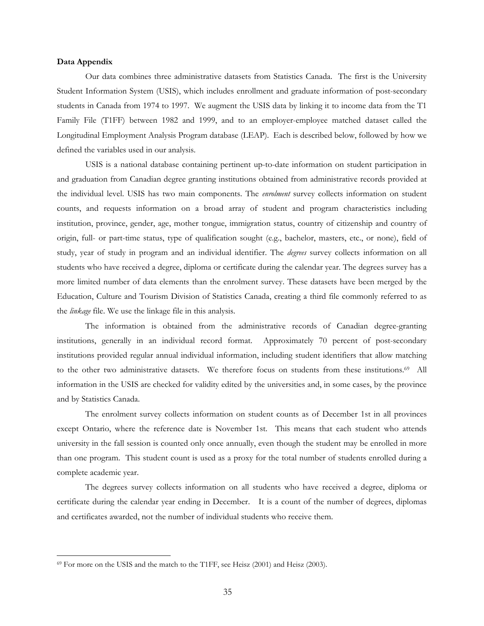#### **Data Appendix**

 $\overline{a}$ 

Our data combines three administrative datasets from Statistics Canada. The first is the University Student Information System (USIS), which includes enrollment and graduate information of post-secondary students in Canada from 1974 to 1997. We augment the USIS data by linking it to income data from the T1 Family File (T1FF) between 1982 and 1999, and to an employer-employee matched dataset called the Longitudinal Employment Analysis Program database (LEAP). Each is described below, followed by how we defined the variables used in our analysis.

USIS is a national database containing pertinent up-to-date information on student participation in and graduation from Canadian degree granting institutions obtained from administrative records provided at the individual level. USIS has two main components. The *enrolment* survey collects information on student counts, and requests information on a broad array of student and program characteristics including institution, province, gender, age, mother tongue, immigration status, country of citizenship and country of origin, full- or part-time status, type of qualification sought (e.g., bachelor, masters, etc., or none), field of study, year of study in program and an individual identifier. The *degrees* survey collects information on all students who have received a degree, diploma or certificate during the calendar year. The degrees survey has a more limited number of data elements than the enrolment survey. These datasets have been merged by the Education, Culture and Tourism Division of Statistics Canada, creating a third file commonly referred to as the *linkage* file. We use the linkage file in this analysis.

The information is obtained from the administrative records of Canadian degree-granting institutions, generally in an individual record format. Approximately 70 percent of post-secondary institutions provided regular annual individual information, including student identifiers that allow matching to the other two administrative datasets. We therefore focus on students from these institutions.<sup>69</sup> All information in the USIS are checked for validity edited by the universities and, in some cases, by the province and by Statistics Canada.

The enrolment survey collects information on student counts as of December 1st in all provinces except Ontario, where the reference date is November 1st. This means that each student who attends university in the fall session is counted only once annually, even though the student may be enrolled in more than one program. This student count is used as a proxy for the total number of students enrolled during a complete academic year.

The degrees survey collects information on all students who have received a degree, diploma or certificate during the calendar year ending in December. It is a count of the number of degrees, diplomas and certificates awarded, not the number of individual students who receive them.

<sup>69</sup> For more on the USIS and the match to the T1FF, see Heisz (2001) and Heisz (2003).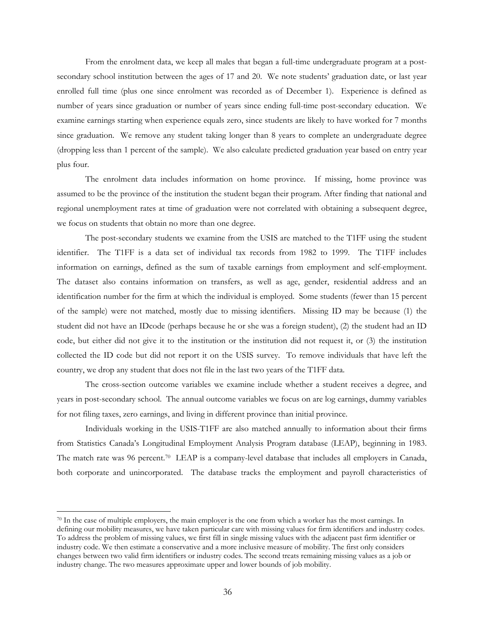From the enrolment data, we keep all males that began a full-time undergraduate program at a postsecondary school institution between the ages of 17 and 20. We note students' graduation date, or last year enrolled full time (plus one since enrolment was recorded as of December 1). Experience is defined as number of years since graduation or number of years since ending full-time post-secondary education. We examine earnings starting when experience equals zero, since students are likely to have worked for 7 months since graduation. We remove any student taking longer than 8 years to complete an undergraduate degree (dropping less than 1 percent of the sample). We also calculate predicted graduation year based on entry year plus four.

The enrolment data includes information on home province. If missing, home province was assumed to be the province of the institution the student began their program. After finding that national and regional unemployment rates at time of graduation were not correlated with obtaining a subsequent degree, we focus on students that obtain no more than one degree.

 The post-secondary students we examine from the USIS are matched to the T1FF using the student identifier. The T1FF is a data set of individual tax records from 1982 to 1999. The T1FF includes information on earnings, defined as the sum of taxable earnings from employment and self-employment. The dataset also contains information on transfers, as well as age, gender, residential address and an identification number for the firm at which the individual is employed. Some students (fewer than 15 percent of the sample) were not matched, mostly due to missing identifiers. Missing ID may be because (1) the student did not have an IDcode (perhaps because he or she was a foreign student), (2) the student had an ID code, but either did not give it to the institution or the institution did not request it, or (3) the institution collected the ID code but did not report it on the USIS survey. To remove individuals that have left the country, we drop any student that does not file in the last two years of the T1FF data.

The cross-section outcome variables we examine include whether a student receives a degree, and years in post-secondary school. The annual outcome variables we focus on are log earnings, dummy variables for not filing taxes, zero earnings, and living in different province than initial province.

Individuals working in the USIS-T1FF are also matched annually to information about their firms from Statistics Canada's Longitudinal Employment Analysis Program database (LEAP), beginning in 1983. The match rate was 96 percent.70 LEAP is a company-level database that includes all employers in Canada, both corporate and unincorporated. The database tracks the employment and payroll characteristics of

 $70$  In the case of multiple employers, the main employer is the one from which a worker has the most earnings. In defining our mobility measures, we have taken particular care with missing values for firm identifiers and industry codes. To address the problem of missing values, we first fill in single missing values with the adjacent past firm identifier or industry code. We then estimate a conservative and a more inclusive measure of mobility. The first only considers changes between two valid firm identifiers or industry codes. The second treats remaining missing values as a job or industry change. The two measures approximate upper and lower bounds of job mobility.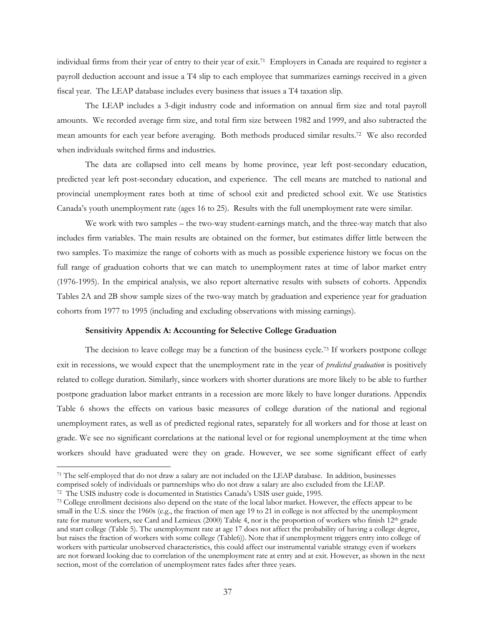individual firms from their year of entry to their year of exit.71 Employers in Canada are required to register a payroll deduction account and issue a T4 slip to each employee that summarizes earnings received in a given fiscal year. The LEAP database includes every business that issues a T4 taxation slip.

The LEAP includes a 3-digit industry code and information on annual firm size and total payroll amounts. We recorded average firm size, and total firm size between 1982 and 1999, and also subtracted the mean amounts for each year before averaging. Both methods produced similar results.72 We also recorded when individuals switched firms and industries.

The data are collapsed into cell means by home province, year left post-secondary education, predicted year left post-secondary education, and experience. The cell means are matched to national and provincial unemployment rates both at time of school exit and predicted school exit. We use Statistics Canada's youth unemployment rate (ages 16 to 25). Results with the full unemployment rate were similar.

We work with two samples – the two-way student-earnings match, and the three-way match that also includes firm variables. The main results are obtained on the former, but estimates differ little between the two samples. To maximize the range of cohorts with as much as possible experience history we focus on the full range of graduation cohorts that we can match to unemployment rates at time of labor market entry (1976-1995). In the empirical analysis, we also report alternative results with subsets of cohorts. Appendix Tables 2A and 2B show sample sizes of the two-way match by graduation and experience year for graduation cohorts from 1977 to 1995 (including and excluding observations with missing earnings).

## **Sensitivity Appendix A: Accounting for Selective College Graduation**

The decision to leave college may be a function of the business cycle.<sup>73</sup> If workers postpone college exit in recessions, we would expect that the unemployment rate in the year of *predicted graduation* is positively related to college duration. Similarly, since workers with shorter durations are more likely to be able to further postpone graduation labor market entrants in a recession are more likely to have longer durations. Appendix Table 6 shows the effects on various basic measures of college duration of the national and regional unemployment rates, as well as of predicted regional rates, separately for all workers and for those at least on grade. We see no significant correlations at the national level or for regional unemployment at the time when workers should have graduated were they on grade. However, we see some significant effect of early

 $\overline{a}$ 

<sup>71</sup> The self-employed that do not draw a salary are not included on the LEAP database. In addition, businesses comprised solely of individuals or partnerships who do not draw a salary are also excluded from the LEAP.<br><sup>72</sup> The USIS industry code is documented in Statistics Canada's USIS user guide, 1995.<br><sup>73</sup> College enrollment deci

small in the U.S. since the 1960s (e.g., the fraction of men age 19 to 21 in college is not affected by the unemployment rate for mature workers, see Card and Lemieux (2000) Table 4, nor is the proportion of workers who finish 12th grade and start college (Table 5). The unemployment rate at age 17 does not affect the probability of having a college degree, but raises the fraction of workers with some college (Table6)). Note that if unemployment triggers entry into college of workers with particular unobserved characteristics, this could affect our instrumental variable strategy even if workers are not forward looking due to correlation of the unemployment rate at entry and at exit. However, as shown in the next section, most of the correlation of unemployment rates fades after three years.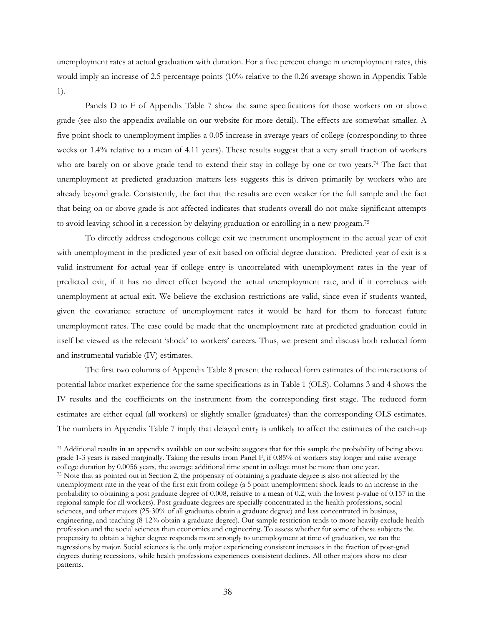unemployment rates at actual graduation with duration. For a five percent change in unemployment rates, this would imply an increase of 2.5 percentage points (10% relative to the 0.26 average shown in Appendix Table 1).

Panels D to F of Appendix Table 7 show the same specifications for those workers on or above grade (see also the appendix available on our website for more detail). The effects are somewhat smaller. A five point shock to unemployment implies a 0.05 increase in average years of college (corresponding to three weeks or 1.4% relative to a mean of 4.11 years). These results suggest that a very small fraction of workers who are barely on or above grade tend to extend their stay in college by one or two years.<sup>74</sup> The fact that unemployment at predicted graduation matters less suggests this is driven primarily by workers who are already beyond grade. Consistently, the fact that the results are even weaker for the full sample and the fact that being on or above grade is not affected indicates that students overall do not make significant attempts to avoid leaving school in a recession by delaying graduation or enrolling in a new program.75

To directly address endogenous college exit we instrument unemployment in the actual year of exit with unemployment in the predicted year of exit based on official degree duration. Predicted year of exit is a valid instrument for actual year if college entry is uncorrelated with unemployment rates in the year of predicted exit, if it has no direct effect beyond the actual unemployment rate, and if it correlates with unemployment at actual exit. We believe the exclusion restrictions are valid, since even if students wanted, given the covariance structure of unemployment rates it would be hard for them to forecast future unemployment rates. The case could be made that the unemployment rate at predicted graduation could in itself be viewed as the relevant 'shock' to workers' careers. Thus, we present and discuss both reduced form and instrumental variable (IV) estimates.

The first two columns of Appendix Table 8 present the reduced form estimates of the interactions of potential labor market experience for the same specifications as in Table 1 (OLS). Columns 3 and 4 shows the IV results and the coefficients on the instrument from the corresponding first stage. The reduced form estimates are either equal (all workers) or slightly smaller (graduates) than the corresponding OLS estimates. The numbers in Appendix Table 7 imply that delayed entry is unlikely to affect the estimates of the catch-up  $\overline{a}$ 

<sup>74</sup> Additional results in an appendix available on our website suggests that for this sample the probability of being above grade 1-3 years is raised marginally. Taking the results from Panel F, if 0.85% of workers stay longer and raise average college duration by 0.0056 years, the average additional time spent in college must be more than one  $^{75}$  Note that as pointed out in Section 2, the propensity of obtaining a graduate degree is also not affected by the unemployment rate in the year of the first exit from college (a 5 point unemployment shock leads to an increase in the probability to obtaining a post graduate degree of 0.008, relative to a mean of 0.2, with the lowest p-value of 0.157 in the regional sample for all workers). Post-graduate degrees are specially concentrated in the health professions, social sciences, and other majors (25-30% of all graduates obtain a graduate degree) and less concentrated in business, engineering, and teaching (8-12% obtain a graduate degree). Our sample restriction tends to more heavily exclude health profession and the social sciences than economics and engineering. To assess whether for some of these subjects the propensity to obtain a higher degree responds more strongly to unemployment at time of graduation, we ran the regressions by major. Social sciences is the only major experiencing consistent increases in the fraction of post-grad degrees during recessions, while health professions experiences consistent declines. All other majors show no clear patterns.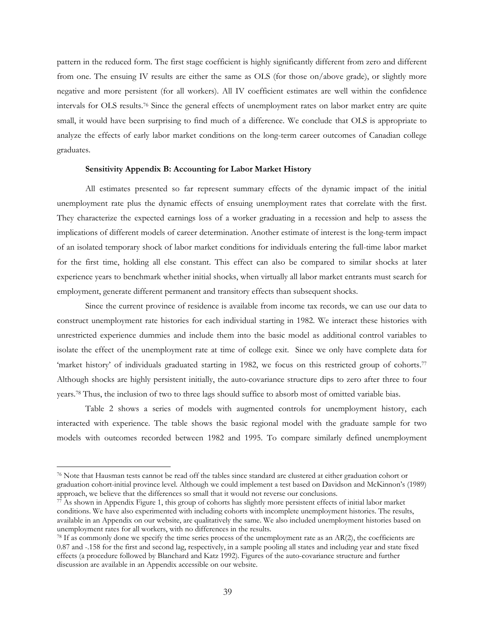pattern in the reduced form. The first stage coefficient is highly significantly different from zero and different from one. The ensuing IV results are either the same as OLS (for those on/above grade), or slightly more negative and more persistent (for all workers). All IV coefficient estimates are well within the confidence intervals for OLS results.76 Since the general effects of unemployment rates on labor market entry are quite small, it would have been surprising to find much of a difference. We conclude that OLS is appropriate to analyze the effects of early labor market conditions on the long-term career outcomes of Canadian college graduates.

## **Sensitivity Appendix B: Accounting for Labor Market History**

All estimates presented so far represent summary effects of the dynamic impact of the initial unemployment rate plus the dynamic effects of ensuing unemployment rates that correlate with the first. They characterize the expected earnings loss of a worker graduating in a recession and help to assess the implications of different models of career determination. Another estimate of interest is the long-term impact of an isolated temporary shock of labor market conditions for individuals entering the full-time labor market for the first time, holding all else constant. This effect can also be compared to similar shocks at later experience years to benchmark whether initial shocks, when virtually all labor market entrants must search for employment, generate different permanent and transitory effects than subsequent shocks.

Since the current province of residence is available from income tax records, we can use our data to construct unemployment rate histories for each individual starting in 1982. We interact these histories with unrestricted experience dummies and include them into the basic model as additional control variables to isolate the effect of the unemployment rate at time of college exit. Since we only have complete data for 'market history' of individuals graduated starting in 1982, we focus on this restricted group of cohorts.77 Although shocks are highly persistent initially, the auto-covariance structure dips to zero after three to four years.78 Thus, the inclusion of two to three lags should suffice to absorb most of omitted variable bias.

Table 2 shows a series of models with augmented controls for unemployment history, each interacted with experience. The table shows the basic regional model with the graduate sample for two models with outcomes recorded between 1982 and 1995. To compare similarly defined unemployment

 $\overline{a}$ 

<sup>76</sup> Note that Hausman tests cannot be read off the tables since standard are clustered at either graduation cohort or graduation cohort-initial province level. Although we could implement a test based on Davidson and McKinnon's (1989) approach, we believe that the differences so small that it would not reverse our conclusions.

 $\vec{r}$ . As shown in Appendix Figure 1, this group of cohorts has slightly more persistent effects of initial labor market conditions. We have also experimented with including cohorts with incomplete unemployment histories. The results, available in an Appendix on our website, are qualitatively the same. We also included unemployment histories based on unemployment rates for all workers, with no differences in the results.

 $^{78}$  If as commonly done we specify the time series process of the unemployment rate as an AR(2), the coefficients are 0.87 and -.158 for the first and second lag, respectively, in a sample pooling all states and including year and state fixed effects (a procedure followed by Blanchard and Katz 1992). Figures of the auto-covariance structure and further discussion are available in an Appendix accessible on our website.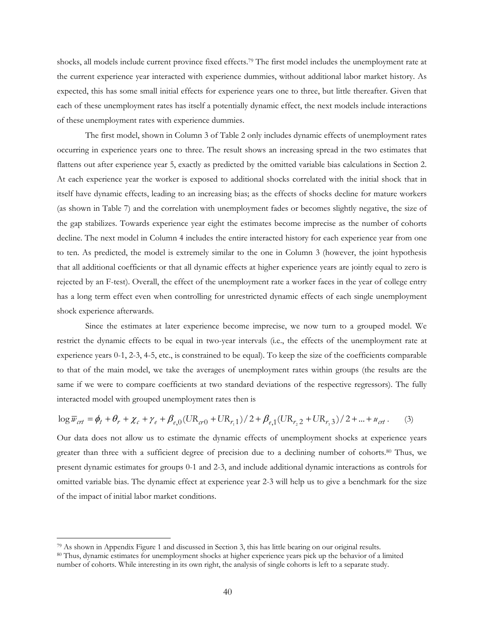shocks, all models include current province fixed effects.79 The first model includes the unemployment rate at the current experience year interacted with experience dummies, without additional labor market history. As expected, this has some small initial effects for experience years one to three, but little thereafter. Given that each of these unemployment rates has itself a potentially dynamic effect, the next models include interactions of these unemployment rates with experience dummies.

The first model, shown in Column 3 of Table 2 only includes dynamic effects of unemployment rates occurring in experience years one to three. The result shows an increasing spread in the two estimates that flattens out after experience year 5, exactly as predicted by the omitted variable bias calculations in Section 2. At each experience year the worker is exposed to additional shocks correlated with the initial shock that in itself have dynamic effects, leading to an increasing bias; as the effects of shocks decline for mature workers (as shown in Table 7) and the correlation with unemployment fades or becomes slightly negative, the size of the gap stabilizes. Towards experience year eight the estimates become imprecise as the number of cohorts decline. The next model in Column 4 includes the entire interacted history for each experience year from one to ten. As predicted, the model is extremely similar to the one in Column 3 (however, the joint hypothesis that all additional coefficients or that all dynamic effects at higher experience years are jointly equal to zero is rejected by an F-test). Overall, the effect of the unemployment rate a worker faces in the year of college entry has a long term effect even when controlling for unrestricted dynamic effects of each single unemployment shock experience afterwards.

Since the estimates at later experience become imprecise, we now turn to a grouped model. We restrict the dynamic effects to be equal in two-year intervals (i.e., the effects of the unemployment rate at experience years 0-1, 2-3, 4-5, etc., is constrained to be equal). To keep the size of the coefficients comparable to that of the main model, we take the averages of unemployment rates within groups (the results are the same if we were to compare coefficients at two standard deviations of the respective regressors). The fully interacted model with grouped unemployment rates then is

$$
\log \overline{w}_{\text{crit}} = \phi_t + \theta_r + \chi_c + \gamma_e + \beta_{e,0} (\text{UR}_{\text{cr0}} + \text{UR}_{r,1}) / 2 + \beta_{e,1} (\text{UR}_{r,2} + \text{UR}_{r,3}) / 2 + \dots + \alpha_{\text{crit}}.
$$
 (3)

Our data does not allow us to estimate the dynamic effects of unemployment shocks at experience years greater than three with a sufficient degree of precision due to a declining number of cohorts.80 Thus, we present dynamic estimates for groups 0-1 and 2-3, and include additional dynamic interactions as controls for omitted variable bias. The dynamic effect at experience year 2-3 will help us to give a benchmark for the size of the impact of initial labor market conditions.

 $\overline{a}$ 

 $79$  As shown in Appendix Figure 1 and discussed in Section 3, this has little bearing on our original results.<br><sup>80</sup> Thus, dynamic estimates for unemployment shocks at higher experience years pick up the behavior of a lim number of cohorts. While interesting in its own right, the analysis of single cohorts is left to a separate study.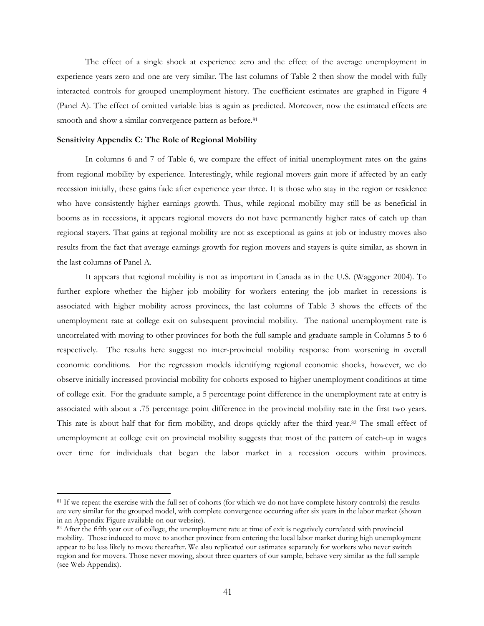The effect of a single shock at experience zero and the effect of the average unemployment in experience years zero and one are very similar. The last columns of Table 2 then show the model with fully interacted controls for grouped unemployment history. The coefficient estimates are graphed in Figure 4 (Panel A). The effect of omitted variable bias is again as predicted. Moreover, now the estimated effects are smooth and show a similar convergence pattern as before.<sup>81</sup>

## **Sensitivity Appendix C: The Role of Regional Mobility**

 $\overline{a}$ 

In columns 6 and 7 of Table 6, we compare the effect of initial unemployment rates on the gains from regional mobility by experience. Interestingly, while regional movers gain more if affected by an early recession initially, these gains fade after experience year three. It is those who stay in the region or residence who have consistently higher earnings growth. Thus, while regional mobility may still be as beneficial in booms as in recessions, it appears regional movers do not have permanently higher rates of catch up than regional stayers. That gains at regional mobility are not as exceptional as gains at job or industry moves also results from the fact that average earnings growth for region movers and stayers is quite similar, as shown in the last columns of Panel A.

It appears that regional mobility is not as important in Canada as in the U.S. (Waggoner 2004). To further explore whether the higher job mobility for workers entering the job market in recessions is associated with higher mobility across provinces, the last columns of Table 3 shows the effects of the unemployment rate at college exit on subsequent provincial mobility. The national unemployment rate is uncorrelated with moving to other provinces for both the full sample and graduate sample in Columns 5 to 6 respectively. The results here suggest no inter-provincial mobility response from worsening in overall economic conditions. For the regression models identifying regional economic shocks, however, we do observe initially increased provincial mobility for cohorts exposed to higher unemployment conditions at time of college exit. For the graduate sample, a 5 percentage point difference in the unemployment rate at entry is associated with about a .75 percentage point difference in the provincial mobility rate in the first two years. This rate is about half that for firm mobility, and drops quickly after the third year.82 The small effect of unemployment at college exit on provincial mobility suggests that most of the pattern of catch-up in wages over time for individuals that began the labor market in a recession occurs within provinces.

<sup>&</sup>lt;sup>81</sup> If we repeat the exercise with the full set of cohorts (for which we do not have complete history controls) the results are very similar for the grouped model, with complete convergence occurring after six years in the labor market (shown in an Appendix Figure available on our website).<br><sup>82</sup> After the fifth year out of college, the unemployment rate at time of exit is negatively correlated with provincial

mobility. Those induced to move to another province from entering the local labor market during high unemployment appear to be less likely to move thereafter. We also replicated our estimates separately for workers who never switch region and for movers. Those never moving, about three quarters of our sample, behave very similar as the full sample (see Web Appendix).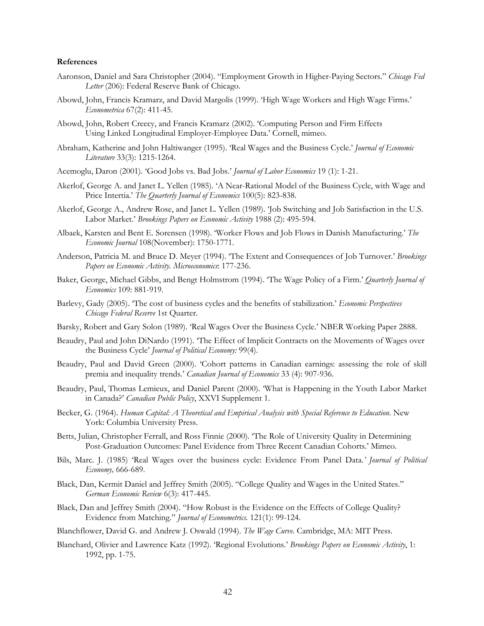#### **References**

- Aaronson, Daniel and Sara Christopher (2004). "Employment Growth in Higher-Paying Sectors." *Chicago Fed Letter* (206): Federal Reserve Bank of Chicago.
- Abowd, John, Francis Kramarz, and David Margolis (1999). 'High Wage Workers and High Wage Firms.' *Econometrica* 67(2): 411-45.
- Abowd, John, Robert Creecy, and Francis Kramarz (2002). 'Computing Person and Firm Effects Using Linked Longitudinal Employer-Employee Data.' Cornell, mimeo.
- Abraham, Katherine and John Haltiwanger (1995). 'Real Wages and the Business Cycle.' *Journal of Economic Literature* 33(3): 1215-1264.
- Acemoglu, Daron (2001). 'Good Jobs vs. Bad Jobs.' *Journal of Labor Economics* 19 (1): 1-21.
- Akerlof, George A. and Janet L. Yellen (1985). 'A Near-Rational Model of the Business Cycle, with Wage and Price Intertia.' *The Quarterly Journal of Economics* 100(5): 823-838.
- Akerlof, George A., Andrew Rose, and Janet L. Yellen (1989). 'Job Switching and Job Satisfaction in the U.S. Labor Market.' *Brookings Papers on Economic Activity* 1988 (2): 495-594.
- Albaek, Karsten and Bent E. Sorensen (1998). 'Worker Flows and Job Flows in Danish Manufacturing.' *The Economic Journal* 108(November): 1750-1771.
- Anderson, Patricia M. and Bruce D. Meyer (1994). 'The Extent and Consequences of Job Turnover.' *Brookings Papers on Economic Activity. Microeconomics*: 177-236.
- Baker, George, Michael Gibbs, and Bengt Holmstrom (1994). 'The Wage Policy of a Firm.' *Quarterly Journal of Economics* 109: 881-919.
- Barlevy, Gady (2005). 'The cost of business cycles and the benefits of stabilization.' *Economic Perspectives Chicago Federal Reserve* 1st Quarter.
- Barsky, Robert and Gary Solon (1989). 'Real Wages Over the Business Cycle.' NBER Working Paper 2888.
- Beaudry, Paul and John DiNardo (1991). 'The Effect of Implicit Contracts on the Movements of Wages over the Business Cycle' *Journal of Political Economy:* 99(4).
- Beaudry, Paul and David Green (2000). 'Cohort patterns in Canadian earnings: assessing the role of skill premia and inequality trends.' *Canadian Journal of Economics* 33 (4): 907-936.
- Beaudry, Paul, Thomas Lemieux, and Daniel Parent (2000). 'What is Happening in the Youth Labor Market in Canada?' *Canadian Public Policy*, XXVI Supplement 1.
- Becker, G. (1964). *Human Capital: A Theoretical and Empirical Analysis with Special Reference to Education*. New York: Columbia University Press.
- Betts, Julian, Christopher Ferrall, and Ross Finnie (2000). 'The Role of University Quality in Determining Post-Graduation Outcomes: Panel Evidence from Three Recent Canadian Cohorts.' Mimeo.
- Bils, Marc. J. (1985) 'Real Wages over the business cycle: Evidence From Panel Data.*' Journal of Political Economy,* 666-689.
- Black, Dan, Kermit Daniel and Jeffrey Smith (2005). "College Quality and Wages in the United States." *German Economic Review* 6(3): 417-445.
- Black, Dan and Jeffrey Smith (2004). "How Robust is the Evidence on the Effects of College Quality? Evidence from Matching." *Journal of Econometrics.* 121(1): 99-124.
- Blanchflower, David G. and Andrew J. Oswald (1994). *The Wage Curve*. Cambridge, MA: MIT Press.
- Blanchard, Olivier and Lawrence Katz (1992). 'Regional Evolutions.' *Brookings Papers on Economic Activity*, 1: 1992, pp. 1-75.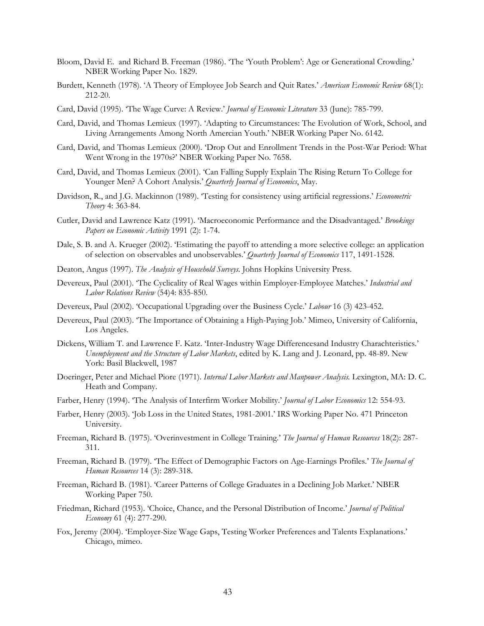- Bloom, David E. and Richard B. Freeman (1986). 'The 'Youth Problem': Age or Generational Crowding.' NBER Working Paper No. 1829.
- Burdett, Kenneth (1978). 'A Theory of Employee Job Search and Quit Rates.' *American Economic Review* 68(1): 212-20.
- Card, David (1995). 'The Wage Curve: A Review.' *Journal of Economic Literature* 33 (June): 785-799.
- Card, David, and Thomas Lemieux (1997). 'Adapting to Circumstances: The Evolution of Work, School, and Living Arrangements Among North Amercian Youth.' NBER Working Paper No. 6142.
- Card, David, and Thomas Lemieux (2000). 'Drop Out and Enrollment Trends in the Post-War Period: What Went Wrong in the 1970s?' NBER Working Paper No. 7658.
- Card, David, and Thomas Lemieux (2001). 'Can Falling Supply Explain The Rising Return To College for Younger Men? A Cohort Analysis.' *Quarterly Journal of Economics*, May.
- Davidson, R., and J.G. Mackinnon (1989). 'Testing for consistency using artificial regressions.' *Econometric Theory* 4: 363-84.
- Cutler, David and Lawrence Katz (1991). 'Macroeconomic Performance and the Disadvantaged.' *Brookings Papers on Economic Activity* 1991 (2): 1-74.
- Dale, S. B. and A. Krueger (2002). 'Estimating the payoff to attending a more selective college: an application of selection on observables and unobservables.' *Quarterly Journal of Economics* 117, 1491-1528.
- Deaton, Angus (1997). *The Analysis of Household Surveys.* Johns Hopkins University Press.
- Devereux, Paul (2001). 'The Cyclicality of Real Wages within Employer-Employee Matches.' *Industrial and Labor Relations Review* (54)4: 835-850.
- Devereux, Paul (2002). 'Occupational Upgrading over the Business Cycle.' *Labour* 16 (3) 423-452.
- Devereux, Paul (2003). 'The Importance of Obtaining a High-Paying Job.' Mimeo, University of California, Los Angeles.
- Dickens, William T. and Lawrence F. Katz. 'Inter-Industry Wage Differencesand Industry Charachteristics.' *Unemployment and the Structure of Labor Markets*, edited by K. Lang and J. Leonard, pp. 48-89. New York: Basil Blackwell, 1987
- Doeringer, Peter and Michael Piore (1971). *Internal Labor Markets and Manpower Analysis.* Lexington, MA: D. C. Heath and Company.
- Farber, Henry (1994). 'The Analysis of Interfirm Worker Mobility.' *Journal of Labor Economics* 12: 554-93.
- Farber, Henry (2003). 'Job Loss in the United States, 1981-2001.' IRS Working Paper No. 471 Princeton University.
- Freeman, Richard B. (1975). 'Overinvestment in College Training.' *The Journal of Human Resources* 18(2): 287- 311.
- Freeman, Richard B. (1979). 'The Effect of Demographic Factors on Age-Earnings Profiles.' *The Journal of Human Resources* 14 (3): 289-318.
- Freeman, Richard B. (1981). 'Career Patterns of College Graduates in a Declining Job Market.' NBER Working Paper 750.
- Friedman, Richard (1953). 'Choice, Chance, and the Personal Distribution of Income.' *Journal of Political Economy* 61 (4): 277-290.
- Fox, Jeremy (2004). 'Employer-Size Wage Gaps, Testing Worker Preferences and Talents Explanations.' Chicago, mimeo.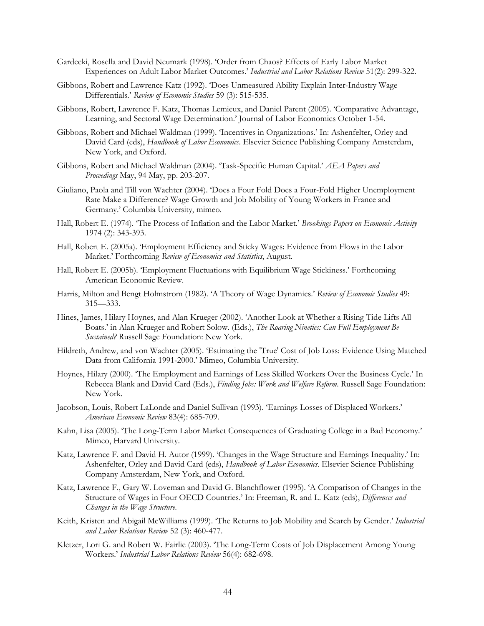- Gardecki, Rosella and David Neumark (1998). 'Order from Chaos? Effects of Early Labor Market Experiences on Adult Labor Market Outcomes.' *Industrial and Labor Relations Review* 51(2): 299-322.
- Gibbons, Robert and Lawrence Katz (1992). 'Does Unmeasured Ability Explain Inter-Industry Wage Differentials.' *Review of Economic Studies* 59 (3): 515-535.
- Gibbons, Robert, Lawrence F. Katz, Thomas Lemieux, and Daniel Parent (2005). 'Comparative Advantage, Learning, and Sectoral Wage Determination.' Journal of Labor Economics October 1-54.
- Gibbons, Robert and Michael Waldman (1999). 'Incentives in Organizations.' In: Ashenfelter, Orley and David Card (eds), *Handbook of Labor Economics*. Elsevier Science Publishing Company Amsterdam, New York, and Oxford.
- Gibbons, Robert and Michael Waldman (2004). 'Task-Specific Human Capital.' *AEA Papers and Proceedings* May, 94 May, pp. 203-207.
- Giuliano, Paola and Till von Wachter (2004). 'Does a Four Fold Does a Four-Fold Higher Unemployment Rate Make a Difference? Wage Growth and Job Mobility of Young Workers in France and Germany.' Columbia University, mimeo.
- Hall, Robert E. (1974). 'The Process of Inflation and the Labor Market.' *Brookings Papers on Economic Activity*  1974 (2): 343-393.
- Hall, Robert E. (2005a). 'Employment Efficiency and Sticky Wages: Evidence from Flows in the Labor Market.' Forthcoming *Review of Economics and Statistics*, August.
- Hall, Robert E. (2005b). 'Employment Fluctuations with Equilibrium Wage Stickiness.' Forthcoming American Economic Review.
- Harris, Milton and Bengt Holmstrom (1982). 'A Theory of Wage Dynamics.' *Review of Economic Studies* 49: 315—333.
- Hines, James, Hilary Hoynes, and Alan Krueger (2002). 'Another Look at Whether a Rising Tide Lifts All Boats.' in Alan Krueger and Robert Solow. (Eds.), *The Roaring Nineties: Can Full Employment Be Sustained?* Russell Sage Foundation: New York.
- Hildreth, Andrew, and von Wachter (2005). 'Estimating the 'True' Cost of Job Loss: Evidence Using Matched Data from California 1991-2000.' Mimeo, Columbia University.
- Hoynes, Hilary (2000). 'The Employment and Earnings of Less Skilled Workers Over the Business Cycle.' In Rebecca Blank and David Card (Eds.), *Finding Jobs: Work and Welfare Reform*. Russell Sage Foundation: New York.
- Jacobson, Louis, Robert LaLonde and Daniel Sullivan (1993). 'Earnings Losses of Displaced Workers.' *American Economic Review* 83(4): 685-709.
- Kahn, Lisa (2005). 'The Long-Term Labor Market Consequences of Graduating College in a Bad Economy.' Mimeo, Harvard University.
- Katz, Lawrence F. and David H. Autor (1999). 'Changes in the Wage Structure and Earnings Inequality.' In: Ashenfelter, Orley and David Card (eds), *Handbook of Labor Economics*. Elsevier Science Publishing Company Amsterdam, New York, and Oxford.
- Katz, Lawrence F., Gary W. Loveman and David G. Blanchflower (1995). 'A Comparison of Changes in the Structure of Wages in Four OECD Countries.' In: Freeman, R. and L. Katz (eds), *Differences and Changes in the Wage Structure*.
- Keith, Kristen and Abigail McWilliams (1999). 'The Returns to Job Mobility and Search by Gender.' *Industrial and Labor Relations Review* 52 (3): 460-477.
- Kletzer, Lori G. and Robert W. Fairlie (2003). 'The Long-Term Costs of Job Displacement Among Young Workers.' *Industrial Labor Relations Review* 56(4): 682-698.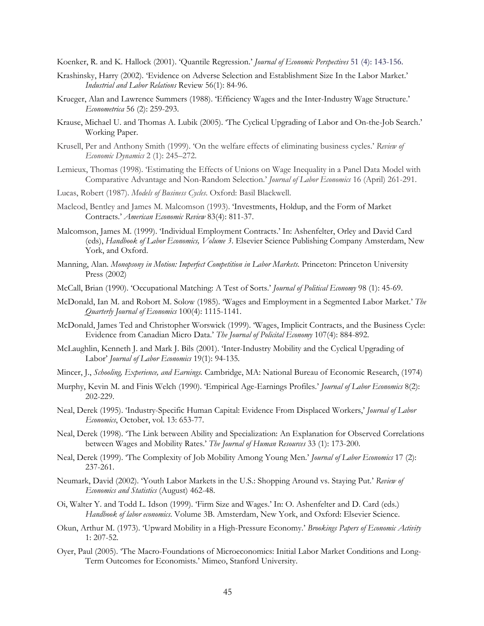Koenker, R. and K. Hallock (2001). 'Quantile Regression.' *Journal of Economic Perspectives* 51 (4): 143-156.

- Krashinsky, Harry (2002). 'Evidence on Adverse Selection and Establishment Size In the Labor Market.' *Industrial and Labor Relations* Review 56(1): 84-96.
- Krueger, Alan and Lawrence Summers (1988). 'Efficiency Wages and the Inter-Industry Wage Structure.' *Econometrica* 56 (2): 259-293.
- Krause, Michael U. and Thomas A. Lubik (2005). 'The Cyclical Upgrading of Labor and On-the-Job Search.' Working Paper.
- Krusell, Per and Anthony Smith (1999). 'On the welfare effects of eliminating business cycles.' *Review of Economic Dynamics* 2 (1): 245–272.
- Lemieux, Thomas (1998). 'Estimating the Effects of Unions on Wage Inequality in a Panel Data Model with Comparative Advantage and Non-Random Selection.' *Journal of Labor Economics* 16 (April) 261-291.
- Lucas, Robert (1987). *Models of Business Cycles*. Oxford: Basil Blackwell.
- Macleod, Bentley and James M. Malcomson (1993). 'Investments, Holdup, and the Form of Market Contracts.' *American Economic Review* 83(4): 811-37.
- Malcomson, James M. (1999). 'Individual Employment Contracts.' In: Ashenfelter, Orley and David Card (eds), *Handbook of Labor Economics, Volume 3*. Elsevier Science Publishing Company Amsterdam, New York, and Oxford.
- Manning, Alan. *Monopsony in Motion: Imperfect Competition in Labor Markets.* Princeton: Princeton University Press (2002)
- McCall, Brian (1990). 'Occupational Matching: A Test of Sorts.' *Journal of Political Economy* 98 (1): 45-69.
- McDonald, Ian M. and Robort M. Solow (1985). 'Wages and Employment in a Segmented Labor Market.' *The Quarterly Journal of Economics* 100(4): 1115-1141.
- McDonald, James Ted and Christopher Worswick (1999). 'Wages, Implicit Contracts, and the Business Cycle: Evidence from Canadian Micro Data.' *The Journal of Policital Economy* 107(4): 884-892.
- McLaughlin, Kenneth J. and Mark J. Bils (2001). 'Inter-Industry Mobility and the Cyclical Upgrading of Labor' *Journal of Labor Economics* 19(1): 94-135*.*
- Mincer, J., *Schooling, Experience, and Earnings.* Cambridge, MA: National Bureau of Economic Research, (1974)
- Murphy, Kevin M. and Finis Welch (1990). 'Empirical Age-Earnings Profiles.' *Journal of Labor Economics* 8(2): 202-229.
- Neal, Derek (1995). 'Industry-Specific Human Capital: Evidence From Displaced Workers,' *Journal of Labor Economics*, October, vol. 13: 653-77.
- Neal, Derek (1998). 'The Link between Ability and Specialization: An Explanation for Observed Correlations between Wages and Mobility Rates.' *The Journal of Human Resources* 33 (1): 173-200.
- Neal, Derek (1999). 'The Complexity of Job Mobility Among Young Men.' *Journal of Labor Economics* 17 (2): 237-261.
- Neumark, David (2002). 'Youth Labor Markets in the U.S.: Shopping Around vs. Staying Put.' *Review of Economics and Statistics* (August) 462-48.
- Oi, Walter Y. and Todd L. Idson (1999). 'Firm Size and Wages.' In: O. Ashenfelter and D. Card (eds.) *Handbook of labor economics*. Volume 3B. Amsterdam, New York, and Oxford: Elsevier Science.
- Okun, Arthur M. (1973). 'Upward Mobility in a High-Pressure Economy.' *Brookings Papers of Economic Activity* 1: 207-52.
- Oyer, Paul (2005). 'The Macro-Foundations of Microeconomics: Initial Labor Market Conditions and Long-Term Outcomes for Economists.' Mimeo, Stanford University.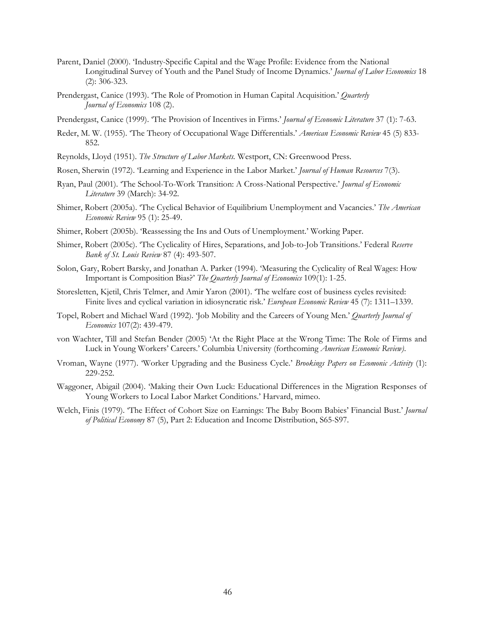- Parent, Daniel (2000). 'Industry-Specific Capital and the Wage Profile: Evidence from the National Longitudinal Survey of Youth and the Panel Study of Income Dynamics.' *Journal of Labor Economics* 18 (2): 306-323.
- Prendergast, Canice (1993). 'The Role of Promotion in Human Capital Acquisition.' *Quarterly Journal of Economics* 108 (2).
- Prendergast, Canice (1999). 'The Provision of Incentives in Firms.' *Journal of Economic Literature* 37 (1): 7-63.
- Reder, M. W. (1955). 'The Theory of Occupational Wage Differentials.' *American Economic Review* 45 (5) 833- 852.
- Reynolds, Lloyd (1951). *The Structure of Labor Markets.* Westport, CN: Greenwood Press.
- Rosen, Sherwin (1972). 'Learning and Experience in the Labor Market.' *Journal of Human Resources* 7(3).
- Ryan, Paul (2001). 'The School-To-Work Transition: A Cross-National Perspective.' *Journal of Economic Literature* 39 (March): 34-92.
- Shimer, Robert (2005a). 'The Cyclical Behavior of Equilibrium Unemployment and Vacancies.' *The American Economic Review* 95 (1): 25-49.
- Shimer, Robert (2005b). 'Reassessing the Ins and Outs of Unemployment.' Working Paper.
- Shimer, Robert (2005c). 'The Cyclicality of Hires, Separations, and Job-to-Job Transitions.' Federal *Reserve Bank of St. Louis Review* 87 (4): 493-507.
- Solon, Gary, Robert Barsky, and Jonathan A. Parker (1994). 'Measuring the Cyclicality of Real Wages: How Important is Composition Bias?' *The Quarterly Journal of Economics* 109(1): 1-25.
- Storesletten, Kjetil, Chris Telmer, and Amir Yaron (2001). 'The welfare cost of business cycles revisited: Finite lives and cyclical variation in idiosyncratic risk.' *European Economic Review* 45 (7): 1311–1339.
- Topel, Robert and Michael Ward (1992). 'Job Mobility and the Careers of Young Men.' *Quarterly Journal of Economics* 107(2): 439-479.
- von Wachter, Till and Stefan Bender (2005) 'At the Right Place at the Wrong Time: The Role of Firms and Luck in Young Workers' Careers.' Columbia University (forthcoming *American Economic Review)*.
- Vroman, Wayne (1977). 'Worker Upgrading and the Business Cycle.' *Brookings Papers on Ecomonic Activity* (1): 229-252.
- Waggoner, Abigail (2004). 'Making their Own Luck: Educational Differences in the Migration Responses of Young Workers to Local Labor Market Conditions.' Harvard, mimeo.
- Welch, Finis (1979). 'The Effect of Cohort Size on Earnings: The Baby Boom Babies' Financial Bust.' *Journal of Political Economy* 87 (5), Part 2: Education and Income Distribution, S65-S97.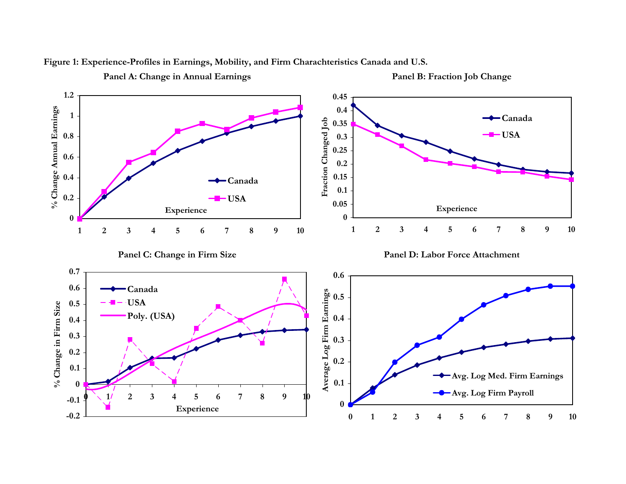

**Figure 1: Experience-Profiles in Earnings, Mobility, and Firm Charachteristics Canada and U.S.**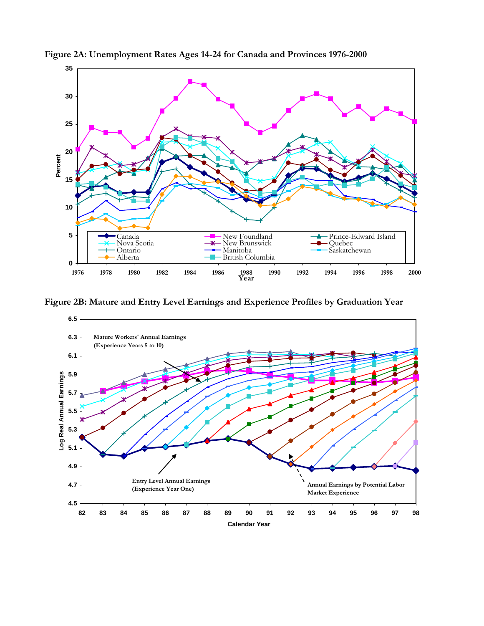

**Figure 2A: Unemployment Rates Ages 14-24 for Canada and Provinces 1976-2000**

**Figure 2B: Mature and Entry Level Earnings and Experience Profiles by Graduation Year**

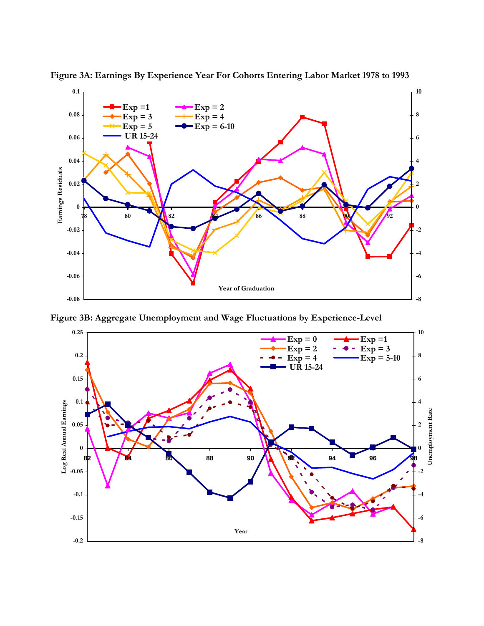

**Figure 3A: Earnings By Experience Year For Cohorts Entering Labor Market 1978 to 1993**

**Figure 3B: Aggregate Unemployment and Wage Fluctuations by Experience-Level**

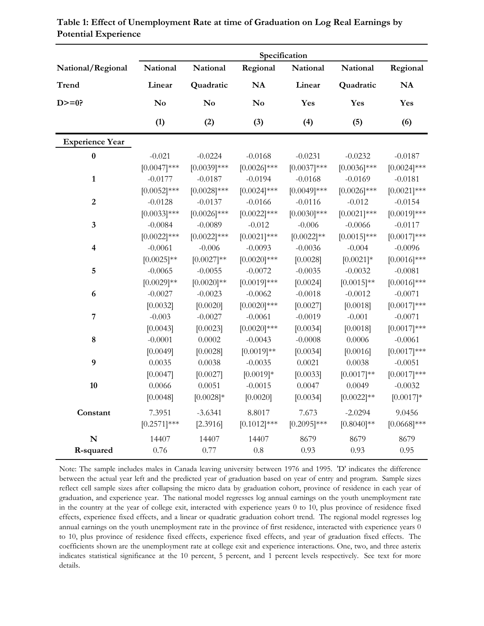|                         |                 |                        |                | Specification   |                 |                |
|-------------------------|-----------------|------------------------|----------------|-----------------|-----------------|----------------|
| National/Regional       | National        | National               | Regional       | National        | National        | Regional       |
| <b>Trend</b>            | Linear          | Quadratic              | <b>NA</b>      | Linear          | Quadratic       | <b>NA</b>      |
| $D>=0?$                 | No              | $\mathbf{N}\mathbf{o}$ | No             | Yes             | Yes             | Yes            |
|                         | (1)             | (2)                    | (3)            | (4)             | (5)             | (6)            |
| <b>Experience Year</b>  |                 |                        |                |                 |                 |                |
| $\pmb{0}$               | $-0.021$        | $-0.0224$              | $-0.0168$      | $-0.0231$       | $-0.0232$       | $-0.0187$      |
|                         | $[0.0047]***$   | $[0.0039]$ ***         | $[0.0026]$ *** | $[0.0037]$ ***  | $[0.0036]$ ***  | $[0.0024]$ *** |
| $\mathbf{1}$            | $-0.0177$       | $-0.0187$              | $-0.0194$      | $-0.0168$       | $-0.0169$       | $-0.0181$      |
|                         | $[0.0052]$ ***  | $[0.0028]$ ***         | $[0.0024]$ *** | $[0.0049]$ ***  | $[0.0026]$ ***  | $[0.0021]$ *** |
| $\overline{2}$          | $-0.0128$       | $-0.0137$              | $-0.0166$      | $-0.0116$       | $-0.012$        | $-0.0154$      |
|                         | $[0.0033]$ ***  | $[0.0026]$ ***         | $[0.0022]$ *** | $[0.0030]$ ***  | $[0.0021]$ ***  | $[0.0019]***$  |
| 3                       | $-0.0084$       | $-0.0089$              | $-0.012$       | $-0.006$        | $-0.0066$       | $-0.0117$      |
|                         | $[0.0022]$ ***  | $[0.0022]$ ***         | $[0.0021]$ *** | $[0.0022]^{**}$ | $[0.0015]$ ***  | $[0.0017]***$  |
| $\overline{\mathbf{4}}$ | $-0.0061$       | $-0.006$               | $-0.0093$      | $-0.0036$       | $-0.004$        | $-0.0096$      |
|                         | $[0.0025]^{**}$ | $[0.0027]**$           | $[0.0020]$ *** | [0.0028]        | $[0.0021]$ *    | $[0.0016]$ *** |
| 5                       | $-0.0065$       | $-0.0055$              | $-0.0072$      | $-0.0035$       | $-0.0032$       | $-0.0081$      |
|                         | $[0.0029]$ **   | $[0.0020]$ **          | $[0.0019]***$  | [0.0024]        | $[0.0015]^{**}$ | $[0.0016]$ *** |
| 6                       | $-0.0027$       | $-0.0023$              | $-0.0062$      | $-0.0018$       | $-0.0012$       | $-0.0071$      |
|                         | [0.0032]        | [0.0020]               | $[0.0020]$ *** | [0.0027]        | [0.0018]        | $[0.0017]***$  |
| $\overline{7}$          | $-0.003$        | $-0.0027$              | $-0.0061$      | $-0.0019$       | $-0.001$        | $-0.0071$      |
|                         | [0.0043]        | [0.0023]               | $[0.0020]$ *** | [0.0034]        | [0.0018]        | $[0.0017]***$  |
| ${\bf 8}$               | $-0.0001$       | 0.0002                 | $-0.0043$      | $-0.0008$       | 0.0006          | $-0.0061$      |
|                         | [0.0049]        | [0.0028]               | $[0.0019]**$   | [0.0034]        | [0.0016]        | $[0.0017]***$  |
| 9                       | 0.0035          | 0.0038                 | $-0.0035$      | 0.0021          | 0.0038          | $-0.0051$      |
|                         | [0.0047]        | [0.0027]               | $[0.0019]*$    | [0.0033]        | $[0.0017]**$    | $[0.0017]***$  |
| 10                      | 0.0066          | 0.0051                 | $-0.0015$      | 0.0047          | 0.0049          | $-0.0032$      |
|                         | [0.0048]        | $[0.0028]*$            | [0.0020]       | [0.0034]        | $[0.0022]^{**}$ | $[0.0017]*$    |
| Constant                | 7.3951          | $-3.6341$              | 8.8017         | 7.673           | $-2.0294$       | 9.0456         |
|                         | $[0.2571]$ ***  | [2.3916]               | $[0.1012]$ *** | $[0.2095]$ ***  | $[0.8040]$ **   | $[0.0668]$ *** |
| $\mathbf N$             | 14407           | 14407                  | 14407          | 8679            | 8679            | 8679           |
| R-squared               | 0.76            | 0.77                   | 0.8            | 0.93            | 0.93            | 0.95           |

| Table 1: Effect of Unemployment Rate at time of Graduation on Log Real Earnings by |  |
|------------------------------------------------------------------------------------|--|
| <b>Potential Experience</b>                                                        |  |

Note: The sample includes males in Canada leaving university between 1976 and 1995. 'D' indicates the difference between the actual year left and the predicted year of graduation based on year of entry and program. Sample sizes reflect cell sample sizes after collapsing the micro data by graduation cohort, province of residence in each year of graduation, and experience year. The national model regresses log annual earnings on the youth unemployment rate in the country at the year of college exit, interacted with experience years 0 to 10, plus province of residence fixed effects, experience fixed effects, and a linear or quadratic graduation cohort trend. The regional model regresses log annual earnings on the youth unemployment rate in the province of first residence, interacted with experience years 0 to 10, plus province of residence fixed effects, experience fixed effects, and year of graduation fixed effects. The coefficients shown are the unemployment rate at college exit and experience interactions. One, two, and three asterix indicates statistical significance at the 10 percent, 5 percent, and 1 percent levels respectively. See text for more details.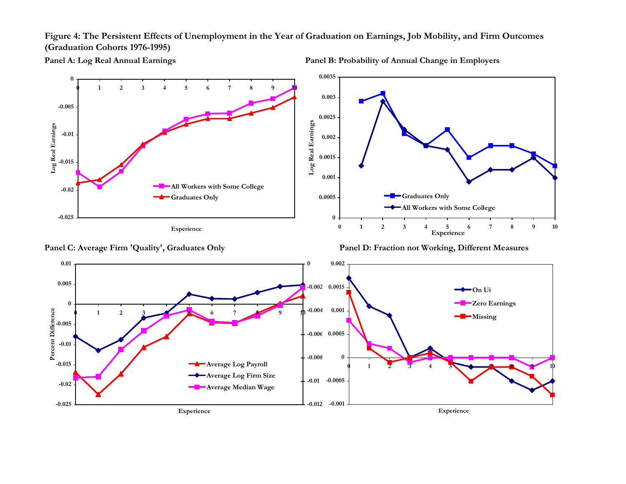**Figure 4: The Persistent Effects of Unemployment in the Year of Graduation on Earnings, Job Mobility, and Firm Outcomes (Graduation Cohorts 1976-1995)**

**Panel A: Log Real Annual Earnings Panel B: Probability of Annual Change in Employers**





Panel C: Average Firm 'Quality', Graduates Only Panel D: Fraction not Working, Different Measures

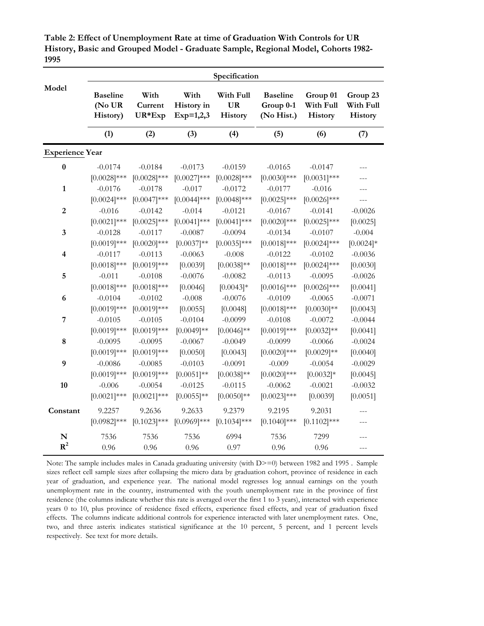**Table 2: Effect of Unemployment Rate at time of Graduation With Controls for UR History, Basic and Grouped Model - Graduate Sample, Regional Model, Cohorts 1982- 1995**

|                         |                             |                             |                            | Specification               |                             |                             |              |
|-------------------------|-----------------------------|-----------------------------|----------------------------|-----------------------------|-----------------------------|-----------------------------|--------------|
| Model                   | <b>Baseline</b>             | With                        | With                       | With Full                   | <b>Baseline</b>             | Group 01                    | Group 23     |
|                         | (No UR                      | Current                     | History in                 | <b>UR</b>                   | Group 0-1                   | With Full                   | With Full    |
|                         | History)                    | UR*Exp                      | $Exp=1,2,3$                | History                     | (No Hist.)                  | <b>History</b>              | History      |
|                         | (1)                         | (2)                         | (3)                        | (4)                         | (5)                         | (6)                         | (7)          |
| <b>Experience Year</b>  |                             |                             |                            |                             |                             |                             |              |
| $\bf{0}$                | $-0.0174$<br>$[0.0028]$ *** | $-0.0184$<br>$[0.0028]$ *** | $-0.0173$<br>$[0.0027]***$ | $-0.0159$<br>$[0.0028]$ *** | $-0.0165$<br>$[0.0030]$ *** | $-0.0147$<br>$[0.0031]$ *** |              |
| 1                       | $-0.0176$<br>$[0.0024]$ *** | $-0.0178$<br>$[0.0047]***$  | $-0.017$<br>$[0.0044]$ *** | $-0.0172$<br>$[0.0048]$ *** | $-0.0177$<br>$[0.0025]$ *** | $-0.016$<br>$[0.0026]$ ***  |              |
| $\overline{2}$          | $-0.016$                    | $-0.0142$                   | $-0.014$                   | $-0.0121$                   | $-0.0167$                   | $-0.0141$                   | $-0.0026$    |
|                         | $[0.0021]$ ***              | $[0.0025]$ ***              | $[0.0041]$ ***             | $[0.0041]$ ***              | $[0.0020]$ ***              | $[0.0025]$ ***              | [0.0025]     |
| 3                       | $-0.0128$                   | $-0.0117$                   | $-0.0087$                  | $-0.0094$                   | $-0.0134$                   | $-0.0107$                   | $-0.004$     |
|                         | $[0.0019]***$               | $[0.0020]$ ***              | $[0.0037]**$               | $[0.0035]$ ***              | $[0.0018]***$               | $[0.0024]$ ***              | $[0.0024]$ * |
| $\overline{\mathbf{4}}$ | $-0.0117$                   | $-0.0113$                   | $-0.0063$                  | $-0.008$                    | $-0.0122$                   | $-0.0102$                   | $-0.0036$    |
|                         | $[0.0018]^{***}$            | $[0.0019]***$               | [0.0039]                   | $[0.0038]^{**}$             | $[0.0018]***$               | $[0.0024]$ ***              | [0.0030]     |
| 5                       | $-0.011$                    | $-0.0108$                   | $-0.0076$                  | $-0.0082$                   | $-0.0113$                   | $-0.0095$                   | $-0.0026$    |
|                         | $[0.0018]$ ***              | $[0.0018]$ ***              | [0.0046]                   | $[0.0043]*$                 | $[0.0016]$ ***              | $[0.0026]$ ***              | [0.0041]     |
| 6                       | $-0.0104$                   | $-0.0102$                   | $-0.008$                   | $-0.0076$                   | $-0.0109$                   | $-0.0065$                   | $-0.0071$    |
|                         | $[0.0019]$ ***              | $[0.0019]***$               | [0.0055]                   | [0.0048]                    | $[0.0018]***$               | $[0.0030]$ **               | [0.0043]     |
| $\overline{7}$          | $-0.0105$                   | $-0.0105$                   | $-0.0104$                  | $-0.0099$                   | $-0.0108$                   | $-0.0072$                   | $-0.0044$    |
|                         | $[0.0019]$ ***              | $[0.0019]***$               | $[0.0049]$ **              | $[0.0046]$ **               | $[0.0019]***$               | $[0.0032]^{**}$             | [0.0041]     |
| 8                       | $-0.0095$                   | $-0.0095$                   | $-0.0067$                  | $-0.0049$                   | $-0.0099$                   | $-0.0066$                   | $-0.0024$    |
|                         | $[0.0019]$ ***              | $[0.0019]$ ***              | [0.0050]                   | [0.0043]                    | $[0.0020]$ ***              | $[0.0029]$ **               | [0.0040]     |
| 9                       | $-0.0086$                   | $-0.0085$                   | $-0.0103$                  | $-0.0091$                   | $-0.009$                    | $-0.0054$                   | $-0.0029$    |
|                         | $[0.0019]$ ***              | $[0.0019]$ ***              | $[0.0051]^{**}$            | $[0.0038]^{**}$             | $[0.0020]$ ***              | $[0.0032]*$                 | [0.0045]     |
| 10                      | $-0.006$                    | $-0.0054$                   | $-0.0125$                  | $-0.0115$                   | $-0.0062$                   | $-0.0021$                   | $-0.0032$    |
|                         | $[0.0021]$ ***              | $[0.0021]$ ***              | $[0.0055]^{**}$            | $[0.0050]$ **               | $[0.0023]$ ***              | [0.0039]                    | [0.0051]     |
| Constant                | 9.2257<br>$[0.0982]$ ***    | 9.2636<br>$[0.1023]$ ***    | 9.2633<br>$[0.0969]$ ***   | 9.2379<br>$[0.1034]$ ***    | 9.2195<br>$[0.1040]$ ***    | 9.2031<br>$[0.1102]$ ***    |              |
| N                       | 7536                        | 7536                        | 7536                       | 6994                        | 7536                        | 7299                        | ---          |
| $R^2$                   | 0.96                        | 0.96                        | 0.96                       | 0.97                        | 0.96                        | 0.96                        |              |

Note: The sample includes males in Canada graduating university (with  $D$ ) between 1982 and 1995. Sample sizes reflect cell sample sizes after collapsing the micro data by graduation cohort, province of residence in each year of graduation, and experience year. The national model regresses log annual earnings on the youth unemployment rate in the country, instrumented with the youth unemployment rate in the province of first residence (the columns indicate whether this rate is averaged over the first 1 to 3 years), interacted with experience years 0 to 10, plus province of residence fixed effects, experience fixed effects, and year of graduation fixed effects. The columns indicate additional controls for experience interacted with later unemployment rates. One, two, and three asterix indicates statistical significance at the 10 percent, 5 percent, and 1 percent levels respectively. See text for more details.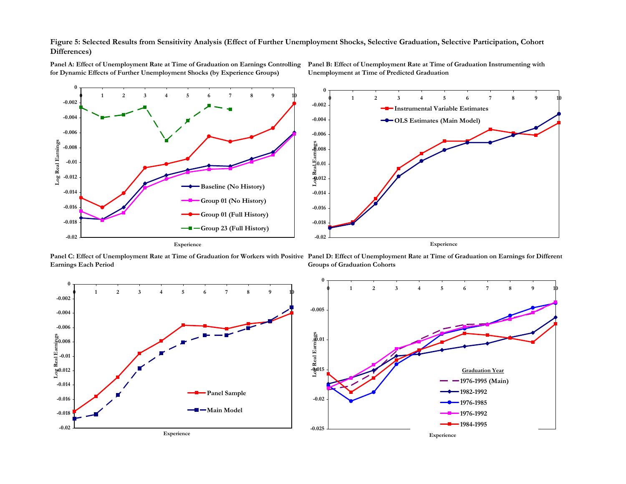**Figure 5: Selected Results from Sensitivity Analysis (Effect of Further Unemployment Shocks, Selective Graduation, Selective Participation, Cohort Differences)**



**Panel A: Effect of Unemployment Rate at Time of Graduation on Earnings Controlling for Dynamic Effects of Further Unemployment Shocks (by Experience Groups)**

**Panel B: Effect of Unemployment Rate at Time of Graduation Instrumenting with Unemployment at Time of Predicted Graduation**

**Panel C: Effect of Unemployment Rate at Time of Graduation for Workers with Positive Panel D: Effect of Unemployment Rate at Time of Graduation on Earnings for Different Earnings Each Period Groups of Graduation Cohorts**

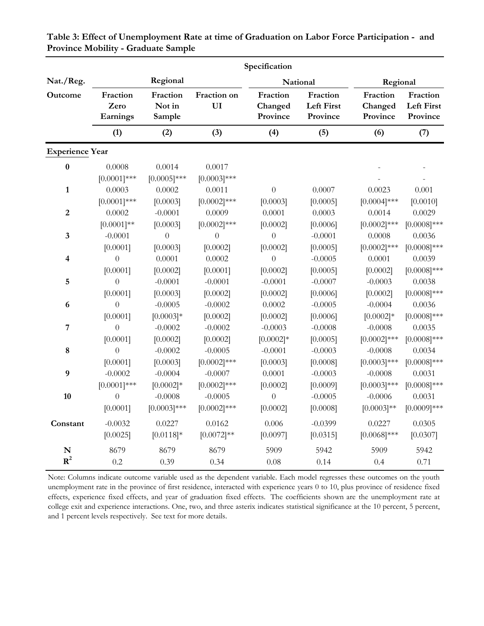|                        |                              |                              |                          | Specification                   |                                    |                                 |                                           |
|------------------------|------------------------------|------------------------------|--------------------------|---------------------------------|------------------------------------|---------------------------------|-------------------------------------------|
| Nat./Reg.              |                              | Regional                     |                          |                                 | National                           | Regional                        |                                           |
| Outcome                | Fraction<br>Zero<br>Earnings | Fraction<br>Not in<br>Sample | Fraction on<br>UI        | Fraction<br>Changed<br>Province | Fraction<br>Left First<br>Province | Fraction<br>Changed<br>Province | Fraction<br><b>Left First</b><br>Province |
|                        | (1)                          | (2)                          | (3)                      | (4)                             | (5)                                | (6)                             | (7)                                       |
| <b>Experience Year</b> |                              |                              |                          |                                 |                                    |                                 |                                           |
| $\pmb{0}$              | 0.0008<br>$[0.0001]$ ***     | 0.0014<br>$[0.0005]$ ***     | 0.0017<br>$[0.0003]$ *** |                                 |                                    |                                 |                                           |
| $\mathbf{1}$           | 0.0003                       | 0.0002                       | 0.0011                   | $\theta$                        | 0.0007                             | 0.0023                          | 0.001                                     |
|                        | $[0.0001]$ ***               | [0.0003]                     | $[0.0002]$ ***           | [0.0003]                        | [0.0005]                           | $[0.0004]$ ***                  | [0.0010]                                  |
| $\boldsymbol{2}$       | 0.0002                       | $-0.0001$                    | 0.0009                   | 0.0001                          | $0.0003\,$                         | 0.0014                          | 0.0029                                    |
|                        | $[0.0001]^{**}$              | [0.0003]                     | $[0.0002]$ ***           | [0.0002]                        | [0.0006]                           | $[0.0002]$ ***                  | $[0.0008]$ ***                            |
| $\mathbf{3}$           | $-0.0001$                    | $\theta$                     | $\boldsymbol{0}$         | $\theta$                        | $-0.0001$                          | 0.0008                          | 0.0036                                    |
|                        | [0.0001]                     | [0.0003]                     | [0.0002]                 | [0.0002]                        | [0.0005]                           | $[0.0002]$ ***                  | $[0.0008]$ ***                            |
| 4                      | $\overline{0}$               | 0.0001                       | 0.0002                   | $\overline{0}$                  | $-0.0005$                          | 0.0001                          | 0.0039                                    |
|                        | [0.0001]                     | [0.0002]                     | [0.0001]                 | [0.0002]                        | [0.0005]                           | [0.0002]                        | $[0.0008]$ ***                            |
| 5                      | $\overline{0}$               | $-0.0001$                    | $-0.0001$                | $-0.0001$                       | $-0.0007$                          | $-0.0003$                       | 0.0038                                    |
|                        | [0.0001]                     | [0.0003]                     | [0.0002]                 | [0.0002]                        | [0.0006]                           | [0.0002]                        | $[0.0008]$ ***                            |
| 6                      | $\theta$                     | $-0.0005$                    | $-0.0002$                | 0.0002                          | $-0.0005$                          | $-0.0004$                       | 0.0036                                    |
|                        | [0.0001]                     | $[0.0003]*$                  | [0.0002]                 | [0.0002]                        | [0.0006]                           | $[0.0002]*$                     | $[0.0008]$ ***                            |
| 7                      | $\overline{0}$               | $-0.0002$                    | $-0.0002$                | $-0.0003$                       | $-0.0008$                          | $-0.0008$                       | 0.0035                                    |
|                        | [0.0001]                     | [0.0002]                     | [0.0002]                 | $[0.0002]*$                     | [0.0005]                           | $[0.0002]$ ***                  | $[0.0008]$ ***                            |
| 8                      | $\theta$                     | $-0.0002$                    | $-0.0005$                | $-0.0001$                       | $-0.0003$                          | $-0.0008$                       | 0.0034                                    |
|                        | [0.0001]                     | [0.0003]                     | $[0.0002]$ ***           | [0.0003]                        | [0.0008]                           | $[0.0003]$ ***                  | $[0.0008]$ ***                            |
| 9                      | $-0.0002$                    | $-0.0004$                    | $-0.0007$                | 0.0001                          | $-0.0003$                          | $-0.0008$                       | 0.0031                                    |
|                        | $[0.0001]$ ***               | $[0.0002]*$                  | $[0.0002]$ ***           | [0.0002]                        | [0.0009]                           | $[0.0003]$ ***                  | $[0.0008]$ ***                            |
| 10                     | $\overline{0}$               | $-0.0008$                    | $-0.0005$                | $\overline{0}$                  | $-0.0005$                          | $-0.0006$                       | 0.0031                                    |
|                        | [0.0001]                     | $[0.0003]$ ***               | $[0.0002]$ ***           | [0.0002]                        | [0.0008]                           | $[0.0003]^{**}$                 | $[0.0009]$ ***                            |
| Constant               | $-0.0032$                    | 0.0227                       | 0.0162                   | 0.006                           | $-0.0399$                          | 0.0227                          | 0.0305                                    |
|                        | [0.0025]                     | $[0.0118]*$                  | $[0.0072]^{**}$          | [0.0097]                        | [0.0315]                           | $[0.0068]$ ***                  | [0.0307]                                  |
| N                      | 8679                         | 8679                         | 8679                     | 5909                            | 5942                               | 5909                            | 5942                                      |
| ${\bf R}^2$            | 0.2                          | 0.39                         | 0.34                     | 0.08                            | 0.14                               | 0.4                             | 0.71                                      |

**Table 3: Effect of Unemployment Rate at time of Graduation on Labor Force Participation - and Province Mobility - Graduate Sample**

Note: Columns indicate outcome variable used as the dependent variable. Each model regresses these outcomes on the youth unemployment rate in the province of first residence, interacted with experience years 0 to 10, plus province of residence fixed effects, experience fixed effects, and year of graduation fixed effects. The coefficients shown are the unemployment rate at college exit and experience interactions. One, two, and three asterix indicates statistical significance at the 10 percent, 5 percent, and 1 percent levels respectively. See text for more details.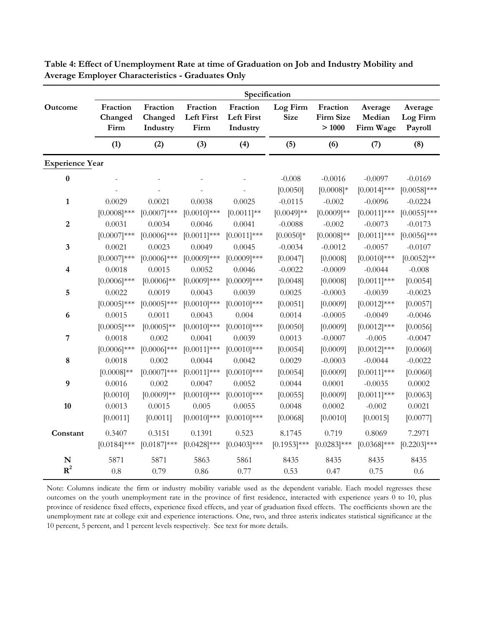|                         |                             |                                 |                                       |                                           | Specification           |                                |                                |                                |
|-------------------------|-----------------------------|---------------------------------|---------------------------------------|-------------------------------------------|-------------------------|--------------------------------|--------------------------------|--------------------------------|
| Outcome                 | Fraction<br>Changed<br>Firm | Fraction<br>Changed<br>Industry | Fraction<br><b>Left First</b><br>Firm | Fraction<br><b>Left First</b><br>Industry | Log Firm<br><b>Size</b> | Fraction<br>Firm Size<br>>1000 | Average<br>Median<br>Firm Wage | Average<br>Log Firm<br>Payroll |
|                         | (1)                         | (2)                             | (3)                                   | (4)                                       | (5)                     | (6)                            | (7)                            | (8)                            |
| <b>Experience Year</b>  |                             |                                 |                                       |                                           |                         |                                |                                |                                |
| $\pmb{0}$               |                             |                                 |                                       |                                           | $-0.008$                | $-0.0016$                      | $-0.0097$                      | $-0.0169$                      |
|                         |                             |                                 |                                       |                                           | [0.0050]                | $[0.0008]*$                    | $[0.0014]$ ***                 | $[0.0058]$ ***                 |
| $\mathbf{1}$            | 0.0029                      | 0.0021                          | 0.0038                                | 0.0025                                    | $-0.0115$               | $-0.002$                       | $-0.0096$                      | $-0.0224$                      |
|                         | $[0.0008]$ ***              | $[0.0007]***$                   | $[0.0010]$ ***                        | $[0.0011]$ **                             | $[0.0049]$ **           | $[0.0009]**$                   | $[0.0011]$ ***                 | $[0.0055]$ ***                 |
| $\overline{2}$          | 0.0031                      | 0.0034                          | 0.0046                                | 0.0041                                    | $-0.0088$               | $-0.002$                       | $-0.0073$                      | $-0.0173$                      |
|                         | $[0.0007]***$               | $[0.0006]$ ***                  | $[0.0011]$ ***                        | $[0.0011]$ ***                            | $[0.0050]*$             | $[0.0008]^{**}$                | $[0.0011]$ ***                 | $[0.0056]$ ***                 |
| $\mathbf{3}$            | 0.0021                      | 0.0023                          | 0.0049                                | 0.0045                                    | $-0.0034$               | $-0.0012$                      | $-0.0057$                      | $-0.0107$                      |
|                         | $[0.0007]***$               | $[0.0006]$ ***                  | $[0.0009]$ ***                        | $[0.0009]***$                             | [0.0047]                | [0.0008]                       | $[0.0010]$ ***                 | $[0.0052]^{**}$                |
| $\overline{\mathbf{4}}$ | 0.0018                      | 0.0015                          | 0.0052                                | 0.0046                                    | $-0.0022$               | $-0.0009$                      | $-0.0044$                      | $-0.008$                       |
|                         | $[0.0006]$ ***              | $[0.0006]$ **                   | $[0.0009]$ ***                        | $[0.0009]$ ***                            | [0.0048]                | [0.0008]                       | $[0.0011]$ ***                 | [0.0054]                       |
| 5                       | 0.0022                      | 0.0019                          | 0.0043                                | 0.0039                                    | 0.0025                  | $-0.0003$                      | $-0.0039$                      | $-0.0023$                      |
|                         | $[0.0005]$ ***              | $[0.0005]$ ***                  | $[0.0010]$ ***                        | $[0.0010]$ ***                            | [0.0051]                | [0.0009]                       | $[0.0012]$ ***                 | [0.0057]                       |
| $\boldsymbol{6}$        | 0.0015                      | 0.0011                          | 0.0043                                | 0.004                                     | 0.0014                  | $-0.0005$                      | $-0.0049$                      | $-0.0046$                      |
|                         | $[0.0005]$ ***              | $[0.0005]^{**}$                 | $[0.0010]$ ***                        | $[0.0010]$ ***                            | [0.0050]                | [0.0009]                       | $[0.0012]$ ***                 | [0.0056]                       |
| $\overline{7}$          | 0.0018                      | 0.002                           | 0.0041                                | 0.0039                                    | 0.0013                  | $-0.0007$                      | $-0.005$                       | $-0.0047$                      |
|                         | $[0.0006]$ ***              | $[0.0006]$ ***                  | $[0.0011]$ ***                        | $[0.0010]$ ***                            | [0.0054]                | [0.0009]                       | $[0.0012]$ ***                 | [0.0060]                       |
| $\bf 8$                 | 0.0018                      | 0.002                           | 0.0044                                | 0.0042                                    | 0.0029                  | $-0.0003$                      | $-0.0044$                      | $-0.0022$                      |
|                         | $[0.0008]^{**}$             | $[0.0007]***$                   | $[0.0011]$ ***                        | $[0.0010]$ ***                            | [0.0054]                | [0.0009]                       | $[0.0011]$ ***                 | [0.0060]                       |
| $\boldsymbol{9}$        | 0.0016                      | 0.002                           | 0.0047                                | 0.0052                                    | 0.0044                  | 0.0001                         | $-0.0035$                      | 0.0002                         |
|                         | [0.0010]                    | $[0.0009]**$                    | $[0.0010]$ ***                        | $[0.0010]$ ***                            | [0.0055]                | [0.0009]                       | $[0.0011]$ ***                 | [0.0063]                       |
| 10                      | 0.0013                      | 0.0015                          | 0.005                                 | 0.0055                                    | 0.0048                  | 0.0002                         | $-0.002$                       | 0.0021                         |
|                         | [0.0011]                    | [0.0011]                        | $[0.0010]$ ***                        | $[0.0010]$ ***                            | [0.0068]                | [0.0010]                       | [0.0015]                       | [0.0077]                       |
| Constant                | 0.3407                      | 0.3151                          | 0.1391                                | 0.523                                     | 8.1745                  | 0.719                          | 0.8069                         | 7.2971                         |
|                         | $[0.0184]$ ***              | $[0.0187]***$                   | $[0.0428]$ ***                        | $[0.0403]$ ***                            | $[0.1953]$ ***          | $[0.0283]$ ***                 | $[0.0368]$ ***                 | $[0.2203]$ ***                 |
| N                       | 5871                        | 5871                            | 5863                                  | 5861                                      | 8435                    | 8435                           | 8435                           | 8435                           |
| ${\bf R}^2$             | 0.8                         | 0.79                            | 0.86                                  | 0.77                                      | 0.53                    | 0.47                           | 0.75                           | 0.6                            |

**Table 4: Effect of Unemployment Rate at time of Graduation on Job and Industry Mobility and Average Employer Characteristics - Graduates Only**

Note: Columns indicate the firm or industry mobility variable used as the dependent variable. Each model regresses these outcomes on the youth unemployment rate in the province of first residence, interacted with experience years 0 to 10, plus province of residence fixed effects, experience fixed effects, and year of graduation fixed effects. The coefficients shown are the unemployment rate at college exit and experience interactions. One, two, and three asterix indicates statistical significance at the 10 percent, 5 percent, and 1 percent levels respectively. See text for more details.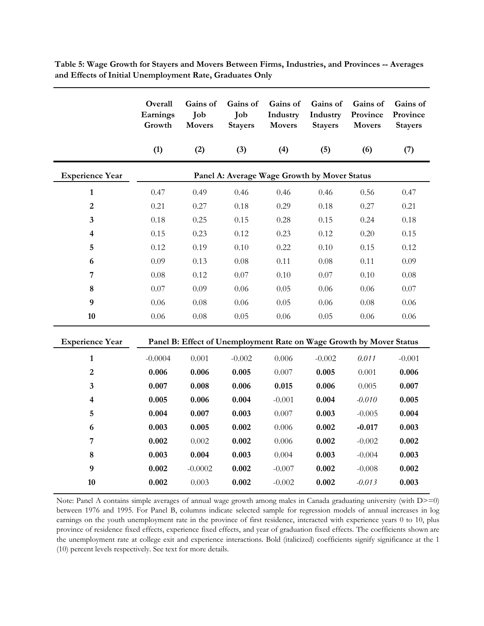|                         | Overall<br>Earnings<br>Growth | Gains of<br>Job<br><b>Movers</b>                                    | Gains of<br>Job<br><b>Stayers</b> | Gains of<br>Industry<br><b>Movers</b>        | Gains of<br>Industry<br><b>Stayers</b> | Gains of<br>Province<br><b>Movers</b> | Gains of<br>Province<br><b>Stayers</b> |
|-------------------------|-------------------------------|---------------------------------------------------------------------|-----------------------------------|----------------------------------------------|----------------------------------------|---------------------------------------|----------------------------------------|
|                         | (1)                           | (2)                                                                 | (3)                               | (4)                                          | (5)                                    | (6)                                   | (7)                                    |
| <b>Experience Year</b>  |                               |                                                                     |                                   | Panel A: Average Wage Growth by Mover Status |                                        |                                       |                                        |
| $\mathbf{1}$            | 0.47                          | 0.49                                                                | 0.46                              | 0.46                                         | 0.46                                   | 0.56                                  | 0.47                                   |
| $\overline{2}$          | 0.21                          | 0.27                                                                | 0.18                              | 0.29                                         | 0.18                                   | 0.27                                  | 0.21                                   |
| 3                       | 0.18                          | 0.25                                                                | 0.15                              | 0.28                                         | 0.15                                   | 0.24                                  | 0.18                                   |
| 4                       | 0.15                          | 0.23                                                                | 0.12                              | 0.23                                         | 0.12                                   | 0.20                                  | 0.15                                   |
| 5                       | 0.12                          | 0.19                                                                | 0.10                              | 0.22                                         | 0.10                                   | 0.15                                  | 0.12                                   |
| 6                       | 0.09                          | 0.13                                                                | 0.08                              | 0.11                                         | 0.08                                   | 0.11                                  | 0.09                                   |
| $\overline{7}$          | 0.08                          | 0.12                                                                | 0.07                              | 0.10                                         | 0.07                                   | 0.10                                  | 0.08                                   |
| 8                       | 0.07                          | 0.09                                                                | 0.06                              | 0.05                                         | 0.06                                   | 0.06                                  | 0.07                                   |
| $\boldsymbol{9}$        | 0.06                          | 0.08                                                                | 0.06                              | 0.05                                         | 0.06                                   | 0.08                                  | 0.06                                   |
| 10                      | 0.06                          | $0.08\,$                                                            | 0.05                              | 0.06                                         | 0.05                                   | 0.06                                  | 0.06                                   |
| <b>Experience Year</b>  |                               | Panel B: Effect of Unemployment Rate on Wage Growth by Mover Status |                                   |                                              |                                        |                                       |                                        |
| $\mathbf{1}$            | $-0.0004$                     | 0.001                                                               | $-0.002$                          | 0.006                                        | $-0.002$                               | 0.011                                 | $-0.001$                               |
| $\overline{2}$          | 0.006                         | 0.006                                                               | 0.005                             | 0.007                                        | 0.005                                  | 0.001                                 | 0.006                                  |
| $\overline{\mathbf{3}}$ | 0.007                         | 0.008                                                               | 0.006                             | 0.015                                        | 0.006                                  | 0.005                                 | 0.007                                  |
| 4                       | 0.005                         | 0.006                                                               | 0.004                             | $-0.001$                                     | 0.004                                  | $-0.010$                              | 0.005                                  |
| 5                       | 0.004                         | 0.007                                                               | 0.003                             | 0.007                                        | 0.003                                  | $-0.005$                              | 0.004                                  |
| 6                       | 0.003                         | 0.005                                                               | 0.002                             | 0.006                                        | 0.002                                  | $-0.017$                              | 0.003                                  |
| 7                       | 0.002                         | 0.002                                                               | 0.002                             | 0.006                                        | 0.002                                  | $-0.002$                              | 0.002                                  |
| 8                       | 0.003                         | 0.004                                                               | 0.003                             | 0.004                                        | 0.003                                  | $-0.004$                              | 0.003                                  |
| 9                       | 0.002                         | $-0.0002$                                                           | 0.002                             | $-0.007$                                     | 0.002                                  | $-0.008$                              | 0.002                                  |
| 10                      | 0.002                         | 0.003                                                               | 0.002                             | $-0.002$                                     | 0.002                                  | $-0.013$                              | 0.003                                  |

**Table 5: Wage Growth for Stayers and Movers Between Firms, Industries, and Provinces -- Averages and Effects of Initial Unemployment Rate, Graduates Only**

Note: Panel A contains simple averages of annual wage growth among males in Canada graduating university (with D>=0) between 1976 and 1995. For Panel B, columns indicate selected sample for regression models of annual increases in log earnings on the youth unemployment rate in the province of first residence, interacted with experience years 0 to 10, plus province of residence fixed effects, experience fixed effects, and year of graduation fixed effects. The coefficients shown are the unemployment rate at college exit and experience interactions. Bold (italicized) coefficients signify significance at the 1 (10) percent levels respectively. See text for more details.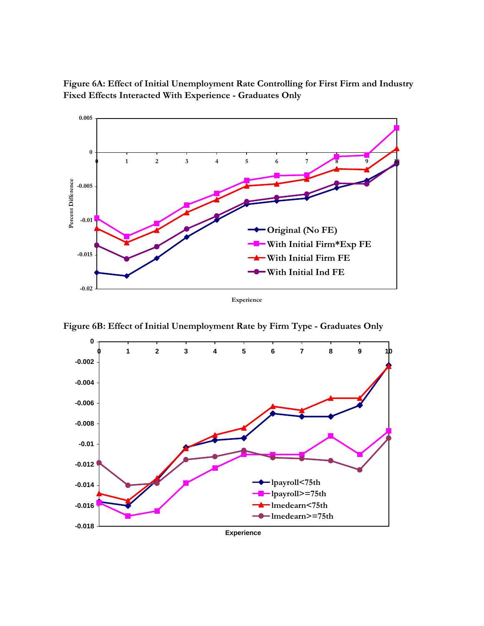

**Figure 6A: Effect of Initial Unemployment Rate Controlling for First Firm and Industry Fixed Effects Interacted With Experience - Graduates Only**

**Figure 6B: Effect of Initial Unemployment Rate by Firm Type - Graduates Only**

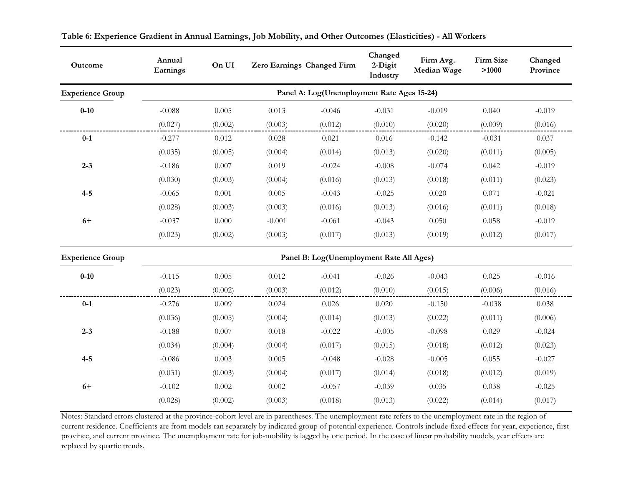| Outcome                 | Annual<br>Earnings                       | On UI     |          | Zero Earnings Changed Firm                 | Changed<br>2-Digit<br>Industry | Firm Avg.<br>Median Wage | Firm Size<br>>1000 | Changed<br>Province |
|-------------------------|------------------------------------------|-----------|----------|--------------------------------------------|--------------------------------|--------------------------|--------------------|---------------------|
| <b>Experience Group</b> |                                          |           |          | Panel A: Log(Unemployment Rate Ages 15-24) |                                |                          |                    |                     |
| $0 - 10$                | $-0.088$                                 | 0.005     | 0.013    | $-0.046$                                   | $-0.031$                       | $-0.019$                 | 0.040              | $-0.019$            |
|                         | (0.027)                                  | (0.002)   | (0.003)  | (0.012)                                    | (0.010)                        | (0.020)                  | (0.009)            | (0.016)             |
| $0-1$                   | $-0.277$                                 | 0.012     | 0.028    | 0.021                                      | 0.016                          | $-0.142$                 | $-0.031$           | 0.037               |
|                         | (0.035)                                  | (0.005)   | (0.004)  | (0.014)                                    | (0.013)                        | (0.020)                  | (0.011)            | (0.005)             |
| $2 - 3$                 | $-0.186$                                 | 0.007     | 0.019    | $-0.024$                                   | $-0.008$                       | $-0.074$                 | 0.042              | $-0.019$            |
|                         | (0.030)                                  | (0.003)   | (0.004)  | (0.016)                                    | (0.013)                        | (0.018)                  | (0.011)            | (0.023)             |
| $4 - 5$                 | $-0.065$                                 | 0.001     | 0.005    | $-0.043$                                   | $-0.025$                       | 0.020                    | 0.071              | $-0.021$            |
|                         | (0.028)                                  | (0.003)   | (0.003)  | (0.016)                                    | (0.013)                        | (0.016)                  | (0.011)            | (0.018)             |
| $6+$                    | $-0.037$                                 | $0.000\,$ | $-0.001$ | $-0.061$                                   | $-0.043$                       | 0.050                    | 0.058              | $-0.019$            |
|                         | (0.023)                                  | (0.002)   | (0.003)  | (0.017)                                    | (0.013)                        | (0.019)                  | (0.012)            | (0.017)             |
| <b>Experience Group</b> | Panel B: Log(Unemployment Rate All Ages) |           |          |                                            |                                |                          |                    |                     |
| $0 - 10$                | $-0.115$                                 | 0.005     | 0.012    | $-0.041$                                   | $-0.026$                       | $-0.043$                 | 0.025              | $-0.016$            |
|                         | (0.023)                                  | (0.002)   | (0.003)  | (0.012)                                    | (0.010)                        | (0.015)                  | (0.006)            | (0.016)             |
| $0-1$                   | $-0.276$                                 | 0.009     | 0.024    | 0.026                                      | 0.020                          | $-0.150$                 | $-0.038$           | 0.038               |
|                         | (0.036)                                  | (0.005)   | (0.004)  | (0.014)                                    | (0.013)                        | (0.022)                  | (0.011)            | (0.006)             |
| $2 - 3$                 | $-0.188$                                 | 0.007     | 0.018    | $-0.022$                                   | $-0.005$                       | $-0.098$                 | 0.029              | $-0.024$            |
|                         | (0.034)                                  | (0.004)   | (0.004)  | (0.017)                                    | (0.015)                        | (0.018)                  | (0.012)            | (0.023)             |
| $4 - 5$                 | $-0.086$                                 | 0.003     | 0.005    | $-0.048$                                   | $-0.028$                       | $-0.005$                 | 0.055              | $-0.027$            |
|                         | (0.031)                                  | (0.003)   | (0.004)  | (0.017)                                    | (0.014)                        | (0.018)                  | (0.012)            | (0.019)             |
| $6+$                    | $-0.102$                                 | 0.002     | 0.002    | $-0.057$                                   | $-0.039$                       | 0.035                    | 0.038              | $-0.025$            |
|                         | (0.028)                                  | (0.002)   | (0.003)  | (0.018)                                    | (0.013)                        | (0.022)                  | (0.014)            | (0.017)             |

**Table 6: Experience Gradient in Annual Earnings, Job Mobility, and Other Outcomes (Elasticities) - All Workers**

Notes: Standard errors clustered at the province-cohort level are in parentheses. The unemployment rate refers to the unemployment rate in the region of current residence. Coefficients are from models ran separately by indicated group of potential experience. Controls include fixed effects for year, experience, first province, and current province. The unemployment rate for job-mobility is lagged by one period. In the case of linear probability models, year effects are replaced by quartic trends.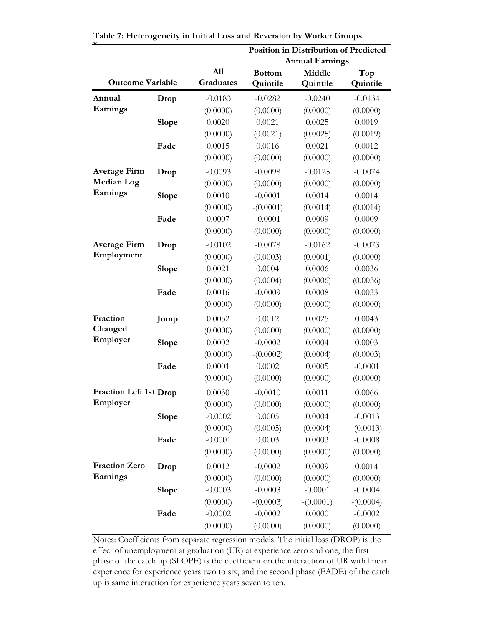|                               |              |                  |                           | <b>Position in Distribution of Predicted</b><br><b>Annual Earnings</b> |                 |
|-------------------------------|--------------|------------------|---------------------------|------------------------------------------------------------------------|-----------------|
| <b>Outcome Variable</b>       |              | A11<br>Graduates | <b>Bottom</b><br>Quintile | Middle<br>Quintile                                                     | Top<br>Quintile |
| Annual                        | Drop         | $-0.0183$        | $-0.0282$                 | $-0.0240$                                                              | $-0.0134$       |
| Earnings                      |              | (0.0000)         | (0.0000)                  | (0.0000)                                                               | (0.0000)        |
|                               | <b>Slope</b> | 0.0020           | 0.0021                    | 0.0025                                                                 | 0.0019          |
|                               |              | (0.0000)         | (0.0021)                  | (0.0025)                                                               | (0.0019)        |
|                               | Fade         | 0.0015           | 0.0016                    | 0.0021                                                                 | 0.0012          |
|                               |              | (0.0000)         | (0.0000)                  | (0.0000)                                                               | (0.0000)        |
| <b>Average Firm</b>           | Drop         | $-0.0093$        | $-0.0098$                 | $-0.0125$                                                              | $-0.0074$       |
| <b>Median Log</b>             |              | (0.0000)         | (0.0000)                  | (0.0000)                                                               | (0.0000)        |
| Earnings                      | <b>Slope</b> | 0.0010           | $-0.0001$                 | 0.0014                                                                 | 0.0014          |
|                               |              | (0.0000)         | $-(0.0001)$               | (0.0014)                                                               | (0.0014)        |
|                               | Fade         | 0.0007           | $-0.0001$                 | 0.0009                                                                 | 0.0009          |
|                               |              | (0.0000)         | (0.0000)                  | (0.0000)                                                               | (0.0000)        |
| <b>Average Firm</b>           | Drop         | $-0.0102$        | $-0.0078$                 | $-0.0162$                                                              | $-0.0073$       |
| Employment                    |              | (0.0000)         | (0.0003)                  | (0.0001)                                                               | (0.0000)        |
|                               | <b>Slope</b> | 0.0021           | 0.0004                    | 0.0006                                                                 | 0.0036          |
|                               |              | (0.0000)         | (0.0004)                  | (0.0006)                                                               | (0.0036)        |
|                               | Fade         | 0.0016           | $-0.0009$                 | 0.0008                                                                 | 0.0033          |
|                               |              | (0.0000)         | (0.0000)                  | (0.0000)                                                               | (0.0000)        |
| Fraction                      | Jump         | 0.0032           | 0.0012                    | 0.0025                                                                 | 0.0043          |
| Changed                       |              | (0.0000)         | (0.0000)                  | (0.0000)                                                               | (0.0000)        |
| Employer                      | <b>Slope</b> | 0.0002           | $-0.0002$                 | 0.0004                                                                 | 0.0003          |
|                               |              | (0.0000)         | $-(0.0002)$               | (0.0004)                                                               | (0.0003)        |
|                               | Fade         | 0.0001           | 0.0002                    | 0.0005                                                                 | $-0.0001$       |
|                               |              | (0.0000)         | (0.0000)                  | (0.0000)                                                               | (0.0000)        |
| <b>Fraction Left 1st Drop</b> |              | 0.0030           | $-0.0010$                 | 0.0011                                                                 | 0.0066          |
| Employer                      |              | (0.0000)         | (0.0000)                  | (0.0000)                                                               | (0.0000)        |
|                               | Slope        | $-0.0002$        | 0.0005                    | 0.0004                                                                 | $-0.0013$       |
|                               |              | (0.0000)         | (0.0005)                  | (0.0004)                                                               | $-(0.0013)$     |
|                               | Fade         | $-0.0001$        | 0.0003                    | 0.0003                                                                 | $-0.0008$       |
|                               |              | (0.0000)         | (0.0000)                  | (0.0000)                                                               | (0.0000)        |
| <b>Fraction Zero</b>          | Drop         | 0.0012           | $-0.0002$                 | 0.0009                                                                 | 0.0014          |
| Earnings                      |              | (0.0000)         | (0.0000)                  | (0.0000)                                                               | (0.0000)        |
|                               | <b>Slope</b> | $-0.0003$        | $-0.0003$                 | $-0.0001$                                                              | $-0.0004$       |
|                               |              | (0.0000)         | $-(0.0003)$               | $-(0.0001)$                                                            | $-(0.0004)$     |
|                               | Fade         | $-0.0002$        | $-0.0002$                 | 0.0000                                                                 | $-0.0002$       |
|                               |              | (0.0000)         | (0.0000)                  | (0.0000)                                                               | (0.0000)        |

**Table 7: Heterogeneity in Initial Loss and Reversion by Worker Groups**

Notes: Coefficients from separate regression models. The initial loss (DROP) is the effect of unemployment at graduation (UR) at experience zero and one, the first phase of the catch up (SLOPE) is the coefficient on the interaction of UR with linear experience for experience years two to six, and the second phase (FADE) of the catch up is same interaction for experience years seven to ten.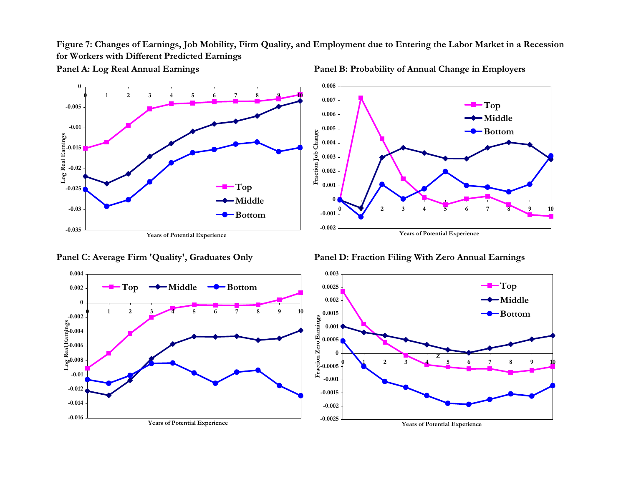**Figure 7: Changes of Earnings, Job Mobility, Firm Quality, and Employment due to Entering the Labor Market in a Recession for Workers with Different Predicted Earnings**



**Panel A: Log Real Annual Earnings Panel B: Probability of Annual Change in Employers**





**Panel C: Average Firm 'Quality', Graduates Only Panel D: Fraction Filing With Zero Annual Earnings**

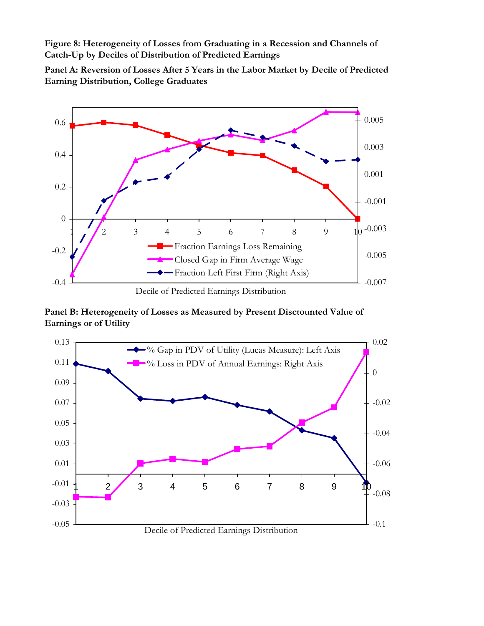**Figure 8: Heterogeneity of Losses from Graduating in a Recession and Channels of Catch-Up by Deciles of Distribution of Predicted Earnings**

**Panel A: Reversion of Losses After 5 Years in the Labor Market by Decile of Predicted Earning Distribution, College Graduates**



**Panel B: Heterogeneity of Losses as Measured by Present Disctounted Value of Earnings or of Utility** 

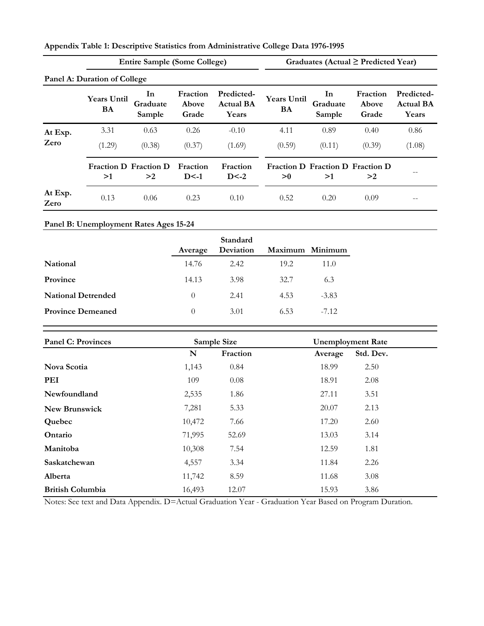| Appendix Table 1: Descriptive Statistics from Administrative College Data 1976-1995 |
|-------------------------------------------------------------------------------------|
|-------------------------------------------------------------------------------------|

|                 |                                      | <b>Entire Sample (Some College)</b> |                            |                                         |                          |                                 | Graduates (Actual $\geq$ Predicted Year) |                                         |
|-----------------|--------------------------------------|-------------------------------------|----------------------------|-----------------------------------------|--------------------------|---------------------------------|------------------------------------------|-----------------------------------------|
|                 | Panel A: Duration of College         |                                     |                            |                                         |                          |                                 |                                          |                                         |
|                 | <b>Years Until</b><br>BA             | <b>In</b><br>Graduate<br>Sample     | Fraction<br>Above<br>Grade | Predicted-<br><b>Actual BA</b><br>Years | <b>Years Until</b><br>BA | <b>In</b><br>Graduate<br>Sample | Fraction<br>Above<br>Grade               | Predicted-<br><b>Actual BA</b><br>Years |
| At Exp.         | 3.31                                 | 0.63                                | 0.26                       | $-0.10$                                 | 4.11                     | 0.89                            | 0.40                                     | 0.86                                    |
| Zero            | (1.29)                               | (0.38)                              | (0.37)                     | (1.69)                                  | (0.59)                   | (0.11)                          | (0.39)                                   | (1.08)                                  |
|                 | <b>Fraction D. Fraction D.</b><br>>1 | >2                                  | Fraction<br>$D < -1$       | Fraction<br>$D < -2$                    | >0                       | >1                              | Fraction D Fraction D Fraction D<br>>2   |                                         |
| At Exp.<br>Zero | 0.13                                 | 0.06                                | 0.23                       | 0.10                                    | 0.52                     | 0.20                            | 0.09                                     |                                         |

# **Panel B: Unemployment Rates Ages 15-24**

|                           |                  | Standard  |                 |         |
|---------------------------|------------------|-----------|-----------------|---------|
|                           | Average          | Deviation | Maximum Minimum |         |
| <b>National</b>           | 14.76            | 2.42      | 19.2            | 11.0    |
| Province                  | 14.13            | 3.98      | 32.7            | 6.3     |
| <b>National Detrended</b> | $\left( \right)$ | 2.41      | 4.53            | $-3.83$ |
| <b>Province Demeaned</b>  | $\theta$         | 3.01      | 6.53            | $-7.12$ |
|                           |                  |           |                 |         |

| <b>Panel C: Provinces</b> |        | Sample Size |         | <b>Unemployment Rate</b> |  |  |
|---------------------------|--------|-------------|---------|--------------------------|--|--|
|                           | N      | Fraction    | Average | Std. Dev.                |  |  |
| Nova Scotia               | 1,143  | 0.84        | 18.99   | 2.50                     |  |  |
| PEI                       | 109    | 0.08        | 18.91   | 2.08                     |  |  |
| Newfoundland              | 2,535  | 1.86        | 27.11   | 3.51                     |  |  |
| <b>New Brunswick</b>      | 7,281  | 5.33        | 20.07   | 2.13                     |  |  |
| Quebec                    | 10,472 | 7.66        | 17.20   | 2.60                     |  |  |
| Ontario                   | 71,995 | 52.69       | 13.03   | 3.14                     |  |  |
| Manitoba                  | 10,308 | 7.54        | 12.59   | 1.81                     |  |  |
| Saskatchewan              | 4,557  | 3.34        | 11.84   | 2.26                     |  |  |
| Alberta                   | 11,742 | 8.59        | 11.68   | 3.08                     |  |  |
| <b>British Columbia</b>   | 16,493 | 12.07       | 15.93   | 3.86                     |  |  |

Notes: See text and Data Appendix. D=Actual Graduation Year - Graduation Year Based on Program Duration.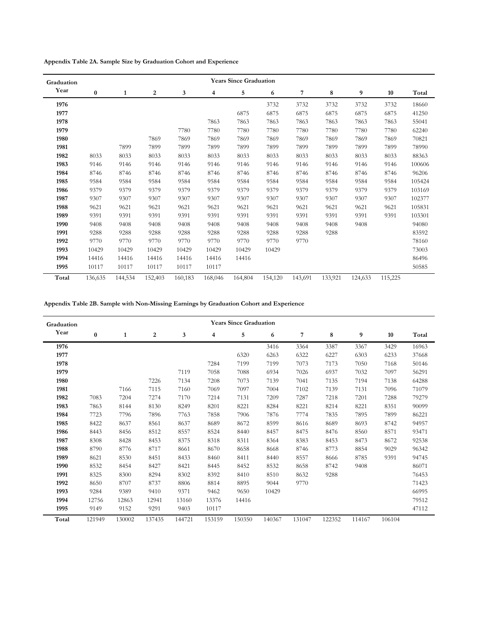**Appendix Table 2A. Sample Size by Graduation Cohort and Experience**

| Graduation |          | <b>Years Since Graduation</b> |         |         |         |         |         |         |         |         |         |        |  |  |
|------------|----------|-------------------------------|---------|---------|---------|---------|---------|---------|---------|---------|---------|--------|--|--|
| Year       | $\bf{0}$ | 1                             | 2       | 3       | 4       | 5       | 6       | 7       | 8       | 9       | 10      | Total  |  |  |
| 1976       |          |                               |         |         |         |         | 3732    | 3732    | 3732    | 3732    | 3732    | 18660  |  |  |
| 1977       |          |                               |         |         |         | 6875    | 6875    | 6875    | 6875    | 6875    | 6875    | 41250  |  |  |
| 1978       |          |                               |         |         | 7863    | 7863    | 7863    | 7863    | 7863    | 7863    | 7863    | 55041  |  |  |
| 1979       |          |                               |         | 7780    | 7780    | 7780    | 7780    | 7780    | 7780    | 7780    | 7780    | 62240  |  |  |
| 1980       |          |                               | 7869    | 7869    | 7869    | 7869    | 7869    | 7869    | 7869    | 7869    | 7869    | 70821  |  |  |
| 1981       |          | 7899                          | 7899    | 7899    | 7899    | 7899    | 7899    | 7899    | 7899    | 7899    | 7899    | 78990  |  |  |
| 1982       | 8033     | 8033                          | 8033    | 8033    | 8033    | 8033    | 8033    | 8033    | 8033    | 8033    | 8033    | 88363  |  |  |
| 1983       | 9146     | 9146                          | 9146    | 9146    | 9146    | 9146    | 9146    | 9146    | 9146    | 9146    | 9146    | 100606 |  |  |
| 1984       | 8746     | 8746                          | 8746    | 8746    | 8746    | 8746    | 8746    | 8746    | 8746    | 8746    | 8746    | 96206  |  |  |
| 1985       | 9584     | 9584                          | 9584    | 9584    | 9584    | 9584    | 9584    | 9584    | 9584    | 9584    | 9584    | 105424 |  |  |
| 1986       | 9379     | 9379                          | 9379    | 9379    | 9379    | 9379    | 9379    | 9379    | 9379    | 9379    | 9379    | 103169 |  |  |
| 1987       | 9307     | 9307                          | 9307    | 9307    | 9307    | 9307    | 9307    | 9307    | 9307    | 9307    | 9307    | 102377 |  |  |
| 1988       | 9621     | 9621                          | 9621    | 9621    | 9621    | 9621    | 9621    | 9621    | 9621    | 9621    | 9621    | 105831 |  |  |
| 1989       | 9391     | 9391                          | 9391    | 9391    | 9391    | 9391    | 9391    | 9391    | 9391    | 9391    | 9391    | 103301 |  |  |
| 1990       | 9408     | 9408                          | 9408    | 9408    | 9408    | 9408    | 9408    | 9408    | 9408    | 9408    |         | 94080  |  |  |
| 1991       | 9288     | 9288                          | 9288    | 9288    | 9288    | 9288    | 9288    | 9288    | 9288    |         |         | 83592  |  |  |
| 1992       | 9770     | 9770                          | 9770    | 9770    | 9770    | 9770    | 9770    | 9770    |         |         |         | 78160  |  |  |
| 1993       | 10429    | 10429                         | 10429   | 10429   | 10429   | 10429   | 10429   |         |         |         |         | 73003  |  |  |
| 1994       | 14416    | 14416                         | 14416   | 14416   | 14416   | 14416   |         |         |         |         |         | 86496  |  |  |
| 1995       | 10117    | 10117                         | 10117   | 10117   | 10117   |         |         |         |         |         |         | 50585  |  |  |
| Total      | 136,635  | 144,534                       | 152,403 | 160,183 | 168,046 | 164,804 | 154,120 | 143,691 | 133,921 | 124,633 | 115,225 |        |  |  |

**Appendix Table 2B. Sample with Non-Missing Earnings by Graduation Cohort and Experience**

| Graduation |        |              |        |        |        | <b>Years Since Graduation</b> |        |        |        |        |        |       |
|------------|--------|--------------|--------|--------|--------|-------------------------------|--------|--------|--------|--------|--------|-------|
| Year       | 0      | $\mathbf{1}$ | 2      | 3      | 4      | 5                             | 6      | 7      | 8      | 9      | 10     | Total |
| 1976       |        |              |        |        |        |                               | 3416   | 3364   | 3387   | 3367   | 3429   | 16963 |
| 1977       |        |              |        |        |        | 6320                          | 6263   | 6322   | 6227   | 6303   | 6233   | 37668 |
| 1978       |        |              |        |        | 7284   | 7199                          | 7199   | 7073   | 7173   | 7050   | 7168   | 50146 |
| 1979       |        |              |        | 7119   | 7058   | 7088                          | 6934   | 7026   | 6937   | 7032   | 7097   | 56291 |
| 1980       |        |              | 7226   | 7134   | 7208   | 7073                          | 7139   | 7041   | 7135   | 7194   | 7138   | 64288 |
| 1981       |        | 7166         | 7115   | 7160   | 7069   | 7097                          | 7004   | 7102   | 7139   | 7131   | 7096   | 71079 |
| 1982       | 7083   | 7204         | 7274   | 7170   | 7214   | 7131                          | 7209   | 7287   | 7218   | 7201   | 7288   | 79279 |
| 1983       | 7863   | 8144         | 8130   | 8249   | 8201   | 8221                          | 8284   | 8221   | 8214   | 8221   | 8351   | 90099 |
| 1984       | 7723   | 7796         | 7896   | 7763   | 7858   | 7906                          | 7876   | 7774   | 7835   | 7895   | 7899   | 86221 |
| 1985       | 8422   | 8637         | 8561   | 8637   | 8689   | 8672                          | 8599   | 8616   | 8689   | 8693   | 8742   | 94957 |
| 1986       | 8443   | 8456         | 8512   | 8557   | 8524   | 8440                          | 8457   | 8475   | 8476   | 8560   | 8571   | 93471 |
| 1987       | 8308   | 8428         | 8453   | 8375   | 8318   | 8311                          | 8364   | 8383   | 8453   | 8473   | 8672   | 92538 |
| 1988       | 8790   | 8776         | 8717   | 8661   | 8670   | 8658                          | 8668   | 8746   | 8773   | 8854   | 9029   | 96342 |
| 1989       | 8621   | 8530         | 8451   | 8433   | 8460   | 8411                          | 8440   | 8557   | 8666   | 8785   | 9391   | 94745 |
| 1990       | 8532   | 8454         | 8427   | 8421   | 8445   | 8452                          | 8532   | 8658   | 8742   | 9408   |        | 86071 |
| 1991       | 8325   | 8300         | 8294   | 8302   | 8392   | 8410                          | 8510   | 8632   | 9288   |        |        | 76453 |
| 1992       | 8650   | 8707         | 8737   | 8806   | 8814   | 8895                          | 9044   | 9770   |        |        |        | 71423 |
| 1993       | 9284   | 9389         | 9410   | 9371   | 9462   | 9650                          | 10429  |        |        |        |        | 66995 |
| 1994       | 12756  | 12863        | 12941  | 13160  | 13376  | 14416                         |        |        |        |        |        | 79512 |
| 1995       | 9149   | 9152         | 9291   | 9403   | 10117  |                               |        |        |        |        |        | 47112 |
| Total      | 121949 | 130002       | 137435 | 144721 | 153159 | 150350                        | 140367 | 131047 | 122352 | 114167 | 106104 |       |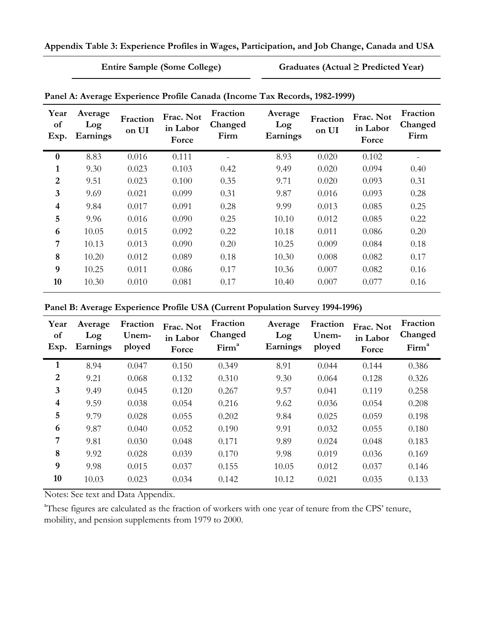**Entire Sample (Some College) Graduates (Actual ≥ Predicted Year)**

| Year<br>of<br>Exp.      | Average<br>Log<br>Earnings | Fraction<br>on UI | Frac. Not<br>in Labor<br>Force | Fraction<br>Changed<br>Firm | Average<br>Log<br>Earnings | Fraction<br>on UI | Frac. Not<br>in Labor<br>Force | Fraction<br>Changed<br>Firm |
|-------------------------|----------------------------|-------------------|--------------------------------|-----------------------------|----------------------------|-------------------|--------------------------------|-----------------------------|
| $\boldsymbol{0}$        | 8.83                       | 0.016             | 0.111                          |                             | 8.93                       | 0.020             | 0.102                          |                             |
| 1                       | 9.30                       | 0.023             | 0.103                          | 0.42                        | 9.49                       | 0.020             | 0.094                          | 0.40                        |
| $\overline{2}$          | 9.51                       | 0.023             | 0.100                          | 0.35                        | 9.71                       | 0.020             | 0.093                          | 0.31                        |
| 3                       | 9.69                       | 0.021             | 0.099                          | 0.31                        | 9.87                       | 0.016             | 0.093                          | 0.28                        |
| $\overline{\mathbf{4}}$ | 9.84                       | 0.017             | 0.091                          | 0.28                        | 9.99                       | 0.013             | 0.085                          | 0.25                        |
| 5                       | 9.96                       | 0.016             | 0.090                          | 0.25                        | 10.10                      | 0.012             | 0.085                          | 0.22                        |
| 6                       | 10.05                      | 0.015             | 0.092                          | 0.22                        | 10.18                      | 0.011             | 0.086                          | 0.20                        |
| 7                       | 10.13                      | 0.013             | 0.090                          | 0.20                        | 10.25                      | 0.009             | 0.084                          | 0.18                        |
| 8                       | 10.20                      | 0.012             | 0.089                          | 0.18                        | 10.30                      | 0.008             | 0.082                          | 0.17                        |
| 9                       | 10.25                      | 0.011             | 0.086                          | 0.17                        | 10.36                      | 0.007             | 0.082                          | 0.16                        |
| 10                      | 10.30                      | 0.010             | 0.081                          | 0.17                        | 10.40                      | 0.007             | 0.077                          | 0.16                        |

**Panel A: Average Experience Profile Canada (Income Tax Records, 1982-1999)**

| Panel B: Average Experience Profile USA (Current Population Survey 1994-1996) |  |  |  |
|-------------------------------------------------------------------------------|--|--|--|
|                                                                               |  |  |  |

| Year<br>of<br>Exp.      | Average<br>Log<br>Earnings | Fraction<br>Unem-<br>ployed | Frac. Not<br>in Labor<br>Force | Fraction<br>Changed<br>Firm <sup>a</sup> | Average<br>Log<br>Earnings | Fraction<br>Unem-<br>ployed | Frac. Not<br>in Labor<br>Force | Fraction<br>Changed<br>Firm <sup>a</sup> |
|-------------------------|----------------------------|-----------------------------|--------------------------------|------------------------------------------|----------------------------|-----------------------------|--------------------------------|------------------------------------------|
| 1                       | 8.94                       | 0.047                       | 0.150                          | 0.349                                    | 8.91                       | 0.044                       | 0.144                          | 0.386                                    |
| $\overline{2}$          | 9.21                       | 0.068                       | 0.132                          | 0.310                                    | 9.30                       | 0.064                       | 0.128                          | 0.326                                    |
| 3                       | 9.49                       | 0.045                       | 0.120                          | 0.267                                    | 9.57                       | 0.041                       | 0.119                          | 0.258                                    |
| $\overline{\mathbf{4}}$ | 9.59                       | 0.038                       | 0.054                          | 0.216                                    | 9.62                       | 0.036                       | 0.054                          | 0.208                                    |
| 5                       | 9.79                       | 0.028                       | 0.055                          | 0.202                                    | 9.84                       | 0.025                       | 0.059                          | 0.198                                    |
| 6                       | 9.87                       | 0.040                       | 0.052                          | 0.190                                    | 9.91                       | 0.032                       | 0.055                          | 0.180                                    |
| 7                       | 9.81                       | 0.030                       | 0.048                          | 0.171                                    | 9.89                       | 0.024                       | 0.048                          | 0.183                                    |
| 8                       | 9.92                       | 0.028                       | 0.039                          | 0.170                                    | 9.98                       | 0.019                       | 0.036                          | 0.169                                    |
| 9                       | 9.98                       | 0.015                       | 0.037                          | 0.155                                    | 10.05                      | 0.012                       | 0.037                          | 0.146                                    |
| 10                      | 10.03                      | 0.023                       | 0.034                          | 0.142                                    | 10.12                      | 0.021                       | 0.035                          | 0.133                                    |

Notes: See text and Data Appendix.

<sup>a</sup>These figures are calculated as the fraction of workers with one year of tenure from the CPS' tenure, mobility, and pension supplements from 1979 to 2000.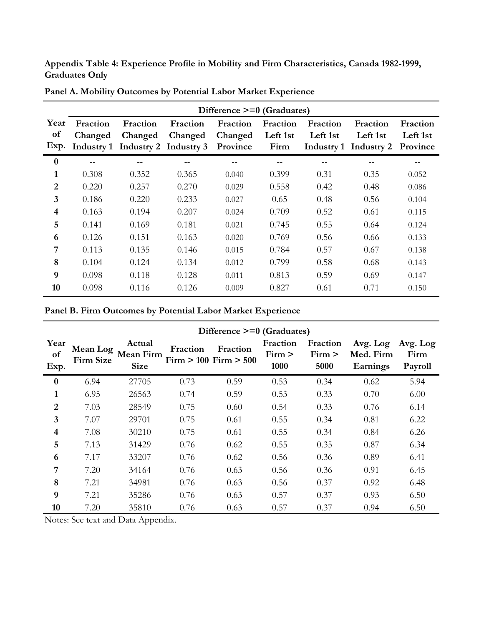**Appendix Table 4: Experience Profile in Mobility and Firm Characteristics, Canada 1982-1999, Graduates Only**

|                  | Difference >=0 (Graduates) |                                  |          |          |          |          |                       |          |  |  |  |  |
|------------------|----------------------------|----------------------------------|----------|----------|----------|----------|-----------------------|----------|--|--|--|--|
| Year             | Fraction                   | Fraction                         | Fraction | Fraction | Fraction | Fraction | Fraction              | Fraction |  |  |  |  |
| of               | Changed                    | Changed                          | Changed  | Changed  | Left 1st | Left 1st | Left 1st              | Left 1st |  |  |  |  |
| Exp.             |                            | Industry 1 Industry 2 Industry 3 |          | Province | Firm     |          | Industry 1 Industry 2 | Province |  |  |  |  |
| $\boldsymbol{0}$ | $- -$                      | --                               |          |          | $- -$    |          |                       | --       |  |  |  |  |
| $\mathbf{1}$     | 0.308                      | 0.352                            | 0.365    | 0.040    | 0.399    | 0.31     | 0.35                  | 0.052    |  |  |  |  |
| $\overline{2}$   | 0.220                      | 0.257                            | 0.270    | 0.029    | 0.558    | 0.42     | 0.48                  | 0.086    |  |  |  |  |
| 3                | 0.186                      | 0.220                            | 0.233    | 0.027    | 0.65     | 0.48     | 0.56                  | 0.104    |  |  |  |  |
| 4                | 0.163                      | 0.194                            | 0.207    | 0.024    | 0.709    | 0.52     | 0.61                  | 0.115    |  |  |  |  |
| 5                | 0.141                      | 0.169                            | 0.181    | 0.021    | 0.745    | 0.55     | 0.64                  | 0.124    |  |  |  |  |
| 6                | 0.126                      | 0.151                            | 0.163    | 0.020    | 0.769    | 0.56     | 0.66                  | 0.133    |  |  |  |  |
| 7                | 0.113                      | 0.135                            | 0.146    | 0.015    | 0.784    | 0.57     | 0.67                  | 0.138    |  |  |  |  |
| 8                | 0.104                      | 0.124                            | 0.134    | 0.012    | 0.799    | 0.58     | 0.68                  | 0.143    |  |  |  |  |
| 9                | 0.098                      | 0.118                            | 0.128    | 0.011    | 0.813    | 0.59     | 0.69                  | 0.147    |  |  |  |  |
| 10               | 0.098                      | 0.116                            | 0.126    | 0.009    | 0.827    | 0.61     | 0.71                  | 0.150    |  |  |  |  |

**Panel A. Mobility Outcomes by Potential Labor Market Experience**

|                    | Difference >=0 (Graduates) |                                           |          |                                       |                            |                            |                                   |                             |  |  |  |
|--------------------|----------------------------|-------------------------------------------|----------|---------------------------------------|----------------------------|----------------------------|-----------------------------------|-----------------------------|--|--|--|
| Year<br>of<br>Exp. | Mean Log<br>Firm Size      | Actual<br><b>Mean Firm</b><br><b>Size</b> | Fraction | Fraction<br>$Firm > 100$ $Firm > 500$ | Fraction<br>Firm ><br>1000 | Fraction<br>Firm ><br>5000 | Avg. Log<br>Med. Firm<br>Earnings | Avg. Log<br>Firm<br>Payroll |  |  |  |
| $\boldsymbol{0}$   | 6.94                       | 27705                                     | 0.73     | 0.59                                  | 0.53                       | 0.34                       | 0.62                              | 5.94                        |  |  |  |
| 1                  | 6.95                       | 26563                                     | 0.74     | 0.59                                  | 0.53                       | 0.33                       | 0.70                              | 6.00                        |  |  |  |
| $\overline{2}$     | 7.03                       | 28549                                     | 0.75     | 0.60                                  | 0.54                       | 0.33                       | 0.76                              | 6.14                        |  |  |  |
| 3                  | 7.07                       | 29701                                     | 0.75     | 0.61                                  | 0.55                       | 0.34                       | 0.81                              | 6.22                        |  |  |  |
| 4                  | 7.08                       | 30210                                     | 0.75     | 0.61                                  | 0.55                       | 0.34                       | 0.84                              | 6.26                        |  |  |  |
| 5                  | 7.13                       | 31429                                     | 0.76     | 0.62                                  | 0.55                       | 0.35                       | 0.87                              | 6.34                        |  |  |  |
| 6                  | 7.17                       | 33207                                     | 0.76     | 0.62                                  | 0.56                       | 0.36                       | 0.89                              | 6.41                        |  |  |  |
| 7                  | 7.20                       | 34164                                     | 0.76     | 0.63                                  | 0.56                       | 0.36                       | 0.91                              | 6.45                        |  |  |  |
| 8                  | 7.21                       | 34981                                     | 0.76     | 0.63                                  | 0.56                       | 0.37                       | 0.92                              | 6.48                        |  |  |  |
| 9                  | 7.21                       | 35286                                     | 0.76     | 0.63                                  | 0.57                       | 0.37                       | 0.93                              | 6.50                        |  |  |  |
| 10                 | 7.20                       | 35810                                     | 0.76     | 0.63                                  | 0.57                       | 0.37                       | 0.94                              | 6.50                        |  |  |  |

Notes: See text and Data Appendix.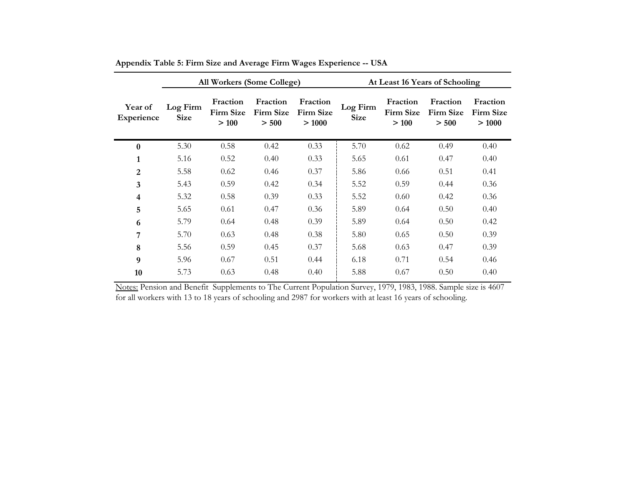|                         |                         |                                       | All Workers (Some College)     |                                | At Least 16 Years of Schooling |                                       |                                |                                |  |
|-------------------------|-------------------------|---------------------------------------|--------------------------------|--------------------------------|--------------------------------|---------------------------------------|--------------------------------|--------------------------------|--|
| Year of<br>Experience   | Log Firm<br><b>Size</b> | Fraction<br><b>Firm Size</b><br>> 100 | Fraction<br>Firm Size<br>> 500 | Fraction<br>Firm Size<br>>1000 | Log Firm<br><b>Size</b>        | Fraction<br><b>Firm Size</b><br>> 100 | Fraction<br>Firm Size<br>> 500 | Fraction<br>Firm Size<br>>1000 |  |
| $\bf{0}$                | 5.30                    | 0.58                                  | 0.42                           | 0.33                           | 5.70                           | 0.62                                  | 0.49                           | 0.40                           |  |
| $\mathbf{1}$            | 5.16                    | 0.52                                  | 0.40                           | 0.33                           | 5.65                           | 0.61                                  | 0.47                           | 0.40                           |  |
| $\overline{2}$          | 5.58                    | 0.62                                  | 0.46                           | 0.37                           | 5.86                           | 0.66                                  | 0.51                           | 0.41                           |  |
| $\overline{\mathbf{3}}$ | 5.43                    | 0.59                                  | 0.42                           | 0.34                           | 5.52                           | 0.59                                  | 0.44                           | 0.36                           |  |
| 4                       | 5.32                    | 0.58                                  | 0.39                           | 0.33                           | 5.52                           | 0.60                                  | 0.42                           | 0.36                           |  |
| 5                       | 5.65                    | 0.61                                  | 0.47                           | 0.36                           | 5.89                           | 0.64                                  | 0.50                           | 0.40                           |  |
| 6                       | 5.79                    | 0.64                                  | 0.48                           | 0.39                           | 5.89                           | 0.64                                  | 0.50                           | 0.42                           |  |
| 7                       | 5.70                    | 0.63                                  | 0.48                           | 0.38                           | 5.80                           | 0.65                                  | 0.50                           | 0.39                           |  |
| 8                       | 5.56                    | 0.59                                  | 0.45                           | 0.37                           | 5.68                           | 0.63                                  | 0.47                           | 0.39                           |  |
| 9                       | 5.96                    | 0.67                                  | 0.51                           | 0.44                           | 6.18                           | 0.71                                  | 0.54                           | 0.46                           |  |
| 10                      | 5.73                    | 0.63                                  | 0.48                           | 0.40                           | 5.88                           | 0.67                                  | 0.50                           | 0.40                           |  |

**Appendix Table 5: Firm Size and Average Firm Wages Experience -- USA**

Notes: Pension and Benefit Supplements to The Current Population Survey, 1979, 1983, 1988. Sample size is 4607 for all workers with 13 to 18 years of schooling and 2987 for workers with at least 16 years of schooling.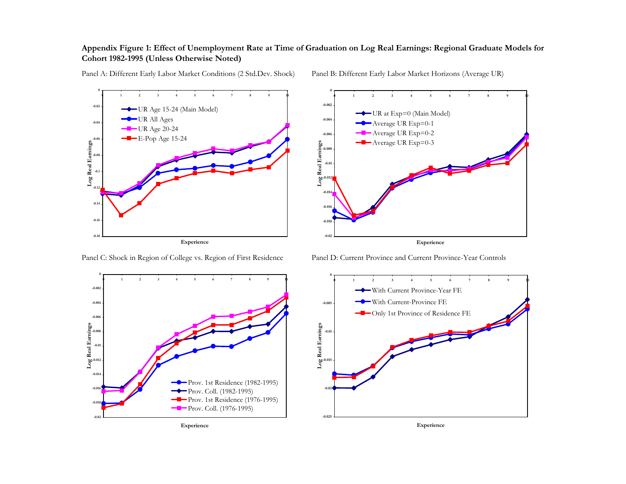## **Appendix Figure 1: Effect of Unemployment Rate at Time of Graduation on Log Real Earnings: Regional Graduate Models for Cohort 1982-1995 (Unless Otherwise Noted)**



Panel A: Different Early Labor Market Conditions (2 Std.Dev. Shock) Panel B: Different Early Labor Market Horizons (Average UR)



Panel C: Shock in Region of College vs. Region of First Residence Panel D: Current Province and Current Province-Year Controls





**Experience**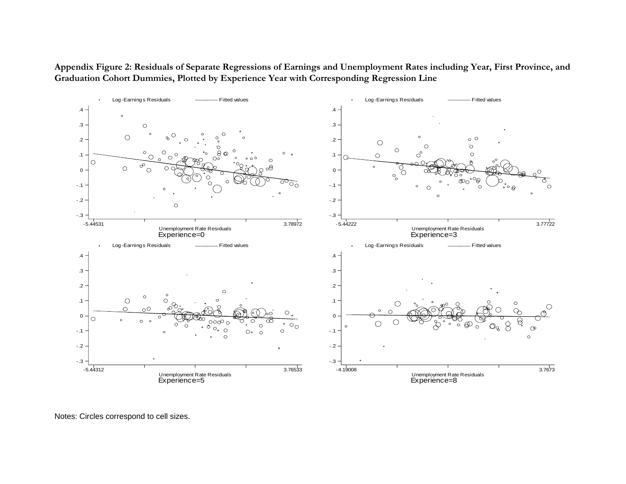**Appendix Figure 2: Residuals of Separate Regressions of Earnings and Unemployment Rates including Year, First Province, and Graduation Cohort Dummies, Plotted by Experience Year with Corresponding Regression Line**



Notes: Circles correspond to cell sizes.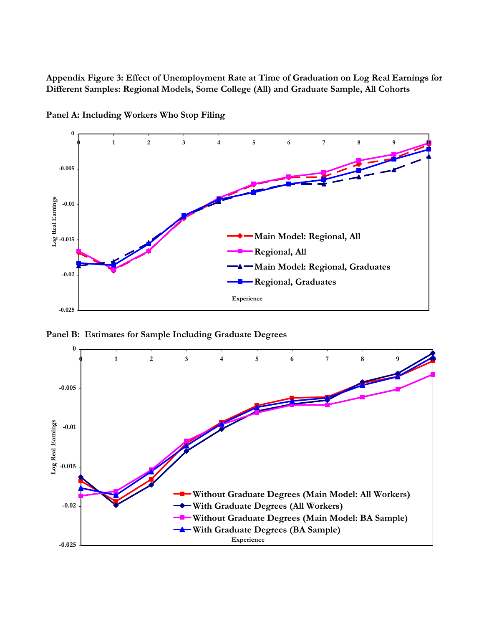**Appendix Figure 3: Effect of Unemployment Rate at Time of Graduation on Log Real Earnings for Different Samples: Regional Models, Some College (All) and Graduate Sample, All Cohorts**



**Panel A: Including Workers Who Stop Filing**

**Panel B: Estimates for Sample Including Graduate Degrees**

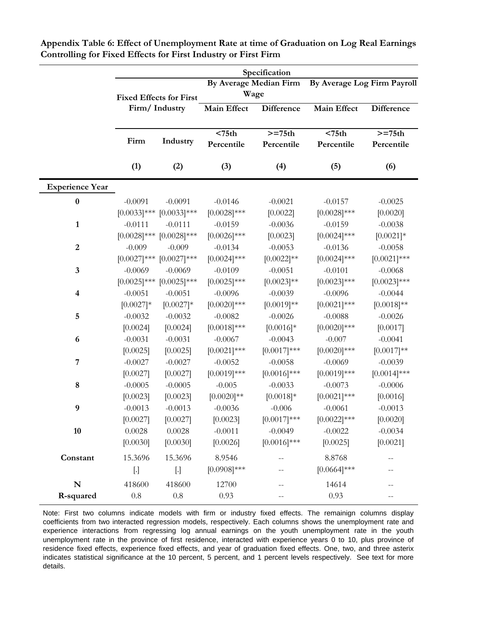|                        |                             |                                            |                                  | Specification                |                                  |                               |
|------------------------|-----------------------------|--------------------------------------------|----------------------------------|------------------------------|----------------------------------|-------------------------------|
|                        |                             | <b>Fixed Effects for First</b>             | By Average Median Firm<br>Wage   |                              | By Average Log Firm Payroll      |                               |
|                        |                             | Firm/Industry                              | <b>Main Effect</b>               | <b>Difference</b>            | <b>Main Effect</b>               | <b>Difference</b>             |
|                        | Firm                        | Industry                                   | < 75 <sub>th</sub><br>Percentile | $>=75th$<br>Percentile       | < 75 <sub>th</sub><br>Percentile | $>=75th$<br>Percentile        |
|                        | (1)                         | (2)                                        | (3)                              | (4)                          | (5)                              | (6)                           |
| <b>Experience Year</b> |                             |                                            |                                  |                              |                                  |                               |
| $\bf{0}$               | $-0.0091$                   | $-0.0091$<br>$[0.0033]$ *** $[0.0033]$ *** | $-0.0146$<br>$[0.0028]$ ***      | $-0.0021$<br>[0.0022]        | $-0.0157$<br>$[0.0028]$ ***      | $-0.0025$<br>[0.0020]         |
| $\mathbf{1}$           | $-0.0111$                   | $-0.0111$<br>$[0.0028]$ *** $[0.0028]$ *** | $-0.0159$<br>$[0.0026]$ ***      | $-0.0036$<br>[0.0023]        | $-0.0159$<br>$[0.0024]$ ***      | $-0.0038$<br>$[0.0021]*$      |
| $\boldsymbol{2}$       | $-0.009$<br>$[0.0027]***$   | $-0.009$<br>$[0.0027]***$                  | $-0.0134$<br>$[0.0024]$ ***      | $-0.0053$<br>$[0.0022]^{**}$ | $-0.0136$<br>$[0.0024]$ ***      | $-0.0058$<br>$[0.0021]$ ***   |
| $\mathbf{3}$           | $-0.0069$<br>$[0.0025]$ *** | $-0.0069$<br>$[0.0025]$ ***                | $-0.0109$<br>$[0.0025]$ ***      | $-0.0051$<br>$[0.0023]^{**}$ | $-0.0101$<br>$[0.0023]$ ***      | $-0.0068$<br>$[0.0023]$ ***   |
| 4                      | $-0.0051$<br>$[0.0027]*$    | $-0.0051$<br>$[0.0027]*$                   | $-0.0096$<br>$[0.0020]$ ***      | $-0.0039$<br>$[0.0019]**$    | $-0.0096$<br>$[0.0021]$ ***      | $-0.0044$<br>$[0.0018]^{**}$  |
| 5                      | $-0.0032$<br>[0.0024]       | $-0.0032$<br>[0.0024]                      | $-0.0082$<br>$[0.0018]$ ***      | $-0.0026$<br>$[0.0016]*$     | $-0.0088$<br>$[0.0020]$ ***      | $-0.0026$<br>[0.0017]         |
| 6                      | $-0.0031$<br>[0.0025]       | $-0.0031$<br>[0.0025]                      | $-0.0067$<br>$[0.0021]$ ***      | $-0.0043$<br>$[0.0017]***$   | $-0.007$<br>$[0.0020]$ ***       | $-0.0041$<br>$[0.0017]**$     |
| $\overline{7}$         | $-0.0027$<br>[0.0027]       | $-0.0027$<br>[0.0027]                      | $-0.0052$<br>$[0.0019]***$       | $-0.0058$<br>$[0.0016]$ ***  | $-0.0069$<br>$[0.0019]***$       | $-0.0039$<br>$[0.0014]^{***}$ |
| 8                      | $-0.0005$<br>[0.0023]       | $-0.0005$<br>[0.0023]                      | $-0.005$<br>$[0.0020]$ **        | $-0.0033$<br>$[0.0018]*$     | $-0.0073$<br>$[0.0021]$ ***      | $-0.0006$<br>[0.0016]         |
| 9                      | $-0.0013$<br>[0.0027]       | $-0.0013$<br>[0.0027]                      | $-0.0036$<br>[0.0023]            | $-0.006$<br>$[0.0017]***$    | $-0.0061$<br>$[0.0022]$ ***      | $-0.0013$<br>[0.0020]         |
| 10                     | 0.0028<br>[0.0030]          | 0.0028<br>[0.0030]                         | $-0.0011$<br>[0.0026]            | $-0.0049$<br>$[0.0016]$ ***  | $-0.0022$<br>[0.0025]            | $-0.0034$<br>[0.0021]         |
| Constant               | 15.3696<br>$[.]$            | 15.3696<br>$[.]$                           | 8.9546<br>$[0.0908]$ ***         |                              | 8.8768<br>$[0.0664]$ ***         | $-$<br>--                     |
| ${\bf N}$              | 418600                      | 418600                                     | 12700                            |                              | 14614                            | $-$                           |
| R-squared              | $0.8\,$                     | $0.8\,$                                    | 0.93                             | --                           | 0.93                             | $- -$                         |

**Appendix Table 6: Effect of Unemployment Rate at time of Graduation on Log Real Earnings Controlling for Fixed Effects for First Industry or First Firm**

Note: First two columns indicate models with firm or industry fixed effects. The remainign columns display coefficients from two interacted regression models, respectively. Each columns shows the unemployment rate and experience interactions from regressing log annual earnings on the youth unemployment rate in the youth unemployment rate in the province of first residence, interacted with experience years 0 to 10, plus province of residence fixed effects, experience fixed effects, and year of graduation fixed effects. One, two, and three asterix indicates statistical significance at the 10 percent, 5 percent, and 1 percent levels respectively. See text for more details.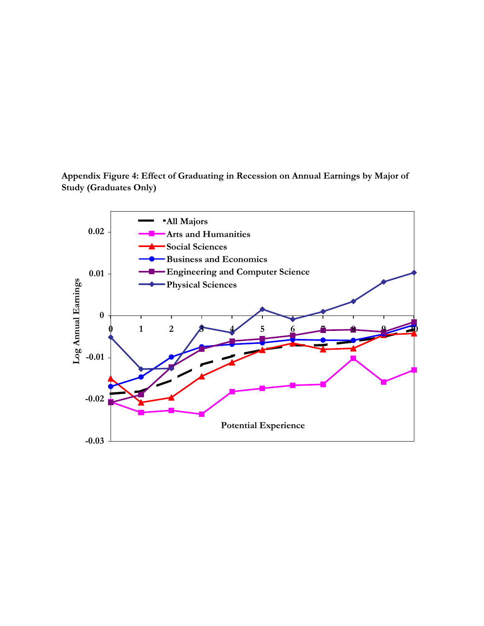**Appendix Figure 4: Effect of Graduating in Recession on Annual Earnings by Major of Study (Graduates Only)**

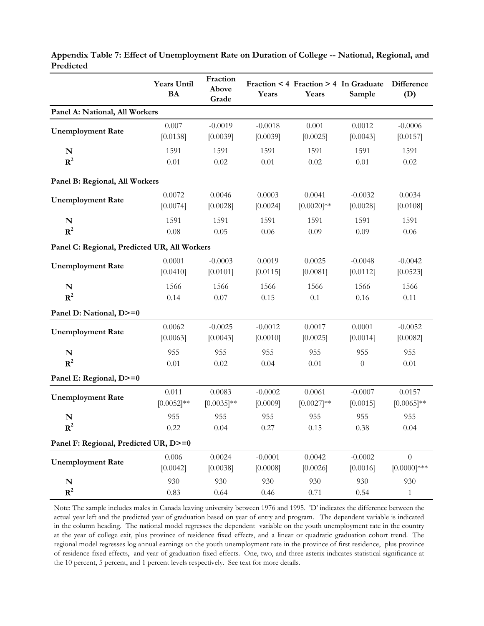|                                              | <b>Years Until</b><br><b>BA</b> | Fraction<br>Above<br>Grade | Years     | Fraction < 4 Fraction > 4 In Graduate<br>Years | Sample    | Difference<br>(D) |
|----------------------------------------------|---------------------------------|----------------------------|-----------|------------------------------------------------|-----------|-------------------|
| Panel A: National, All Workers               |                                 |                            |           |                                                |           |                   |
| <b>Unemployment Rate</b>                     | 0.007                           | $-0.0019$                  | $-0.0018$ | 0.001                                          | 0.0012    | $-0.0006$         |
|                                              | [0.0138]                        | [0.0039]                   | [0.0039]  | [0.0025]                                       | [0.0043]  | [0.0157]          |
| N                                            | 1591                            | 1591                       | 1591      | 1591                                           | 1591      | 1591              |
| ${\bf R}^2$                                  | $0.01\,$                        | 0.02                       | $0.01\,$  | 0.02                                           | 0.01      | $0.02\,$          |
| Panel B: Regional, All Workers               |                                 |                            |           |                                                |           |                   |
| <b>Unemployment Rate</b>                     | 0.0072                          | 0.0046                     | 0.0003    | 0.0041                                         | $-0.0032$ | 0.0034            |
|                                              | [0.0074]                        | [0.0028]                   | [0.0024]  | $[0.0020]$ **                                  | [0.0028]  | [0.0108]          |
| ${\bf N}$                                    | 1591                            | 1591                       | 1591      | 1591                                           | 1591      | 1591              |
| $R^2$                                        | 0.08                            | 0.05                       | 0.06      | 0.09                                           | 0.09      | 0.06              |
| Panel C: Regional, Predicted UR, All Workers |                                 |                            |           |                                                |           |                   |
| <b>Unemployment Rate</b>                     | 0.0001                          | $-0.0003$                  | 0.0019    | 0.0025                                         | $-0.0048$ | $-0.0042$         |
|                                              | [0.0410]                        | [0.0101]                   | [0.0115]  | [0.0081]                                       | [0.0112]  | [0.0523]          |
| ${\bf N}$                                    | 1566                            | 1566                       | 1566      | 1566                                           | 1566      | 1566              |
| $R^2$                                        | 0.14                            | 0.07                       | 0.15      | 0.1                                            | 0.16      | 0.11              |
| Panel D: National, D>=0                      |                                 |                            |           |                                                |           |                   |
| <b>Unemployment Rate</b>                     | 0.0062                          | $-0.0025$                  | $-0.0012$ | 0.0017                                         | 0.0001    | $-0.0052$         |
|                                              | [0.0063]                        | [0.0043]                   | [0.0010]  | [0.0025]                                       | [0.0014]  | [0.0082]          |
| ${\bf N}$                                    | 955                             | 955                        | 955       | 955                                            | 955       | 955               |
| ${\bf R}^2$                                  | 0.01                            | 0.02                       | 0.04      | 0.01                                           | $\theta$  | 0.01              |
| Panel E: Regional, D>=0                      |                                 |                            |           |                                                |           |                   |
| <b>Unemployment Rate</b>                     | 0.011                           | 0.0083                     | $-0.0002$ | 0.0061                                         | $-0.0007$ | 0.0157            |
|                                              | $[0.0052]^{**}$                 | $[0.0035]^{**}$            | [0.0009]  | $[0.0027]**$                                   | [0.0015]  | $[0.0065]$ **     |
| N                                            | 955                             | 955                        | 955       | 955                                            | 955       | 955               |
| $R^2$                                        | 0.22                            | 0.04                       | 0.27      | 0.15                                           | 0.38      | 0.04              |
| Panel F: Regional, Predicted UR, D>=0        |                                 |                            |           |                                                |           |                   |
| <b>Unemployment Rate</b>                     | 0.006                           | 0.0024                     | $-0.0001$ | 0.0042                                         | $-0.0002$ | $\overline{0}$    |
|                                              | [0.0042]                        | [0.0038]                   | [0.0008]  | [0.0026]                                       | [0.0016]  | $[0.0000]***$     |
| ${\bf N}$                                    | 930                             | 930                        | 930       | 930                                            | 930       | 930               |
| ${\bf R}^2$                                  | 0.83                            | 0.64                       | 0.46      | 0.71                                           | 0.54      | $\mathbf{1}$      |

**Appendix Table 7: Effect of Unemployment Rate on Duration of College -- National, Regional, and Predicted**

Note: The sample includes males in Canada leaving university between 1976 and 1995. 'D' indicates the difference between the actual year left and the predicted year of graduation based on year of entry and program. The dependent variable is indicated in the column heading. The national model regresses the dependent variable on the youth unemployment rate in the country at the year of college exit, plus province of residence fixed effects, and a linear or quadratic graduation cohort trend. The regional model regresses log annual earnings on the youth unemployment rate in the province of first residence, plus province of residence fixed effects, and year of graduation fixed effects. One, two, and three asterix indicates statistical significance at the 10 percent, 5 percent, and 1 percent levels respectively. See text for more details.